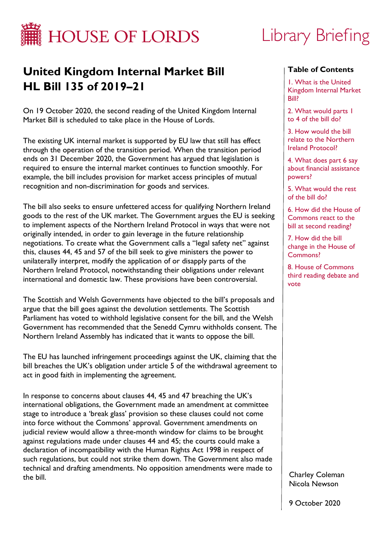

# Library Briefing

# **United Kingdom Internal Market Bill HL Bill 135 of 2019–21**

On 19 October 2020, the second reading of the United Kingdom Internal Market Bill is scheduled to take place in the House of Lords.

The existing UK internal market is supported by EU law that still has effect through the operation of the transition period. When the transition period ends on 31 December 2020, the Government has argued that legislation is required to ensure the internal market continues to function smoothly. For example, the bill includes provision for market access principles of mutual recognition and non-discrimination for goods and services.

The bill also seeks to ensure unfettered access for qualifying Northern Ireland goods to the rest of the UK market. The Government argues the EU is seeking to implement aspects of the Northern Ireland Protocol in ways that were not originally intended, in order to gain leverage in the future relationship negotiations. To create what the Government calls a "legal safety net" against this, clauses 44, 45 and 57 of the bill seek to give ministers the power to unilaterally interpret, modify the application of or disapply parts of the Northern Ireland Protocol, notwithstanding their obligations under relevant international and domestic law. These provisions have been controversial.

The Scottish and Welsh Governments have objected to the bill's proposals and argue that the bill goes against the devolution settlements. The Scottish Parliament has voted to withhold legislative consent for the bill, and the Welsh Government has recommended that the Senedd Cymru withholds consent. The Northern Ireland Assembly has indicated that it wants to oppose the bill.

The EU has launched infringement proceedings against the UK, claiming that the bill breaches the UK's obligation under article 5 of the withdrawal agreement to act in good faith in implementing the agreement.

In response to concerns about clauses 44, 45 and 47 breaching the UK's international obligations, the Government made an amendment at committee stage to introduce a 'break glass' provision so these clauses could not come into force without the Commons' approval. Government amendments on judicial review would allow a three-month window for claims to be brought against regulations made under clauses 44 and 45; the courts could make a declaration of incompatibility with the Human Rights Act 1998 in respect of such regulations, but could not strike them down. The Government also made technical and drafting amendments. No opposition amendments were made to the bill.

#### **Table of Contents**

1. What is the United [Kingdom Internal Market](#page-2-0)  Bill?

[2. What would parts 1](#page-3-0)  to 4 of the bill do?

3. How would the bill [relate to the Northern](#page-28-0) Ireland Protocol?

4. What does part 6 say [about financial assistance](#page-56-0) powers?

[5. What would the rest](#page-58-0)  of the bill do?

[6. How did the House of](#page-63-0)  Commons react to the bill at second reading?

7. How did the bill [change in the House of](#page-66-0)  Commons?

8. House of Commons [third reading debate and](#page-76-0)  vote

Charley Coleman Nicola Newson

9 October 2020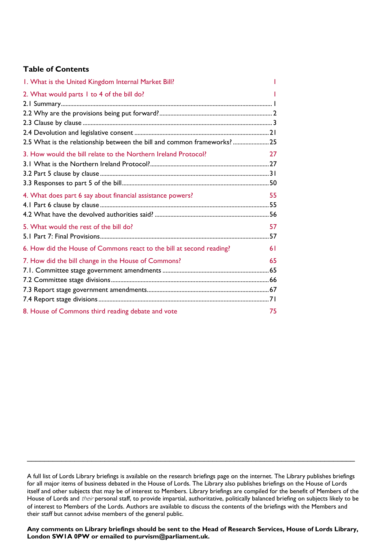# **Table of Contents**

| I. What is the United Kingdom Internal Market Bill?                      |    |
|--------------------------------------------------------------------------|----|
| 2. What would parts 1 to 4 of the bill do?                               |    |
|                                                                          |    |
|                                                                          |    |
|                                                                          |    |
|                                                                          |    |
| 2.5 What is the relationship between the bill and common frameworks?  25 |    |
| 3. How would the bill relate to the Northern Ireland Protocol?           | 27 |
|                                                                          |    |
|                                                                          |    |
|                                                                          |    |
| 4. What does part 6 say about financial assistance powers?               | 55 |
|                                                                          |    |
|                                                                          |    |
| 5. What would the rest of the bill do?                                   | 57 |
|                                                                          |    |
| 6. How did the House of Commons react to the bill at second reading?     | 61 |
| 7. How did the bill change in the House of Commons?                      | 65 |
|                                                                          |    |
|                                                                          |    |
|                                                                          |    |
|                                                                          |    |
| 8. House of Commons third reading debate and vote                        | 75 |

\_\_\_\_\_\_\_\_\_\_\_\_\_\_\_\_\_\_\_\_\_\_\_\_\_\_\_\_\_\_\_\_\_\_\_\_\_\_\_\_\_\_\_\_\_\_\_\_\_\_\_\_\_\_\_\_\_\_\_\_\_\_\_\_\_\_\_\_\_\_\_\_\_\_\_\_

**Any comments on Library briefings should be sent to the Head of Research Services, House of Lords Library, London SW1A 0PW or emailed to [purvism@parliament.uk.](mailto:purvism@parliament.uk)**

A full list of Lords Library briefings is available on the [research briefings page](http://researchbriefings.parliament.uk/) on the internet. The Library publishes briefings for all major items of business debated in the House of Lords. The Library also publishes briefings on the House of Lords itself and other subjects that may be of interest to Members. Library briefings are compiled for the benefit of Members of the House of Lords and *their* personal staff, to provide impartial, authoritative, politically balanced briefing on subjects likely to be of interest to Members of the Lords. Authors are available to discuss the contents of the briefings with the Members and their staff but cannot advise members of the general public.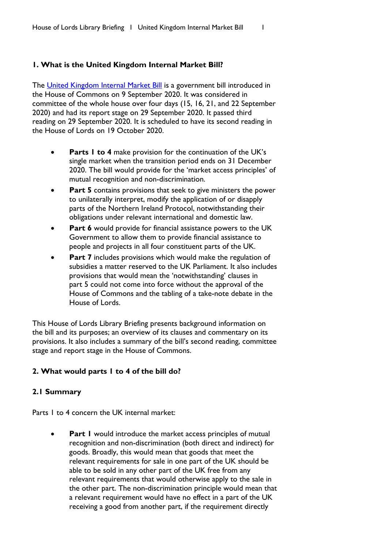#### <span id="page-2-1"></span><span id="page-2-0"></span>**1. What is the United Kingdom Internal Market Bill?**

The [United Kingdom Internal Market Bill](https://services.parliament.uk/Bills/2019-21/unitedkingdominternalmarket.html) is a government bill introduced in the House of Commons on 9 September 2020. It was considered in committee of the whole house over four days (15, 16, 21, and 22 September 2020) and had its report stage on 29 September 2020. It passed third reading on 29 September 2020. It is scheduled to have its second reading in the House of Lords on 19 October 2020.

- **Parts 1 to 4** make provision for the continuation of the UK's single market when the transition period ends on 31 December 2020. The bill would provide for the 'market access principles' of mutual recognition and non-discrimination.
- **Part 5** contains provisions that seek to give ministers the power to unilaterally interpret, modify the application of or disapply parts of the Northern Ireland Protocol, notwithstanding their obligations under relevant international and domestic law.
- **Part 6** would provide for financial assistance powers to the UK Government to allow them to provide financial assistance to people and projects in all four constituent parts of the UK.
- Part 7 includes provisions which would make the regulation of subsidies a matter reserved to the UK Parliament. It also includes provisions that would mean the 'notwithstanding' clauses in part 5 could not come into force without the approval of the House of Commons and the tabling of a take-note debate in the House of Lords.

This House of Lords Library Briefing presents background information on the bill and its purposes; an overview of its clauses and commentary on its provisions. It also includes a summary of the bill's second reading, committee stage and report stage in the House of Commons.

# <span id="page-2-2"></span>**2. What would parts 1 to 4 of the bill do?**

#### <span id="page-2-3"></span>**2.1 Summary**

Parts 1 to 4 concern the UK internal market:

**Part I** would introduce the market access principles of mutual recognition and non-discrimination (both direct and indirect) for goods. Broadly, this would mean that goods that meet the relevant requirements for sale in one part of the UK should be able to be sold in any other part of the UK free from any relevant requirements that would otherwise apply to the sale in the other part. The non-discrimination principle would mean that a relevant requirement would have no effect in a part of the UK receiving a good from another part, if the requirement directly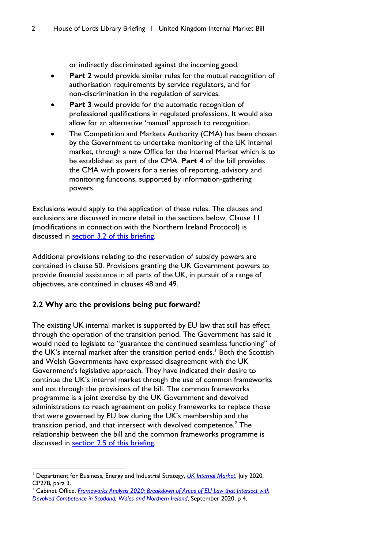or indirectly discriminated against the incoming good.

- <span id="page-3-0"></span>**Part 2** would provide similar rules for the mutual recognition of authorisation requirements by service regulators, and for non-discrimination in the regulation of services.
- Part 3 would provide for the automatic recognition of professional qualifications in regulated professions. It would also allow for an alternative 'manual' approach to recognition.
- The Competition and Markets Authority (CMA) has been chosen by the Government to undertake monitoring of the UK internal market, through a new Office for the Internal Market which is to be established as part of the CMA. **Part 4** of the bill provides the CMA with powers for a series of reporting, advisory and monitoring functions, supported by information-gathering powers.

Exclusions would apply to the application of these rules. The clauses and exclusions are discussed in more detail in the sections below. Clause 11 (modifications in connection with the Northern Ireland Protocol) is discussed in [section 3.2 of this briefing.](#page-31-0)

Additional provisions relating to the reservation of subsidy powers are contained in clause 50. Provisions granting the UK Government powers to provide financial assistance in all parts of the UK, in pursuit of a range of objectives, are contained in clauses 48 and 49.

# <span id="page-3-1"></span>**2.2 Why are the provisions being put forward?**

The existing UK internal market is supported by EU law that still has effect through the operation of the transition period. The Government has said it would need to legislate to "guarantee the continued seamless functioning" of the UK's internal market after the transition period ends. [1](#page-3-2) Both the Scottish and Welsh Governments have expressed disagreement with the UK Government's legislative approach. They have indicated their desire to continue the UK's internal market through the use of common frameworks and not through the provisions of the bill. The common frameworks programme is a joint exercise by the UK Government and devolved administrations to reach agreement on policy frameworks to replace those that were governed by EU law during the UK's membership and the transition period, and that intersect with devolved competence. $2$  The relationship between the bill and the common frameworks programme is discussed in [section 2.5 of this briefing.](#page-26-0)

<span id="page-3-2"></span><sup>1</sup> Department for Business, Energy and Industrial Strategy, *[UK Internal Market](https://assets.publishing.service.gov.uk/government/uploads/system/uploads/attachment_data/file/901225/uk-internal-market-white-paper.pdf)*, July 2020, CP278, para 3.

<span id="page-3-3"></span><sup>&</sup>lt;sup>2</sup> Cabinet Office, *Frameworks Analysis 2020: Breakdown of Areas of EU Law that Intersect with [Devolved Competence in Scotland, Wales and Northern Ireland](https://assets.publishing.service.gov.uk/government/uploads/system/uploads/attachment_data/file/919729/Frameworks-Analysis-2020.pdf)*, September 2020, p 4.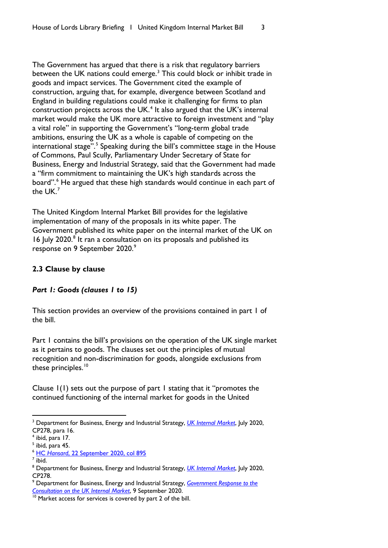The Government has argued that there is a risk that regulatory barriers between the UK nations could emerge.<sup>[3](#page-4-1)</sup> This could block or inhibit trade in goods and impact services. The Government cited the example of construction, arguing that, for example, divergence between Scotland and England in building regulations could make it challenging for firms to plan construction projects across the UK.<sup>[4](#page-4-2)</sup> It also argued that the UK's internal market would make the UK more attractive to foreign investment and "play a vital role" in supporting the Government's "long-term global trade ambitions, ensuring the UK as a whole is capable of competing on the international stage".<sup>[5](#page-4-3)</sup> Speaking during the bill's committee stage in the House of Commons, Paul Scully, Parliamentary Under Secretary of State for Business, Energy and Industrial Strategy, said that the Government had made a "firm commitment to maintaining the UK's high standards across the board".<sup>[6](#page-4-4)</sup> He argued that these high standards would continue in each part of the  $UK.^7$  $UK.^7$ 

The United Kingdom Internal Market Bill provides for the legislative implementation of many of the proposals in its white paper. The Government published its white paper on the internal market of the UK on 16 July 2020.<sup>[8](#page-4-6)</sup> It ran a consultation on its proposals and published its response on [9](#page-4-7) September 2020.<sup>9</sup>

# <span id="page-4-0"></span>**2.3 Clause by clause**

#### *Part 1: Goods (clauses 1 to 15)*

This section provides an overview of the provisions contained in part 1 of the bill.

Part I contains the bill's provisions on the operation of the UK single market as it pertains to goods. The clauses set out the principles of mutual recognition and non-discrimination for goods, alongside exclusions from these principles.<sup>[10](#page-4-8)</sup>

Clause 1(1) sets out the purpose of part 1 stating that it "promotes the continued functioning of the internal market for goods in the United

<span id="page-4-1"></span><sup>3</sup> Department for Business, Energy and Industrial Strategy, *[UK Internal Market](https://assets.publishing.service.gov.uk/government/uploads/system/uploads/attachment_data/file/901225/uk-internal-market-white-paper.pdf)*, July 2020, CP278, para 16.

<span id="page-4-2"></span> $<sup>4</sup>$  ibid, para 17.</sup>

<span id="page-4-3"></span> $<sup>5</sup>$  ibid, para 45.</sup>

<span id="page-4-4"></span><sup>6</sup> HC *Hansard*[, 22 September 2020, col 895](https://hansard.parliament.uk/commons/2020-09-22/debates/0AA112D9-F297-424A-8646-B291BC401248/UnitedKingdomInternalMarketBill)

<span id="page-4-5"></span> $<sup>7</sup>$  ibid.</sup>

<span id="page-4-6"></span><sup>8</sup> Department for Business, Energy and Industrial Strategy, *[UK Internal Market](https://assets.publishing.service.gov.uk/government/uploads/system/uploads/attachment_data/file/901225/uk-internal-market-white-paper.pdf)*, July 2020, CP278.

<span id="page-4-7"></span><sup>9</sup> Department for Business, Energy and Industrial Strategy, *[Government Response](https://assets.publishing.service.gov.uk/government/uploads/system/uploads/attachment_data/file/916154/ukim-consultation-government-response.pdf) to the Consultation [on the UK Internal Market](https://assets.publishing.service.gov.uk/government/uploads/system/uploads/attachment_data/file/916154/ukim-consultation-government-response.pdf)*, 9 September 2020.

<span id="page-4-8"></span> $10$  Market access for services is covered by part 2 of the bill.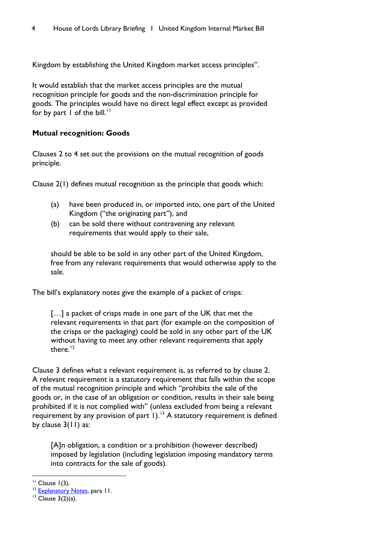Kingdom by establishing the United Kingdom market access principles".

It would establish that the market access principles are the mutual recognition principle for goods and the non-discrimination principle for goods. The principles would have no direct legal effect except as provided for by part  $I$  of the bill.<sup>[11](#page-5-0)</sup>

# **Mutual recognition: Goods**

Clauses 2 to 4 set out the provisions on the mutual recognition of goods principle.

Clause 2(1) defines mutual recognition as the principle that goods which:

- (a) have been produced in, or imported into, one part of the United Kingdom ("the originating part"), and
- (b) can be sold there without contravening any relevant requirements that would apply to their sale,

should be able to be sold in any other part of the United Kingdom, free from any relevant requirements that would otherwise apply to the sale.

The bill's explanatory notes give the example of a packet of crisps:

[...] a packet of crisps made in one part of the UK that met the relevant requirements in that part (for example on the composition of the crisps or the packaging) could be sold in any other part of the UK without having to meet any other relevant requirements that apply there  $12$ 

Clause 3 defines what a relevant requirement is, as referred to by clause 2. A relevant requirement is a statutory requirement that falls within the scope of the mutual recognition principle and which "prohibits the sale of the goods or, in the case of an obligation or condition, results in their sale being prohibited if it is not complied with" (unless excluded from being a relevant requirement by any provision of part 1).<sup>[13](#page-5-2)</sup> A statutory requirement is defined by clause 3(11) as:

[A]n obligation, a condition or a prohibition (however described) imposed by legislation (including legislation imposing mandatory terms into contracts for the sale of goods).

<span id="page-5-0"></span>

<sup>&</sup>lt;sup>11</sup> Clause 1(3).<br><sup>12</sup> [Explanatory Notes,](https://publications.parliament.uk/pa/bills/lbill/58-01/135/5801135en.pdf) para 11.

<span id="page-5-2"></span><span id="page-5-1"></span> $13$  Clause 3(2)(a).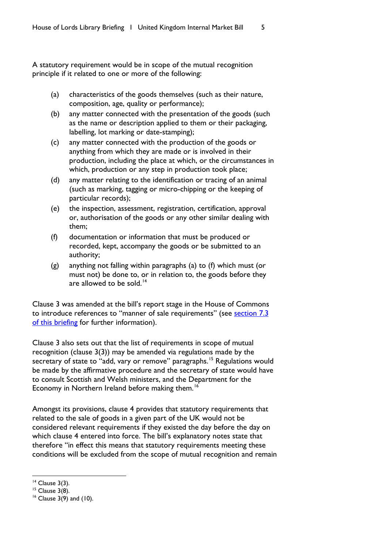A statutory requirement would be in scope of the mutual recognition principle if it related to one or more of the following:

- (a) characteristics of the goods themselves (such as their nature, composition, age, quality or performance);
- (b) any matter connected with the presentation of the goods (such as the name or description applied to them or their packaging, labelling, lot marking or date-stamping);
- (c) any matter connected with the production of the goods or anything from which they are made or is involved in their production, including the place at which, or the circumstances in which, production or any step in production took place;
- (d) any matter relating to the identification or tracing of an animal (such as marking, tagging or micro-chipping or the keeping of particular records);
- (e) the inspection, assessment, registration, certification, approval or, authorisation of the goods or any other similar dealing with them;
- (f) documentation or information that must be produced or recorded, kept, accompany the goods or be submitted to an authority;
- (g) anything not falling within paragraphs (a) to (f) which must (or must not) be done to, or in relation to, the goods before they are allowed to be sold.<sup>[14](#page-6-0)</sup>

Clause 3 was amended at the bill's report stage in the House of Commons to introduce references to "manner of sale requirements" (see section 7.3 [of this briefing](#page-68-0) for further information).

Clause 3 also sets out that the list of requirements in scope of mutual recognition (clause 3(3)) may be amended via regulations made by the secretary of state to "add, vary or remove" paragraphs.<sup>[15](#page-6-1)</sup> Regulations would be made by the affirmative procedure and the secretary of state would have to consult Scottish and Welsh ministers, and the Department for the Economy in Northern Ireland before making them.<sup>[16](#page-6-2)</sup>

Amongst its provisions, clause 4 provides that statutory requirements that related to the sale of goods in a given part of the UK would not be considered relevant requirements if they existed the day before the day on which clause 4 entered into force. The bill's explanatory notes state that therefore "in effect this means that statutory requirements meeting these conditions will be excluded from the scope of mutual recognition and remain

<span id="page-6-0"></span> $14$  Clause 3(3).

<span id="page-6-1"></span> $15$  Clause  $3(8)$ .

<span id="page-6-2"></span><sup>16</sup> Clause 3(9) and (10).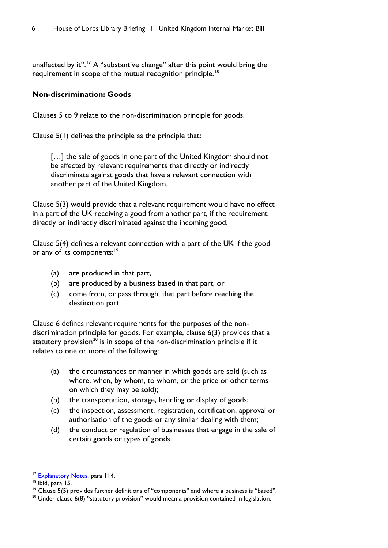unaffected by it".<sup>[17](#page-7-0)</sup> A "substantive change" after this point would bring the requirement in scope of the mutual recognition principle.<sup>[18](#page-7-1)</sup>

# **Non-discrimination: Goods**

Clauses 5 to 9 relate to the non-discrimination principle for goods.

Clause 5(1) defines the principle as the principle that:

[...] the sale of goods in one part of the United Kingdom should not be affected by relevant requirements that directly or indirectly discriminate against goods that have a relevant connection with another part of the United Kingdom.

Clause 5(3) would provide that a relevant requirement would have no effect in a part of the UK receiving a good from another part, if the requirement directly or indirectly discriminated against the incoming good.

Clause 5(4) defines a relevant connection with a part of the UK if the good or any of its components:<sup>[19](#page-7-2)</sup>

- (a) are produced in that part,
- (b) are produced by a business based in that part, or
- (c) come from, or pass through, that part before reaching the destination part.

Clause 6 defines relevant requirements for the purposes of the nondiscrimination principle for goods. For example, clause 6(3) provides that a statutory provision<sup>[20](#page-7-3)</sup> is in scope of the non-discrimination principle if it relates to one or more of the following:

- (a) the circumstances or manner in which goods are sold (such as where, when, by whom, to whom, or the price or other terms on which they may be sold);
- (b) the transportation, storage, handling or display of goods;
- (c) the inspection, assessment, registration, certification, approval or authorisation of the goods or any similar dealing with them;
- (d) the conduct or regulation of businesses that engage in the sale of certain goods or types of goods.

<span id="page-7-0"></span><sup>&</sup>lt;sup>17</sup> [Explanatory Notes,](https://publications.parliament.uk/pa/bills/lbill/58-01/135/5801135en.pdf) para 114.

<span id="page-7-1"></span><sup>&</sup>lt;sup>18</sup> ibid, para 15.

<span id="page-7-2"></span> $19$  Clause 5(5) provides further definitions of "components" and where a business is "based".

<span id="page-7-3"></span><sup>&</sup>lt;sup>20</sup> Under clause 6(8) "statutory provision" would mean a provision contained in legislation.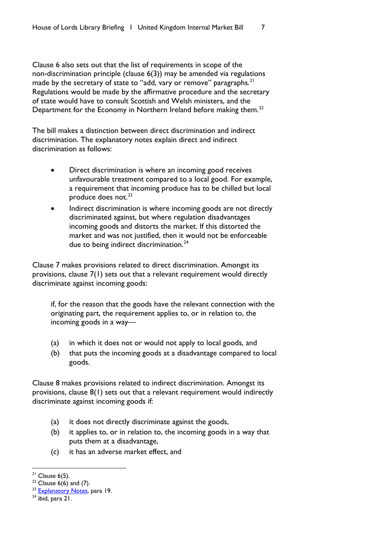Clause 6 also sets out that the list of requirements in scope of the non-discrimination principle (clause 6(3)) may be amended via regulations made by the secretary of state to "add, vary or remove" paragraphs.<sup>[21](#page-8-0)</sup> Regulations would be made by the affirmative procedure and the secretary of state would have to consult Scottish and Welsh ministers, and the Department for the Economy in Northern Ireland before making them.<sup>[22](#page-8-1)</sup>

The bill makes a distinction between direct discrimination and indirect discrimination. The explanatory notes explain direct and indirect discrimination as follows:

- Direct discrimination is where an incoming good receives unfavourable treatment compared to a local good. For example, a requirement that incoming produce has to be chilled but local produce does not. $23$
- Indirect discrimination is where incoming goods are not directly discriminated against, but where regulation disadvantages incoming goods and distorts the market. If this distorted the market and was not justified, then it would not be enforceable due to being indirect discrimination. $24$

Clause 7 makes provisions related to direct discrimination. Amongst its provisions, clause 7(1) sets out that a relevant requirement would directly discriminate against incoming goods:

if, for the reason that the goods have the relevant connection with the originating part, the requirement applies to, or in relation to, the incoming goods in a way—

- (a) in which it does not or would not apply to local goods, and
- (b) that puts the incoming goods at a disadvantage compared to local goods.

Clause 8 makes provisions related to indirect discrimination. Amongst its provisions, clause 8(1) sets out that a relevant requirement would indirectly discriminate against incoming goods if:

- (a) it does not directly discriminate against the goods,
- (b) it applies to, or in relation to, the incoming goods in a way that puts them at a disadvantage,
- (c) it has an adverse market effect, and

<span id="page-8-0"></span> $21$  Clause 6(5).

<span id="page-8-1"></span><sup>&</sup>lt;sup>22</sup> Clause  $6(6)$  and (7).

<span id="page-8-2"></span><sup>&</sup>lt;sup>23</sup> [Explanatory Notes,](https://publications.parliament.uk/pa/bills/lbill/58-01/135/5801135en.pdf) para 19.

<span id="page-8-3"></span> $24$  ibid, para 21.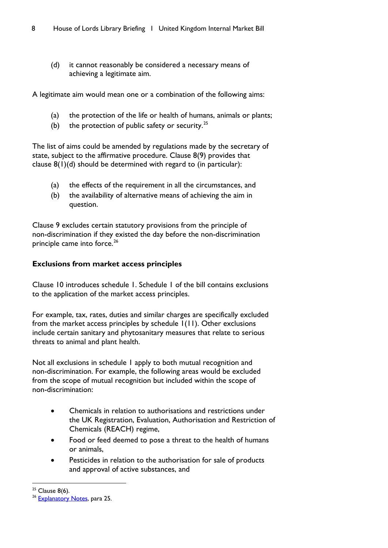(d) it cannot reasonably be considered a necessary means of achieving a legitimate aim.

A legitimate aim would mean one or a combination of the following aims:

- (a) the protection of the life or health of humans, animals or plants;
- (b) the protection of public safety or security. $^{25}$  $^{25}$  $^{25}$

The list of aims could be amended by regulations made by the secretary of state, subject to the affirmative procedure. Clause 8(9) provides that clause 8(1)(d) should be determined with regard to (in particular):

- (a) the effects of the requirement in all the circumstances, and
- (b) the availability of alternative means of achieving the aim in question.

Clause 9 excludes certain statutory provisions from the principle of non-discrimination if they existed the day before the non-discrimination principle came into force.<sup>[26](#page-9-1)</sup>

#### **Exclusions from market access principles**

Clause 10 introduces schedule 1. Schedule 1 of the bill contains exclusions to the application of the market access principles.

For example, tax, rates, duties and similar charges are specifically excluded from the market access principles by schedule 1(11). Other exclusions include certain sanitary and phytosanitary measures that relate to serious threats to animal and plant health.

Not all exclusions in schedule 1 apply to both mutual recognition and non-discrimination. For example, the following areas would be excluded from the scope of mutual recognition but included within the scope of non-discrimination:

- Chemicals in relation to authorisations and restrictions under the UK Registration, Evaluation, Authorisation and Restriction of Chemicals (REACH) regime,
- Food or feed deemed to pose a threat to the health of humans or animals,
- Pesticides in relation to the authorisation for sale of products and approval of active substances, and

<span id="page-9-0"></span> $25$  Clause 8(6).

<span id="page-9-1"></span><sup>&</sup>lt;sup>26</sup> [Explanatory Notes,](https://publications.parliament.uk/pa/bills/lbill/58-01/135/5801135en.pdf) para 25.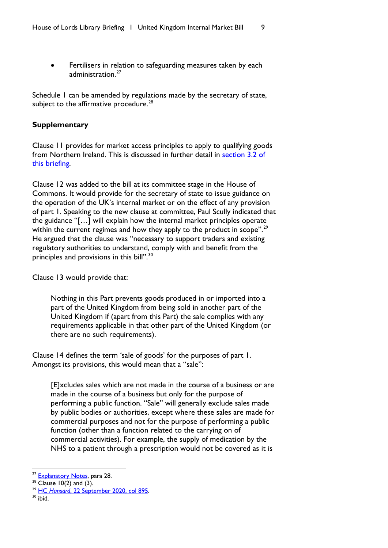• Fertilisers in relation to safeguarding measures taken by each administration.<sup>[27](#page-10-0)</sup>

Schedule 1 can be amended by regulations made by the secretary of state, subject to the affirmative procedure. $^{28}$  $^{28}$  $^{28}$ 

# **Supplementary**

Clause 11 provides for market access principles to apply to qualifying goods from Northern Ireland. This is discussed in further detail in [section 3.2 of](#page-31-0)  [this briefing.](#page-31-0)

Clause 12 was added to the bill at its committee stage in the House of Commons. It would provide for the secretary of state to issue guidance on the operation of the UK's internal market or on the effect of any provision of part 1. Speaking to the new clause at committee, Paul Scully indicated that the guidance "[…] will explain how the internal market principles operate within the current regimes and how they apply to the product in scope".<sup>[29](#page-10-2)</sup> He argued that the clause was "necessary to support traders and existing regulatory authorities to understand, comply with and benefit from the principles and provisions in this bill".<sup>[30](#page-10-3)</sup>

Clause 13 would provide that:

Nothing in this Part prevents goods produced in or imported into a part of the United Kingdom from being sold in another part of the United Kingdom if (apart from this Part) the sale complies with any requirements applicable in that other part of the United Kingdom (or there are no such requirements).

Clause 14 defines the term 'sale of goods' for the purposes of part 1. Amongst its provisions, this would mean that a "sale":

[E]xcludes sales which are not made in the course of a business or are made in the course of a business but only for the purpose of performing a public function. "Sale" will generally exclude sales made by public bodies or authorities, except where these sales are made for commercial purposes and not for the purpose of performing a public function (other than a function related to the carrying on of commercial activities). For example, the supply of medication by the NHS to a patient through a prescription would not be covered as it is

<span id="page-10-3"></span><sup>30</sup> ibid.

<span id="page-10-0"></span><sup>&</sup>lt;sup>27</sup> [Explanatory Notes,](https://publications.parliament.uk/pa/bills/lbill/58-01/135/5801135en.pdf) para 28.

<span id="page-10-1"></span> $28$  Clause 10(2) and (3).

<span id="page-10-2"></span><sup>29</sup> HC *Hansard*[, 22 September 2020, col 895.](https://hansard.parliament.uk/commons/2020-09-22/debates/0AA112D9-F297-424A-8646-B291BC401248/UnitedKingdomInternalMarketBill)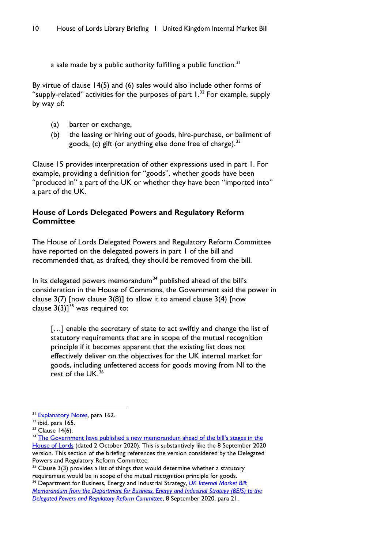a sale made by a public authority fulfilling a public function.<sup>[31](#page-11-0)</sup>

By virtue of clause 14(5) and (6) sales would also include other forms of "supply-related" activities for the purposes of part  $1.^{32}$  $1.^{32}$  $1.^{32}$  For example, supply by way of:

- (a) barter or exchange,
- (b) the leasing or hiring out of goods, hire-purchase, or bailment of goods, (c) gift (or anything else done free of charge).  $33$

Clause 15 provides interpretation of other expressions used in part 1. For example, providing a definition for "goods", whether goods have been "produced in" a part of the UK or whether they have been "imported into" a part of the UK.

# **House of Lords Delegated Powers and Regulatory Reform Committee**

The House of Lords Delegated Powers and Regulatory Reform Committee have reported on the delegated powers in part I of the bill and recommended that, as drafted, they should be removed from the bill.

In its delegated powers memorandum<sup>[34](#page-11-3)</sup> published ahead of the bill's consideration in the House of Commons, the Government said the power in clause  $3(7)$  [now clause  $3(8)$ ] to allow it to amend clause  $3(4)$  [now clause  $3(3)$ ]<sup>[35](#page-11-4)</sup> was required to:

[...] enable the secretary of state to act swiftly and change the list of statutory requirements that are in scope of the mutual recognition principle if it becomes apparent that the existing list does not effectively deliver on the objectives for the UK internal market for goods, including unfettered access for goods moving from NI to the rest of the UK. $36$ 

<span id="page-11-0"></span><sup>&</sup>lt;sup>31</sup> [Explanatory Notes,](https://publications.parliament.uk/pa/bills/lbill/58-01/135/5801135en.pdf) para 162.

<span id="page-11-1"></span> $32$  ibid, para 165.

<span id="page-11-2"></span> $33$  Clause 14(6).

<span id="page-11-3"></span><sup>&</sup>lt;sup>34</sup> The Government have published a new memorandum ahead of the bill's stages in the [House of Lords](https://publications.parliament.uk/pa/bills/lbill/58-01/135/5801135-DPM.pdf) (dated 2 October 2020). This is substantively like the 8 September 2020 version. This section of the briefing references the version considered by the Delegated Powers and Regulatory Reform Committee.

<span id="page-11-4"></span> $35$  Clause 3(3) provides a list of things that would determine whether a statutory requirement would be in scope of the mutual recognition principle for goods.

<span id="page-11-5"></span><sup>36</sup> Department for Business, Energy and Industrial Strategy, *[UK Internal Market Bill:](https://publications.parliament.uk/pa/bills/cbill/58-01/0177/UK%20Internal%20Market%20Bill%20-%20Final%20DPRRC%20Memo%2008092020.pdf)  [Memorandum from the Department for Business, Energy and Industrial Strategy \(BEIS\) to the](https://publications.parliament.uk/pa/bills/cbill/58-01/0177/UK%20Internal%20Market%20Bill%20-%20Final%20DPRRC%20Memo%2008092020.pdf)  [Delegated Powers and Regulatory Reform Committee](https://publications.parliament.uk/pa/bills/cbill/58-01/0177/UK%20Internal%20Market%20Bill%20-%20Final%20DPRRC%20Memo%2008092020.pdf)*, 8 September 2020, para 21.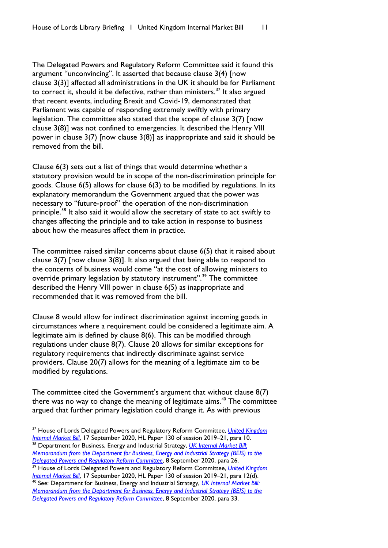The Delegated Powers and Regulatory Reform Committee said it found this argument "unconvincing". It asserted that because clause 3(4) [now clause 3(3)] affected all administrations in the UK it should be for Parliament to correct it, should it be defective, rather than ministers.<sup>[37](#page-12-0)</sup> It also argued that recent events, including Brexit and Covid-19, demonstrated that Parliament was capable of responding extremely swiftly with primary legislation. The committee also stated that the scope of clause 3(7) [now clause 3(8)] was not confined to emergencies. It described the Henry VIII power in clause 3(7) [now clause 3(8)] as inappropriate and said it should be removed from the bill.

Clause 6(3) sets out a list of things that would determine whether a statutory provision would be in scope of the non-discrimination principle for goods. Clause 6(5) allows for clause 6(3) to be modified by regulations. In its explanatory memorandum the Government argued that the power was necessary to "future-proof" the operation of the non-discrimination principle.<sup>[38](#page-12-1)</sup> It also said it would allow the secretary of state to act swiftly to changes affecting the principle and to take action in response to business about how the measures affect them in practice.

The committee raised similar concerns about clause 6(5) that it raised about clause 3(7) [now clause 3(8)]. It also argued that being able to respond to the concerns of business would come "at the cost of allowing ministers to override primary legislation by statutory instrument".<sup>[39](#page-12-2)</sup> The committee described the Henry VIII power in clause 6(5) as inappropriate and recommended that it was removed from the bill.

Clause 8 would allow for indirect discrimination against incoming goods in circumstances where a requirement could be considered a legitimate aim. A legitimate aim is defined by clause 8(6). This can be modified through regulations under clause 8(7). Clause 20 allows for similar exceptions for regulatory requirements that indirectly discriminate against service providers. Clause 20(7) allows for the meaning of a legitimate aim to be modified by regulations.

The committee cited the Government's argument that without clause 8(7) there was no way to change the meaning of legitimate aims.<sup>[40](#page-12-3)</sup> The committee argued that further primary legislation could change it. As with previous

<span id="page-12-0"></span><sup>37</sup> House of Lords Delegated Powers and Regulatory Reform Committee, *[United Kingdom](https://committees.parliament.uk/publications/2628/documents/26219/default/)  [Internal Market Bill](https://committees.parliament.uk/publications/2628/documents/26219/default/)*, 17 September 2020, HL Paper 130 of session 2019–21, para 10. <sup>38</sup> Department for Business, Energy and Industrial Strategy, *[UK Internal Market Bill:](https://publications.parliament.uk/pa/bills/cbill/58-01/0177/UK%20Internal%20Market%20Bill%20-%20Final%20DPRRC%20Memo%2008092020.pdf)* 

<span id="page-12-1"></span>*[Memorandum from the Department for Business, Energy and Industrial Strategy \(BEIS\) to the](https://publications.parliament.uk/pa/bills/cbill/58-01/0177/UK%20Internal%20Market%20Bill%20-%20Final%20DPRRC%20Memo%2008092020.pdf)  [Delegated Powers and Regulatory Reform Committee](https://publications.parliament.uk/pa/bills/cbill/58-01/0177/UK%20Internal%20Market%20Bill%20-%20Final%20DPRRC%20Memo%2008092020.pdf)*, 8 September 2020, para 26.

<span id="page-12-2"></span><sup>39</sup> House of Lords Delegated Powers and Regulatory Reform Committee, *[United Kingdom](https://committees.parliament.uk/publications/2628/documents/26219/default/) [Internal Market Bill](https://committees.parliament.uk/publications/2628/documents/26219/default/)*, 17 September 2020, HL Paper 130 of session 2019–21, para 12(d).

<span id="page-12-3"></span><sup>40</sup> See: Department for Business, Energy and Industrial Strategy, *[UK Internal Market Bill:](https://publications.parliament.uk/pa/bills/cbill/58-01/0177/UK%20Internal%20Market%20Bill%20-%20Final%20DPRRC%20Memo%2008092020.pdf)  [Memorandum from the Department for Business, Energy and Industrial Strategy \(BEIS\) to the](https://publications.parliament.uk/pa/bills/cbill/58-01/0177/UK%20Internal%20Market%20Bill%20-%20Final%20DPRRC%20Memo%2008092020.pdf)  [Delegated Powers and Regulatory Reform Committee](https://publications.parliament.uk/pa/bills/cbill/58-01/0177/UK%20Internal%20Market%20Bill%20-%20Final%20DPRRC%20Memo%2008092020.pdf)*, 8 September 2020, para 33.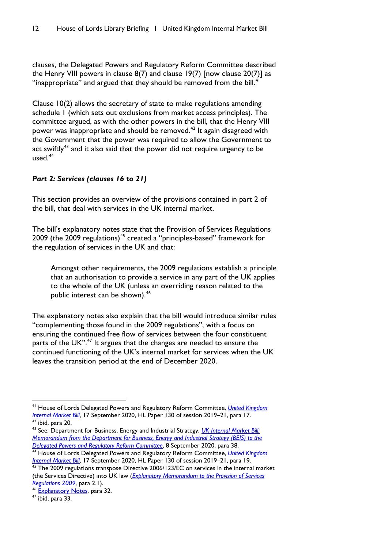clauses, the Delegated Powers and Regulatory Reform Committee described the Henry VIII powers in clause  $8(7)$  and clause 19(7) [now clause  $20(7)$ ] as "inappropriate" and argued that they should be removed from the bill. $41$ 

Clause 10(2) allows the secretary of state to make regulations amending schedule 1 (which sets out exclusions from market access principles). The committee argued, as with the other powers in the bill, that the Henry VIII power was inappropriate and should be removed.<sup>[42](#page-13-1)</sup> It again disagreed with the Government that the power was required to allow the Government to act swiftly<sup>[43](#page-13-2)</sup> and it also said that the power did not require urgency to be used. $44$ 

#### *Part 2: Services (clauses 16 to 21)*

This section provides an overview of the provisions contained in part 2 of the bill, that deal with services in the UK internal market.

The bill's explanatory notes state that the Provision of Services Regulations 2009 (the 2009 regulations)<sup>[45](#page-13-4)</sup> created a "principles-based" framework for the regulation of services in the UK and that:

Amongst other requirements, the 2009 regulations establish a principle that an authorisation to provide a service in any part of the UK applies to the whole of the UK (unless an overriding reason related to the public interest can be shown).<sup>[46](#page-13-5)</sup>

The explanatory notes also explain that the bill would introduce similar rules "complementing those found in the 2009 regulations", with a focus on ensuring the continued free flow of services between the four constituent parts of the UK".<sup>[47](#page-13-6)</sup> It argues that the changes are needed to ensure the continued functioning of the UK's internal market for services when the UK leaves the transition period at the end of December 2020.

<span id="page-13-0"></span><sup>41</sup> House of Lords Delegated Powers and Regulatory Reform Committee, *[United Kingdom](https://committees.parliament.uk/publications/2628/documents/26219/default/)  [Internal Market Bill](https://committees.parliament.uk/publications/2628/documents/26219/default/)*, 17 September 2020, HL Paper 130 of session 2019–21, para 17. <sup>42</sup> ibid, para 20.

<span id="page-13-2"></span><span id="page-13-1"></span><sup>43</sup> See: Department for Business, Energy and Industrial Strategy, *[UK Internal Market Bill:](https://publications.parliament.uk/pa/bills/cbill/58-01/0177/UK%20Internal%20Market%20Bill%20-%20Final%20DPRRC%20Memo%2008092020.pdf)  [Memorandum from the Department for Business, Energy and Industrial Strategy \(BEIS\) to the](https://publications.parliament.uk/pa/bills/cbill/58-01/0177/UK%20Internal%20Market%20Bill%20-%20Final%20DPRRC%20Memo%2008092020.pdf)  [Delegated Powers and Regulatory Reform Committee](https://publications.parliament.uk/pa/bills/cbill/58-01/0177/UK%20Internal%20Market%20Bill%20-%20Final%20DPRRC%20Memo%2008092020.pdf)*, 8 September 2020, para 38.

<span id="page-13-3"></span><sup>44</sup> House of Lords Delegated Powers and Regulatory Reform Committee, *[United Kingdom](https://committees.parliament.uk/publications/2628/documents/26219/default/)  [Internal Market Bill](https://committees.parliament.uk/publications/2628/documents/26219/default/)*, 17 September 2020, HL Paper 130 of session 2019–21, para 19.

<span id="page-13-4"></span>The 2009 regulations transpose Directive 2006/123/EC on services in the internal market (the Services Directive) into UK law (*[Explanatory Memorandum to the Provision of Services](https://www.legislation.gov.uk/uksi/2009/2999/pdfs/uksiem_20092999_en.pdf)  [Regulations 2009](https://www.legislation.gov.uk/uksi/2009/2999/pdfs/uksiem_20092999_en.pdf)*, para 2.1).

<span id="page-13-5"></span><sup>&</sup>lt;sup>46</sup> [Explanatory Notes,](https://publications.parliament.uk/pa/bills/lbill/58-01/135/5801135en.pdf) para 32.

<span id="page-13-6"></span> $47$  ibid, para 33.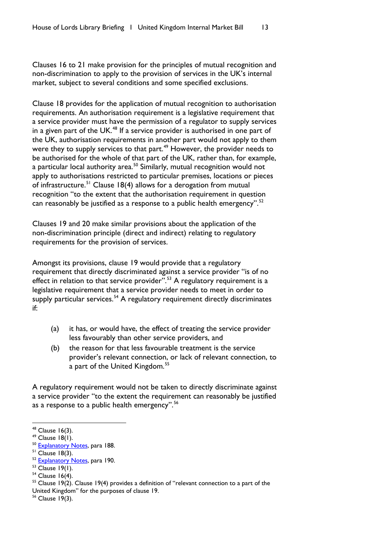Clauses 16 to 21 make provision for the principles of mutual recognition and non-discrimination to apply to the provision of services in the UK's internal market, subject to several conditions and some specified exclusions.

Clause 18 provides for the application of mutual recognition to authorisation requirements. An authorisation requirement is a legislative requirement that a service provider must have the permission of a regulator to supply services in a given part of the UK. $48$  If a service provider is authorised in one part of the UK, authorisation requirements in another part would not apply to them were they to supply services to that part.<sup>[49](#page-14-1)</sup> However, the provider needs to be authorised for the whole of that part of the UK, rather than, for example, a particular local authority area.<sup>[50](#page-14-2)</sup> Similarly, mutual recognition would not apply to authorisations restricted to particular premises, locations or pieces of infrastructure.<sup>[51](#page-14-3)</sup> Clause 18(4) allows for a derogation from mutual recognition "to the extent that the authorisation requirement in question can reasonably be justified as a response to a public health emergency".<sup>[52](#page-14-4)</sup>

Clauses 19 and 20 make similar provisions about the application of the non-discrimination principle (direct and indirect) relating to regulatory requirements for the provision of services.

Amongst its provisions, clause 19 would provide that a regulatory requirement that directly discriminated against a service provider "is of no effect in relation to that service provider".<sup>[53](#page-14-5)</sup> A regulatory requirement is a legislative requirement that a service provider needs to meet in order to supply particular services.<sup>[54](#page-14-6)</sup> A regulatory requirement directly discriminates if:

- (a) it has, or would have, the effect of treating the service provider less favourably than other service providers, and
- (b) the reason for that less favourable treatment is the service provider's relevant connection, or lack of relevant connection, to a part of the United Kingdom.<sup>[55](#page-14-7)</sup>

A regulatory requirement would not be taken to directly discriminate against a service provider "to the extent the requirement can reasonably be justified as a response to a public health emergency".<sup>[56](#page-14-8)</sup>

<span id="page-14-0"></span> $48$  Clause 16(3).<br> $49$  Clause 18(1).

<span id="page-14-1"></span>

<span id="page-14-2"></span><sup>&</sup>lt;sup>50</sup> [Explanatory Notes,](https://publications.parliament.uk/pa/bills/lbill/58-01/135/5801135en.pdf) para 188.

<span id="page-14-3"></span> $51$  Clause 18(3).

<span id="page-14-4"></span> $52$  [Explanatory Notes,](https://publications.parliament.uk/pa/bills/lbill/58-01/135/5801135en.pdf) para 190.<br> $53$  Clause 19(1).

<span id="page-14-5"></span>

<span id="page-14-6"></span> $54$  Clause 16(4).

<span id="page-14-7"></span> $55$  Clause 19(2). Clause 19(4) provides a definition of "relevant connection to a part of the United Kingdom" for the purposes of clause 19.

<span id="page-14-8"></span><sup>56</sup> Clause 19(3).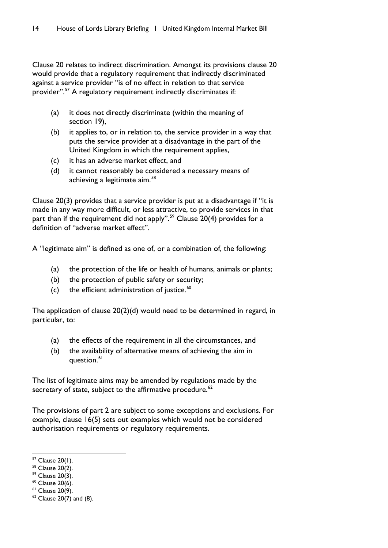Clause 20 relates to indirect discrimination. Amongst its provisions clause 20 would provide that a regulatory requirement that indirectly discriminated against a service provider "is of no effect in relation to that service provider".<sup>[57](#page-15-0)</sup> A regulatory requirement indirectly discriminates if:

- (a) it does not directly discriminate (within the meaning of section 19),
- (b) it applies to, or in relation to, the service provider in a way that puts the service provider at a disadvantage in the part of the United Kingdom in which the requirement applies,
- (c) it has an adverse market effect, and
- (d) it cannot reasonably be considered a necessary means of achieving a legitimate aim.<sup>[58](#page-15-1)</sup>

Clause 20(3) provides that a service provider is put at a disadvantage if "it is made in any way more difficult, or less attractive, to provide services in that part than if the requirement did not apply".<sup>[59](#page-15-2)</sup> Clause 20(4) provides for a definition of "adverse market effect".

A "legitimate aim" is defined as one of, or a combination of, the following:

- (a) the protection of the life or health of humans, animals or plants;
- (b) the protection of public safety or security;
- (c) the efficient administration of justice. $60$

The application of clause 20(2)(d) would need to be determined in regard, in particular, to:

- (a) the effects of the requirement in all the circumstances, and
- (b) the availability of alternative means of achieving the aim in question.<sup>[61](#page-15-4)</sup>

The list of legitimate aims may be amended by regulations made by the secretary of state, subject to the affirmative procedure. $62$ 

The provisions of part 2 are subject to some exceptions and exclusions. For example, clause 16(5) sets out examples which would not be considered authorisation requirements or regulatory requirements.

<span id="page-15-0"></span><sup>57</sup> Clause 20(1).

<span id="page-15-1"></span><sup>58</sup> Clause 20(2).

<span id="page-15-2"></span> $59$  Clause 20(3).

<span id="page-15-3"></span> $60$  Clause 20(6).

<span id="page-15-4"></span> $61$  Clause 20(9).

<span id="page-15-5"></span> $62$  Clause 20(7) and (8).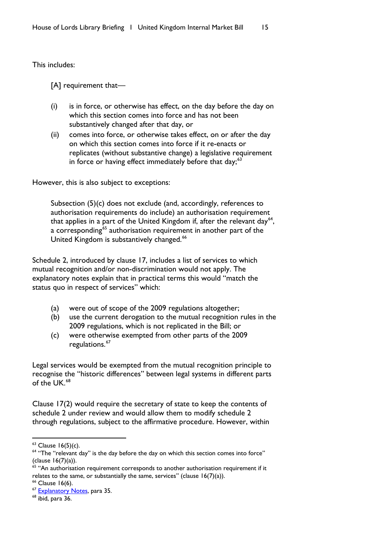This includes:

[A] requirement that—

- (i) is in force, or otherwise has effect, on the day before the day on which this section comes into force and has not been substantively changed after that day, or
- (ii) comes into force, or otherwise takes effect, on or after the day on which this section comes into force if it re-enacts or replicates (without substantive change) a legislative requirement in force or having effect immediately before that day; $63$

However, this is also subject to exceptions:

Subsection (5)(c) does not exclude (and, accordingly, references to authorisation requirements do include) an authorisation requirement that applies in a part of the United Kingdom if, after the relevant day<sup>64</sup>, a corresponding<sup>[65](#page-16-2)</sup> authorisation requirement in another part of the United Kingdom is substantively changed.<sup>[66](#page-16-3)</sup>

Schedule 2, introduced by clause 17, includes a list of services to which mutual recognition and/or non-discrimination would not apply. The explanatory notes explain that in practical terms this would "match the status quo in respect of services" which:

- (a) were out of scope of the 2009 regulations altogether;
- (b) use the current derogation to the mutual recognition rules in the 2009 regulations, which is not replicated in the Bill; or
- (c) were otherwise exempted from other parts of the 2009 regulations.<sup>[67](#page-16-4)</sup>

Legal services would be exempted from the mutual recognition principle to recognise the "historic differences" between legal systems in different parts of the UK  $68$ 

Clause 17(2) would require the secretary of state to keep the contents of schedule 2 under review and would allow them to modify schedule 2 through regulations, subject to the affirmative procedure. However, within

<span id="page-16-0"></span> $63$  Clause 16(5)(c).

<span id="page-16-1"></span><sup>&</sup>lt;sup>64</sup> "The "relevant day" is the day before the day on which this section comes into force" (clause 16(7)(a)).

<span id="page-16-2"></span> $65$  "An authorisation requirement corresponds to another authorisation requirement if it relates to the same, or substantially the same, services" (clause  $16(7)(a)$ ).

<span id="page-16-3"></span><sup>&</sup>lt;sup>66</sup> Clause 16(6).

<span id="page-16-4"></span><sup>&</sup>lt;sup>67</sup> [Explanatory Notes,](https://publications.parliament.uk/pa/bills/lbill/58-01/135/5801135en.pdf) para 35.

<span id="page-16-5"></span> $68$  ibid, para 36.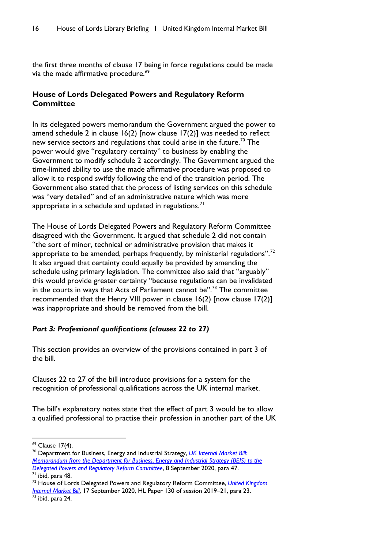the first three months of clause 17 being in force regulations could be made via the made affirmative procedure.<sup>[69](#page-17-0)</sup>

# **House of Lords Delegated Powers and Regulatory Reform Committee**

In its delegated powers memorandum the Government argued the power to amend schedule 2 in clause 16(2) [now clause 17(2)] was needed to reflect new service sectors and regulations that could arise in the future.<sup>[70](#page-17-1)</sup> The power would give "regulatory certainty" to business by enabling the Government to modify schedule 2 accordingly. The Government argued the time-limited ability to use the made affirmative procedure was proposed to allow it to respond swiftly following the end of the transition period. The Government also stated that the process of listing services on this schedule was "very detailed" and of an administrative nature which was more appropriate in a schedule and updated in regulations.<sup>[71](#page-17-2)</sup>

The House of Lords Delegated Powers and Regulatory Reform Committee disagreed with the Government. It argued that schedule 2 did not contain "the sort of minor, technical or administrative provision that makes it appropriate to be amended, perhaps frequently, by ministerial regulations".<sup>[72](#page-17-3)</sup> It also argued that certainty could equally be provided by amending the schedule using primary legislation. The committee also said that "arguably" this would provide greater certainty "because regulations can be invalidated in the courts in ways that Acts of Parliament cannot be".<sup>[73](#page-17-4)</sup> The committee recommended that the Henry VIII power in clause 16(2) [now clause 17(2)] was inappropriate and should be removed from the bill.

# *Part 3: Professional qualifications (clauses 22 to 27)*

This section provides an overview of the provisions contained in part 3 of the bill.

Clauses 22 to 27 of the bill introduce provisions for a system for the recognition of professional qualifications across the UK internal market.

The bill's explanatory notes state that the effect of part 3 would be to allow a qualified professional to practise their profession in another part of the UK

<span id="page-17-4"></span> $\frac{73}{73}$  ibid, para 24.

<span id="page-17-0"></span><sup>69</sup> Clause 17(4).

<span id="page-17-1"></span><sup>70</sup> Department for Business, Energy and Industrial Strategy, *[UK Internal Market Bill:](https://publications.parliament.uk/pa/bills/cbill/58-01/0177/UK%20Internal%20Market%20Bill%20-%20Final%20DPRRC%20Memo%2008092020.pdf)  [Memorandum from the Department for Business, Energy and Industrial Strategy \(BEIS\) to the](https://publications.parliament.uk/pa/bills/cbill/58-01/0177/UK%20Internal%20Market%20Bill%20-%20Final%20DPRRC%20Memo%2008092020.pdf)* 

<span id="page-17-2"></span>*[Delegated Powers and Regulatory Reform Committee](https://publications.parliament.uk/pa/bills/cbill/58-01/0177/UK%20Internal%20Market%20Bill%20-%20Final%20DPRRC%20Memo%2008092020.pdf)*, 8 September 2020, para 47.  $71$  ibid, para 48.

<span id="page-17-3"></span><sup>72</sup> House of Lords Delegated Powers and Regulatory Reform Committee, *[United Kingdom](https://committees.parliament.uk/publications/2628/documents/26219/default/)  [Internal Market Bill](https://committees.parliament.uk/publications/2628/documents/26219/default/)*, 17 September 2020, HL Paper 130 of session 2019–21, para 23.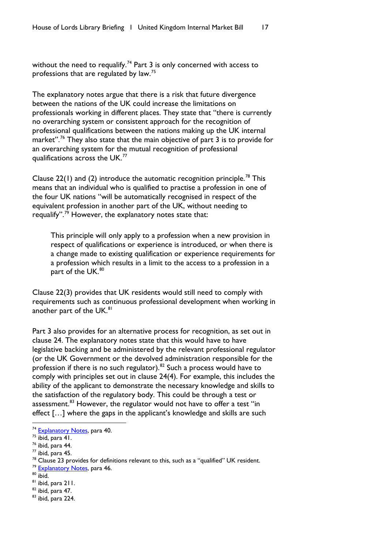without the need to requalify.<sup>[74](#page-18-0)</sup> Part 3 is only concerned with access to professions that are regulated by law.<sup>[75](#page-18-1)</sup>

The explanatory notes argue that there is a risk that future divergence between the nations of the UK could increase the limitations on professionals working in different places. They state that "there is currently no overarching system or consistent approach for the recognition of professional qualifications between the nations making up the UK internal market".<sup>[76](#page-18-2)</sup> They also state that the main objective of part 3 is to provide for an overarching system for the mutual recognition of professional qualifications across the UK.<sup>[77](#page-18-3)</sup>

Clause 22(1) and (2) introduce the automatic recognition principle.<sup>[78](#page-18-4)</sup> This means that an individual who is qualified to practise a profession in one of the four UK nations "will be automatically recognised in respect of the equivalent profession in another part of the UK, without needing to requalify".[79](#page-18-5) However, the explanatory notes state that:

This principle will only apply to a profession when a new provision in respect of qualifications or experience is introduced, or when there is a change made to existing qualification or experience requirements for a profession which results in a limit to the access to a profession in a part of the UK.<sup>[80](#page-18-6)</sup>

Clause 22(3) provides that UK residents would still need to comply with requirements such as continuous professional development when working in another part of the UK.<sup>[81](#page-18-7)</sup>

Part 3 also provides for an alternative process for recognition, as set out in clause 24. The explanatory notes state that this would have to have legislative backing and be administered by the relevant professional regulator (or the UK Government or the devolved administration responsible for the profession if there is no such regulator). $82$  Such a process would have to comply with principles set out in clause 24(4). For example, this includes the ability of the applicant to demonstrate the necessary knowledge and skills to the satisfaction of the regulatory body. This could be through a test or assessment. $83$  However, the regulator would not have to offer a test "in effect […] where the gaps in the applicant's knowledge and skills are such

- <span id="page-18-5"></span>
- <span id="page-18-6"></span> $80$  ibid.
- <span id="page-18-7"></span><sup>81</sup> ibid, para 211.

<span id="page-18-0"></span><sup>&</sup>lt;sup>74</sup> [Explanatory Notes,](https://publications.parliament.uk/pa/bills/lbill/58-01/135/5801135en.pdf) para 40.

<span id="page-18-1"></span> $75$  ibid, para 41.

<span id="page-18-2"></span> $76$  ibid, para  $44$ .

<span id="page-18-3"></span> $77$  ibid, para 45.

<span id="page-18-4"></span><sup>&</sup>lt;sup>78</sup> Clause 23 provides for definitions relevant to this, such as a "qualified" UK resident.<br><sup>79</sup> [Explanatory Notes,](https://publications.parliament.uk/pa/bills/lbill/58-01/135/5801135en.pdf) para 46.

<span id="page-18-8"></span><sup>82</sup> ibid, para 47.

<span id="page-18-9"></span><sup>83</sup> ibid, para 224.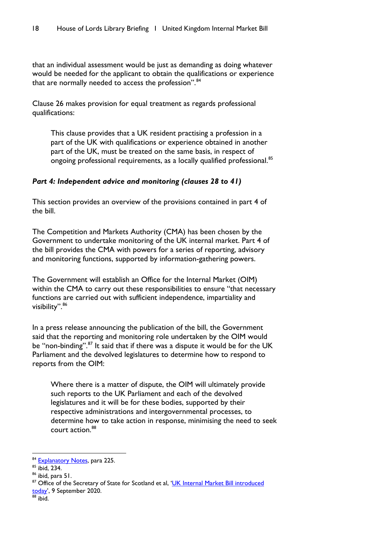that an individual assessment would be just as demanding as doing whatever would be needed for the applicant to obtain the qualifications or experience that are normally needed to access the profession".<sup>[84](#page-19-0)</sup>

Clause 26 makes provision for equal treatment as regards professional qualifications:

This clause provides that a UK resident practising a profession in a part of the UK with qualifications or experience obtained in another part of the UK, must be treated on the same basis, in respect of ongoing professional requirements, as a locally qualified professional.<sup>[85](#page-19-1)</sup>

#### *Part 4: Independent advice and monitoring (clauses 28 to 41)*

This section provides an overview of the provisions contained in part 4 of the bill.

The Competition and Markets Authority (CMA) has been chosen by the Government to undertake monitoring of the UK internal market. Part 4 of the bill provides the CMA with powers for a series of reporting, advisory and monitoring functions, supported by information-gathering powers.

The Government will establish an Office for the Internal Market (OIM) within the CMA to carry out these responsibilities to ensure "that necessary functions are carried out with sufficient independence, impartiality and visibility".<sup>[86](#page-19-2)</sup>

In a press release announcing the publication of the bill, the Government said that the reporting and monitoring role undertaken by the OIM would be "non-binding".<sup>[87](#page-19-3)</sup> It said that if there was a dispute it would be for the UK Parliament and the devolved legislatures to determine how to respond to reports from the OIM:

Where there is a matter of dispute, the OIM will ultimately provide such reports to the UK Parliament and each of the devolved legislatures and it will be for these bodies, supported by their respective administrations and intergovernmental processes, to determine how to take action in response, minimising the need to seek court action.[88](#page-19-4)

<span id="page-19-0"></span><sup>84</sup> [Explanatory Notes,](https://publications.parliament.uk/pa/bills/lbill/58-01/135/5801135en.pdf) para 225.

<span id="page-19-1"></span> $\frac{85}{6}$  ibid, 234.<br> $\frac{86}{6}$  ibid, para 51.

<span id="page-19-2"></span>

<span id="page-19-4"></span><span id="page-19-3"></span><sup>&</sup>lt;sup>87</sup> Office of the Secretary of State for Scotland et al, 'UK Internal Market Bill introduced [today'](https://www.gov.uk/government/news/uk-internal-market-bill-introduced-today), 9 September 2020.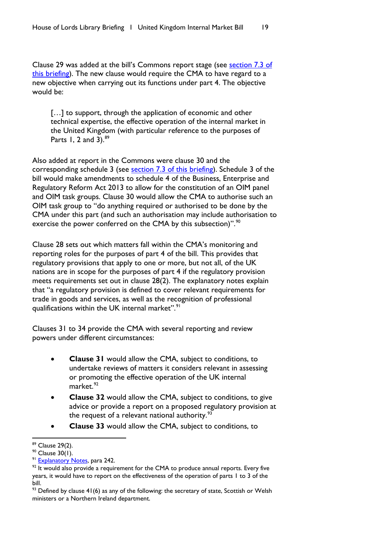Clause 29 was added at the bill's Commons report stage (see section 7.3 of [this briefing\)](#page-68-0). The new clause would require the CMA to have regard to a new objective when carrying out its functions under part 4. The objective would be:

[...] to support, through the application of economic and other technical expertise, the effective operation of the internal market in the United Kingdom (with particular reference to the purposes of Parts 1, 2 and 3). $89$ 

Also added at report in the Commons were clause 30 and the corresponding schedule 3 (see [section 7.3 of this briefing\)](#page-68-0). Schedule 3 of the bill would make amendments to schedule 4 of the Business, Enterprise and Regulatory Reform Act 2013 to allow for the constitution of an OIM panel and OIM task groups. Clause 30 would allow the CMA to authorise such an OIM task group to "do anything required or authorised to be done by the CMA under this part (and such an authorisation may include authorisation to exercise the power conferred on the CMA by this subsection)".<sup>[90](#page-20-1)</sup>

Clause 28 sets out which matters fall within the CMA's monitoring and reporting roles for the purposes of part 4 of the bill. This provides that regulatory provisions that apply to one or more, but not all, of the UK nations are in scope for the purposes of part 4 if the regulatory provision meets requirements set out in clause 28(2). The explanatory notes explain that "a regulatory provision is defined to cover relevant requirements for trade in goods and services, as well as the recognition of professional qualifications within the UK internal market".<sup>[91](#page-20-2)</sup>

Clauses 31 to 34 provide the CMA with several reporting and review powers under different circumstances:

- **Clause 31** would allow the CMA, subject to conditions, to undertake reviews of matters it considers relevant in assessing or promoting the effective operation of the UK internal  $\text{market.}^{\text{92}}$  $\text{market.}^{\text{92}}$  $\text{market.}^{\text{92}}$
- **Clause 32** would allow the CMA, subject to conditions, to give advice or provide a report on a proposed regulatory provision at the request of a relevant national authority. $93$
- **Clause 33** would allow the CMA, subject to conditions, to

<span id="page-20-0"></span><sup>89</sup> Clause 29(2).

<span id="page-20-1"></span><sup>90</sup> Clause 30(1).

<span id="page-20-2"></span><sup>&</sup>lt;sup>91</sup> [Explanatory Notes,](https://publications.parliament.uk/pa/bills/lbill/58-01/135/5801135en.pdf) para 242.

<span id="page-20-3"></span> $92$  It would also provide a requirement for the CMA to produce annual reports. Every five years, it would have to report on the effectiveness of the operation of parts 1 to 3 of the bill.

<span id="page-20-4"></span> $93$  Defined by clause 41(6) as any of the following: the secretary of state, Scottish or Welsh ministers or a Northern Ireland department.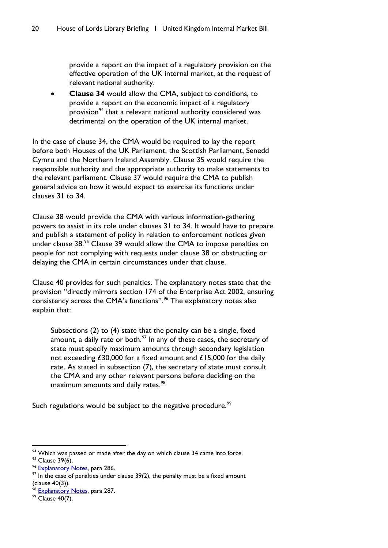provide a report on the impact of a regulatory provision on the effective operation of the UK internal market, at the request of relevant national authority.

• **Clause 34** would allow the CMA, subject to conditions, to provide a report on the economic impact of a regulatory provision<sup>[94](#page-21-0)</sup> that a relevant national authority considered was detrimental on the operation of the UK internal market.

In the case of clause 34, the CMA would be required to lay the report before both Houses of the UK Parliament, the Scottish Parliament, Senedd Cymru and the Northern Ireland Assembly. Clause 35 would require the responsible authority and the appropriate authority to make statements to the relevant parliament. Clause 37 would require the CMA to publish general advice on how it would expect to exercise its functions under clauses 31 to 34.

Clause 38 would provide the CMA with various information-gathering powers to assist in its role under clauses 31 to 34. It would have to prepare and publish a statement of policy in relation to enforcement notices given under clause 38.<sup>[95](#page-21-1)</sup> Clause 39 would allow the CMA to impose penalties on people for not complying with requests under clause 38 or obstructing or delaying the CMA in certain circumstances under that clause.

Clause 40 provides for such penalties. The explanatory notes state that the provision "directly mirrors section 174 of the Enterprise Act 2002, ensuring consistency across the CMA's functions".<sup>[96](#page-21-2)</sup> The explanatory notes also explain that:

Subsections (2) to (4) state that the penalty can be a single, fixed amount, a daily rate or both. $\frac{97}{10}$  $\frac{97}{10}$  $\frac{97}{10}$  In any of these cases, the secretary of state must specify maximum amounts through secondary legislation not exceeding £30,000 for a fixed amount and £15,000 for the daily rate. As stated in subsection (7), the secretary of state must consult the CMA and any other relevant persons before deciding on the maximum amounts and daily rates.<sup>[98](#page-21-4)</sup>

Such regulations would be subject to the negative procedure.<sup>[99](#page-21-5)</sup>

<span id="page-21-4"></span>98 [Explanatory Notes,](https://publications.parliament.uk/pa/bills/lbill/58-01/135/5801135en.pdf) para 287.

<span id="page-21-5"></span><sup>99</sup> Clause 40(7).

<span id="page-21-0"></span> $94$  Which was passed or made after the day on which clause 34 came into force.

<span id="page-21-1"></span><sup>&</sup>lt;sup>95</sup> Clause 39(6).

<span id="page-21-2"></span><sup>&</sup>lt;sup>96</sup> [Explanatory Notes,](https://publications.parliament.uk/pa/bills/lbill/58-01/135/5801135en.pdf) para 286.

<span id="page-21-3"></span> $97$  In the case of penalties under clause 39(2), the penalty must be a fixed amount (clause 40(3)).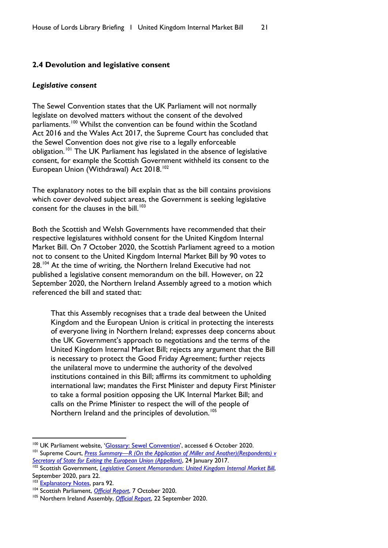#### <span id="page-22-0"></span>**2.4 Devolution and legislative consent**

#### *Legislative consent*

The Sewel Convention states that the UK Parliament will not normally legislate on devolved matters without the consent of the devolved parliaments.<sup>[100](#page-22-1)</sup> Whilst the convention can be found within the Scotland Act 2016 and the Wales Act 2017, the Supreme Court has concluded that the Sewel Convention does not give rise to a legally enforceable obligation.[101](#page-22-2) The UK Parliament has legislated in the absence of legislative consent, for example the Scottish Government withheld its consent to the European Union (Withdrawal) Act 2018.<sup>[102](#page-22-3)</sup>

The explanatory notes to the bill explain that as the bill contains provisions which cover devolved subject areas, the Government is seeking legislative consent for the clauses in the bill.<sup>[103](#page-22-4)</sup>

Both the Scottish and Welsh Governments have recommended that their respective legislatures withhold consent for the United Kingdom Internal Market Bill. On 7 October 2020, the Scottish Parliament agreed to a motion not to consent to the United Kingdom Internal Market Bill by 90 votes to 28.<sup>[104](#page-22-5)</sup> At the time of writing, the Northern Ireland Executive had not published a legislative consent memorandum on the bill. However, on 22 September 2020, the Northern Ireland Assembly agreed to a motion which referenced the bill and stated that:

That this Assembly recognises that a trade deal between the United Kingdom and the European Union is critical in protecting the interests of everyone living in Northern Ireland; expresses deep concerns about the UK Government's approach to negotiations and the terms of the United Kingdom Internal Market Bill; rejects any argument that the Bill is necessary to protect the Good Friday Agreement; further rejects the unilateral move to undermine the authority of the devolved institutions contained in this Bill; affirms its commitment to upholding international law; mandates the First Minister and deputy First Minister to take a formal position opposing the UK Internal Market Bill; and calls on the Prime Minister to respect the will of the people of Northern Ireland and the principles of devolution.<sup>[105](#page-22-6)</sup>

<span id="page-22-1"></span><sup>&</sup>lt;sup>100</sup> UK Parliament website, ['Glossary: Sewel Convention',](https://www.parliament.uk/site-information/glossary/sewel-convention/) accessed 6 October 2020.

<span id="page-22-2"></span><sup>&</sup>lt;sup>101</sup> Supreme Court, *Press Summary—R (On the Application of Miller and Another)(Respondents) v [Secretary of State for Exiting the European Union \(Appellant\)](https://www.supremecourt.uk/cases/docs/uksc-2016-0196-press-summary.pdf)*, 24 January 2017.

<span id="page-22-3"></span><sup>102</sup> Scottish Government, *[Legislative Consent Memorandum: United Kingdom Internal Market Bill](https://www.parliament.scot/S5_Finance/General%20Documents/SPLCM-S05-47.pdf)*, September 2020, para 22.

<span id="page-22-4"></span><sup>&</sup>lt;sup>103</sup> [Explanatory Notes,](https://publications.parliament.uk/pa/bills/lbill/58-01/135/5801135en.pdf) para 92.

<span id="page-22-5"></span><sup>104</sup> Scottish Parliament, *[Official Report](https://www.parliament.scot/parliamentarybusiness/report.aspx?r=12878&i=116425&c=2286216#ScotParlOR)*, 7 October 2020.

<span id="page-22-6"></span><sup>&</sup>lt;sup>105</sup> Northern Ireland Assembly, *[Official Report](http://aims.niassembly.gov.uk/officialreport/report.aspx?&eveDate=2020/09/22&docID=307905#2940318)*, 22 September 2020.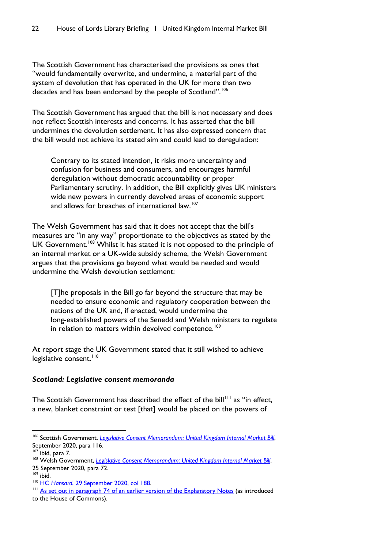The Scottish Government has characterised the provisions as ones that "would fundamentally overwrite, and undermine, a material part of the system of devolution that has operated in the UK for more than two decades and has been endorsed by the people of Scotland".<sup>[106](#page-23-0)</sup>

The Scottish Government has argued that the bill is not necessary and does not reflect Scottish interests and concerns. It has asserted that the bill undermines the devolution settlement. It has also expressed concern that the bill would not achieve its stated aim and could lead to deregulation:

Contrary to its stated intention, it risks more uncertainty and confusion for business and consumers, and encourages harmful deregulation without democratic accountability or proper Parliamentary scrutiny. In addition, the Bill explicitly gives UK ministers wide new powers in currently devolved areas of economic support and allows for breaches of international law.<sup>[107](#page-23-1)</sup>

The Welsh Government has said that it does not accept that the bill's measures are "in any way" proportionate to the objectives as stated by the UK Government.<sup>[108](#page-23-2)</sup> Whilst it has stated it is not opposed to the principle of an internal market or a UK-wide subsidy scheme, the Welsh Government argues that the provisions go beyond what would be needed and would undermine the Welsh devolution settlement:

[T]he proposals in the Bill go far beyond the structure that may be needed to ensure economic and regulatory cooperation between the nations of the UK and, if enacted, would undermine the long-established powers of the Senedd and Welsh ministers to regulate in relation to matters within devolved competence.<sup>[109](#page-23-3)</sup>

At report stage the UK Government stated that it still wished to achieve legislative consent.<sup>[110](#page-23-4)</sup>

#### *Scotland: Legislative consent memoranda*

The Scottish Government has described the effect of the bill<sup>[111](#page-23-5)</sup> as "in effect. a new, blanket constraint or test [that] would be placed on the powers of

<span id="page-23-0"></span><sup>&</sup>lt;sup>106</sup> Scottish Government, *[Legislative Consent Memorandum: United Kingdom Internal Market Bill](https://www.parliament.scot/S5_Finance/General%20Documents/SPLCM-S05-47.pdf)*, September 2020, para 116.

<span id="page-23-1"></span> $107$  ibid, para 7.

<span id="page-23-2"></span><sup>&</sup>lt;sup>108</sup> Welsh Government, *[Legislative Consent Memorandum: United Kingdom Internal Market Bill](https://senedd.wales/laid%20documents/lcm-ld13513/lcm-ld13513-e.pdf)*, 25 September 2020, para 72.

<span id="page-23-3"></span> $109$  ibid.

<span id="page-23-4"></span><sup>110</sup> HC *Hansard*[, 29 September 2020, col 188.](https://hansard.parliament.uk/commons/2020-09-29/debates/96A7BFAF-F6AD-409C-86EC-4799A382727D/UnitedKingdomInternalMarketBill)

<span id="page-23-5"></span><sup>&</sup>lt;sup>111</sup> [As set out in paragraph 74 of an earlier version of the Explanatory Notes](https://publications.parliament.uk/pa/bills/cbill/58-01/0177/en/20177en.pdf) (as introduced to the House of Commons).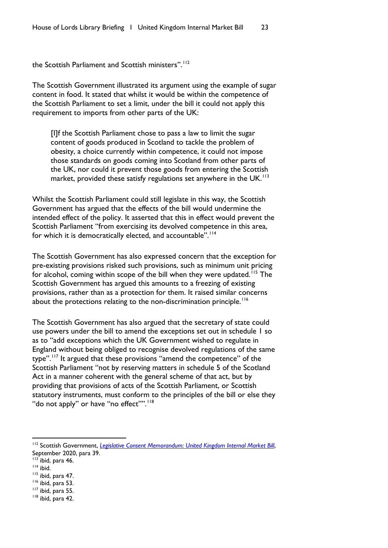the Scottish Parliament and Scottish ministers".<sup>[112](#page-24-0)</sup>

The Scottish Government illustrated its argument using the example of sugar content in food. It stated that whilst it would be within the competence of the Scottish Parliament to set a limit, under the bill it could not apply this requirement to imports from other parts of the UK:

[I]f the Scottish Parliament chose to pass a law to limit the sugar content of goods produced in Scotland to tackle the problem of obesity, a choice currently within competence, it could not impose those standards on goods coming into Scotland from other parts of the UK, nor could it prevent those goods from entering the Scottish market, provided these satisfy regulations set anywhere in the  $UK.$ <sup>[113](#page-24-1)</sup>

Whilst the Scottish Parliament could still legislate in this way, the Scottish Government has argued that the effects of the bill would undermine the intended effect of the policy. It asserted that this in effect would prevent the Scottish Parliament "from exercising its devolved competence in this area, for which it is democratically elected, and accountable".<sup>[114](#page-24-2)</sup>

The Scottish Government has also expressed concern that the exception for pre-existing provisions risked such provisions, such as minimum unit pricing for alcohol, coming within scope of the bill when they were updated.<sup>[115](#page-24-3)</sup> The Scottish Government has argued this amounts to a freezing of existing provisions, rather than as a protection for them. It raised similar concerns about the protections relating to the non-discrimination principle.<sup>[116](#page-24-4)</sup>

The Scottish Government has also argued that the secretary of state could use powers under the bill to amend the exceptions set out in schedule 1 so as to "add exceptions which the UK Government wished to regulate in England without being obliged to recognise devolved regulations of the same type".<sup>[117](#page-24-5)</sup> It argued that these provisions "amend the competence" of the Scottish Parliament "not by reserving matters in schedule 5 of the Scotland Act in a manner coherent with the general scheme of that act, but by providing that provisions of acts of the Scottish Parliament, or Scottish statutory instruments, must conform to the principles of the bill or else they "do not apply" or have "no effect"".<sup>[118](#page-24-6)</sup>

<span id="page-24-0"></span><sup>&</sup>lt;sup>112</sup> Scottish Government, *[Legislative Consent Memorandum: United Kingdom Internal Market Bill](https://www.parliament.scot/S5_Finance/General%20Documents/SPLCM-S05-47.pdf),* September 2020, para 39.

 $113$  ibid, para 46.

<span id="page-24-2"></span><span id="page-24-1"></span> $114$  ibid.

<span id="page-24-3"></span> $115$  ibid, para 47.

<span id="page-24-4"></span><sup>116</sup> ibid, para 53.

<span id="page-24-5"></span> $117$  ibid, para 55.

<span id="page-24-6"></span><sup>118</sup> ibid, para 42.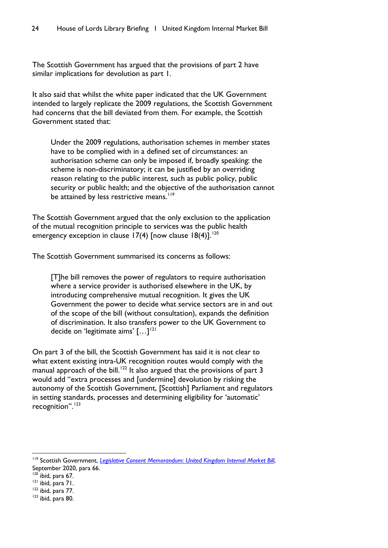The Scottish Government has argued that the provisions of part 2 have similar implications for devolution as part 1.

It also said that whilst the white paper indicated that the UK Government intended to largely replicate the 2009 regulations, the Scottish Government had concerns that the bill deviated from them. For example, the Scottish Government stated that:

Under the 2009 regulations, authorisation schemes in member states have to be complied with in a defined set of circumstances: an authorisation scheme can only be imposed if, broadly speaking: the scheme is non-discriminatory; it can be justified by an overriding reason relating to the public interest, such as public policy, public security or public health; and the objective of the authorisation cannot be attained by less restrictive means.<sup>[119](#page-25-0)</sup>

The Scottish Government argued that the only exclusion to the application of the mutual recognition principle to services was the public health emergency exception in clause 17(4) [now clause  $18(4)$ ].<sup>[120](#page-25-1)</sup>

The Scottish Government summarised its concerns as follows:

[T]he bill removes the power of regulators to require authorisation where a service provider is authorised elsewhere in the UK, by introducing comprehensive mutual recognition. It gives the UK Government the power to decide what service sectors are in and out of the scope of the bill (without consultation), expands the definition of discrimination. It also transfers power to the UK Government to decide on 'legitimate aims'  $\left[ \ldots \right]^{121}$  $\left[ \ldots \right]^{121}$  $\left[ \ldots \right]^{121}$ 

On part 3 of the bill, the Scottish Government has said it is not clear to what extent existing intra-UK recognition routes would comply with the manual approach of the bill.<sup>[122](#page-25-3)</sup> It also argued that the provisions of part 3 would add "extra processes and [undermine] devolution by risking the autonomy of the Scottish Government, [Scottish] Parliament and regulators in setting standards, processes and determining eligibility for 'automatic' recognition".<sup>[123](#page-25-4)</sup>

<span id="page-25-0"></span><sup>&</sup>lt;sup>119</sup> Scottish Government, *[Legislative Consent Memorandum: United Kingdom Internal Market Bill](https://www.parliament.scot/S5_Finance/General%20Documents/SPLCM-S05-47.pdf),* September 2020, para 66.

<span id="page-25-1"></span> $120$  ibid, para 67.

<span id="page-25-2"></span><sup>121</sup> ibid, para 71.

<span id="page-25-3"></span><sup>122</sup> ibid, para 77.

<span id="page-25-4"></span><sup>&</sup>lt;sup>123</sup> ibid, para 80.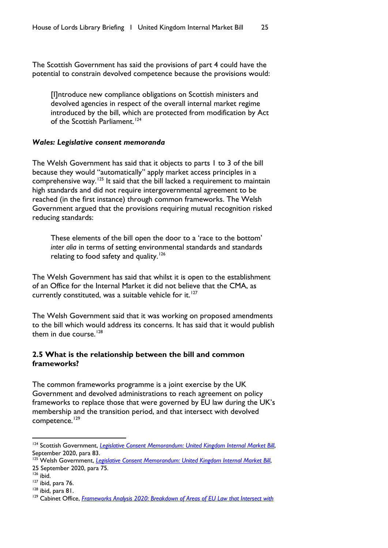The Scottish Government has said the provisions of part 4 could have the potential to constrain devolved competence because the provisions would:

[I]ntroduce new compliance obligations on Scottish ministers and devolved agencies in respect of the overall internal market regime introduced by the bill, which are protected from modification by Act of the Scottish Parliament.<sup>[124](#page-26-1)</sup>

#### *Wales: Legislative consent memoranda*

The Welsh Government has said that it objects to parts 1 to 3 of the bill because they would "automatically" apply market access principles in a comprehensive way.<sup>[125](#page-26-2)</sup> It said that the bill lacked a requirement to maintain high standards and did not require intergovernmental agreement to be reached (in the first instance) through common frameworks. The Welsh Government argued that the provisions requiring mutual recognition risked reducing standards:

These elements of the bill open the door to a 'race to the bottom' *inter alia* in terms of setting environmental standards and standards relating to food safety and quality.<sup>[126](#page-26-3)</sup>

The Welsh Government has said that whilst it is open to the establishment of an Office for the Internal Market it did not believe that the CMA, as currently constituted, was a suitable vehicle for it. $127$ 

The Welsh Government said that it was working on proposed amendments to the bill which would address its concerns. It has said that it would publish them in due course. $128$ 

#### <span id="page-26-0"></span>**2.5 What is the relationship between the bill and common frameworks?**

The common frameworks programme is a joint exercise by the UK Government and devolved administrations to reach agreement on policy frameworks to replace those that were governed by EU law during the UK's membership and the transition period, and that intersect with devolved competence.<sup>[129](#page-26-6)</sup>

<span id="page-26-1"></span><sup>&</sup>lt;sup>124</sup> Scottish Government, *[Legislative Consent Memorandum: United Kingdom Internal Market Bill](https://www.parliament.scot/S5_Finance/General%20Documents/SPLCM-S05-47.pdf)*, September 2020, para 83.

<span id="page-26-2"></span><sup>&</sup>lt;sup>125</sup> Welsh Government, *[Legislative Consent Memorandum: United Kingdom Internal Market Bill](https://senedd.wales/laid%20documents/lcm-ld13513/lcm-ld13513-e.pdf)*, 25 September 2020, para 75.

<span id="page-26-3"></span> $126$  ibid.

<span id="page-26-4"></span> $127$  ibid, para 76.

<span id="page-26-5"></span><sup>128</sup> ibid, para 81.

<span id="page-26-6"></span><sup>&</sup>lt;sup>129</sup> Cabinet Office, *Frameworks Analysis 2020: Breakdown of Areas of EU Law that Intersect with*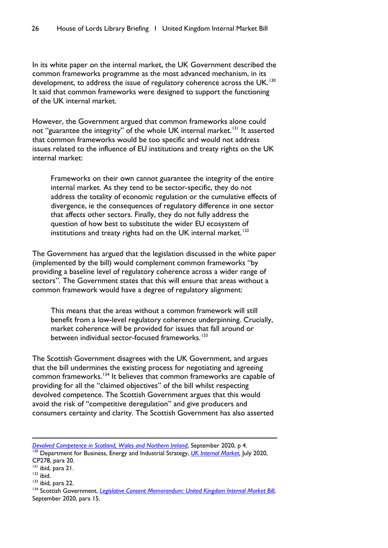In its white paper on the internal market, the UK Government described the common frameworks programme as the most advanced mechanism, in its development, to address the issue of regulatory coherence across the UK.<sup>[130](#page-27-0)</sup> It said that common frameworks were designed to support the functioning of the UK internal market.

However, the Government argued that common frameworks alone could not "guarantee the integrity" of the whole UK internal market.<sup>[131](#page-27-1)</sup> It asserted that common frameworks would be too specific and would not address issues related to the influence of EU institutions and treaty rights on the UK internal market:

Frameworks on their own cannot guarantee the integrity of the entire internal market. As they tend to be sector-specific, they do not address the totality of economic regulation or the cumulative effects of divergence, ie the consequences of regulatory difference in one sector that affects other sectors. Finally, they do not fully address the question of how best to substitute the wider EU ecosystem of institutions and treaty rights had on the UK internal market.<sup>[132](#page-27-2)</sup>

The Government has argued that the legislation discussed in the white paper (implemented by the bill) would complement common frameworks "by providing a baseline level of regulatory coherence across a wider range of sectors". The Government states that this will ensure that areas without a common framework would have a degree of regulatory alignment:

This means that the areas without a common framework will still benefit from a low-level regulatory coherence underpinning. Crucially, market coherence will be provided for issues that fall around or between individual sector-focused frameworks.<sup>[133](#page-27-3)</sup>

The Scottish Government disagrees with the UK Government, and argues that the bill undermines the existing process for negotiating and agreeing common frameworks.[134](#page-27-4) It believes that common frameworks are capable of providing for all the "claimed objectives" of the bill whilst respecting devolved competence. The Scottish Government argues that this would avoid the risk of "competitive deregulation" and give producers and consumers certainty and clarity. The Scottish Government has also asserted

- <span id="page-27-2"></span> $132$  ibid.
- <span id="page-27-3"></span><sup>133</sup> ibid, para 22.

*[Devolved Competence in Scotland, Wales and Northern Ireland](https://assets.publishing.service.gov.uk/government/uploads/system/uploads/attachment_data/file/919729/Frameworks-Analysis-2020.pdf)*, September 2020, p 4. <sup>130</sup> Department for Business, Energy and Industrial Strategy, *[UK Internal Market](https://assets.publishing.service.gov.uk/government/uploads/system/uploads/attachment_data/file/901225/uk-internal-market-white-paper.pdf)*, July 2020,

<span id="page-27-0"></span>CP278, para 20.

<span id="page-27-1"></span><sup>131</sup> ibid, para 21.

<span id="page-27-4"></span><sup>&</sup>lt;sup>134</sup> Scottish Government, *[Legislative Consent Memorandum: United Kingdom Internal Market Bill](https://www.parliament.scot/S5_Finance/General%20Documents/SPLCM-S05-47.pdf)*, September 2020, para 15.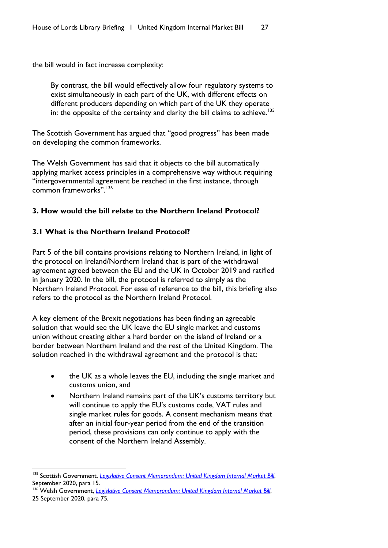<span id="page-28-0"></span>the bill would in fact increase complexity:

By contrast, the bill would effectively allow four regulatory systems to exist simultaneously in each part of the UK, with different effects on different producers depending on which part of the UK they operate in: the opposite of the certainty and clarity the bill claims to achieve.<sup>[135](#page-28-3)</sup>

The Scottish Government has argued that "good progress" has been made on developing the common frameworks.

The Welsh Government has said that it objects to the bill automatically applying market access principles in a comprehensive way without requiring "intergovernmental agreement be reached in the first instance, through common frameworks".[136](#page-28-4)

#### <span id="page-28-1"></span>**3. How would the bill relate to the Northern Ireland Protocol?**

#### <span id="page-28-2"></span>**3.1 What is the Northern Ireland Protocol?**

Part 5 of the bill contains provisions relating to Northern Ireland, in light of the protocol on Ireland/Northern Ireland that is part of the withdrawal agreement agreed between the EU and the UK in October 2019 and ratified in January 2020. In the bill, the protocol is referred to simply as the Northern Ireland Protocol. For ease of reference to the bill, this briefing also refers to the protocol as the Northern Ireland Protocol.

A key element of the Brexit negotiations has been finding an agreeable solution that would see the UK leave the EU single market and customs union without creating either a hard border on the island of Ireland or a border between Northern Ireland and the rest of the United Kingdom. The solution reached in the withdrawal agreement and the protocol is that:

- the UK as a whole leaves the EU, including the single market and customs union, and
- Northern Ireland remains part of the UK's customs territory but will continue to apply the EU's customs code, VAT rules and single market rules for goods. A consent mechanism means that after an initial four-year period from the end of the transition period, these provisions can only continue to apply with the consent of the Northern Ireland Assembly.

<span id="page-28-3"></span><sup>&</sup>lt;sup>135</sup> Scottish Government, *[Legislative Consent Memorandum: United Kingdom Internal Market Bill](https://www.parliament.scot/S5_Finance/General%20Documents/SPLCM-S05-47.pdf),* September 2020, para 15.

<span id="page-28-4"></span><sup>&</sup>lt;sup>136</sup> Welsh Government, *[Legislative Consent Memorandum: United Kingdom Internal Market Bill](https://senedd.wales/laid%20documents/lcm-ld13513/lcm-ld13513-e.pdf)*, 25 September 2020, para 75.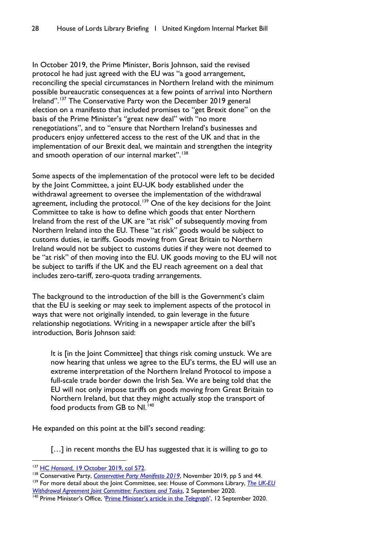In October 2019, the Prime Minister, Boris Johnson, said the revised protocol he had just agreed with the EU was "a good arrangement, reconciling the special circumstances in Northern Ireland with the minimum possible bureaucratic consequences at a few points of arrival into Northern Ireland".<sup>[137](#page-29-0)</sup> The Conservative Party won the December 2019 general election on a manifesto that included promises to "get Brexit done" on the basis of the Prime Minister's "great new deal" with "no more renegotiations", and to "ensure that Northern Ireland's businesses and producers enjoy unfettered access to the rest of the UK and that in the implementation of our Brexit deal, we maintain and strengthen the integrity and smooth operation of our internal market".<sup>[138](#page-29-1)</sup>

Some aspects of the implementation of the protocol were left to be decided by the Joint Committee, a joint EU-UK body established under the withdrawal agreement to oversee the implementation of the withdrawal agreement, including the protocol.<sup>[139](#page-29-2)</sup> One of the key decisions for the Joint Committee to take is how to define which goods that enter Northern Ireland from the rest of the UK are "at risk" of subsequently moving from Northern Ireland into the EU. These "at risk" goods would be subject to customs duties, ie tariffs. Goods moving from Great Britain to Northern Ireland would not be subject to customs duties if they were not deemed to be "at risk" of then moving into the EU. UK goods moving to the EU will not be subject to tariffs if the UK and the EU reach agreement on a deal that includes zero-tariff, zero-quota trading arrangements.

The background to the introduction of the bill is the Government's claim that the EU is seeking or may seek to implement aspects of the protocol in ways that were not originally intended, to gain leverage in the future relationship negotiations. Writing in a newspaper article after the bill's introduction, Boris Johnson said:

It is [in the Joint Committee] that things risk coming unstuck. We are now hearing that unless we agree to the EU's terms, the EU will use an extreme interpretation of the Northern Ireland Protocol to impose a full-scale trade border down the Irish Sea. We are being told that the EU will not only impose tariffs on goods moving from Great Britain to Northern Ireland, but that they might actually stop the transport of food products from GB to NI.<sup>[140](#page-29-3)</sup>

He expanded on this point at the bill's second reading:

[...] in recent months the EU has suggested that it is willing to go to

<span id="page-29-2"></span><sup>139</sup> For more detail about the Joint Committee, see: House of Commons Library, *The UK-EU [Withdrawal Agreement Joint Committee: Functions and Tasks](https://commonslibrary.parliament.uk/research-briefings/cbp-8996/)*, 2 September 2020.

<span id="page-29-0"></span><sup>137</sup> HC *Hansard*[, 19 October 2019, col 572.](https://hansard.parliament.uk/commons/2019-10-19/debates/8C3F5267-8186-4536-83EC-56E3C88DCC8E/PrimeMinister%E2%80%99SStatement)

<span id="page-29-1"></span><sup>&</sup>lt;sup>138</sup> Conservative Party, *[Conservative Party Manifesto 2019](https://assets-global.website-files.com/5da42e2cae7ebd3f8bde353c/5dda924905da587992a064ba_Conservative%202019%20Manifesto.pdf)*, November 2019, pp 5 and 44.

<span id="page-29-3"></span><sup>140</sup> Prime Minister's Office, ['Prime Minister's article in the](https://www.gov.uk/government/speeches/prime-ministers-article-in-the-telegraph-12-september-2020) *Telegraph*', 12 September 2020.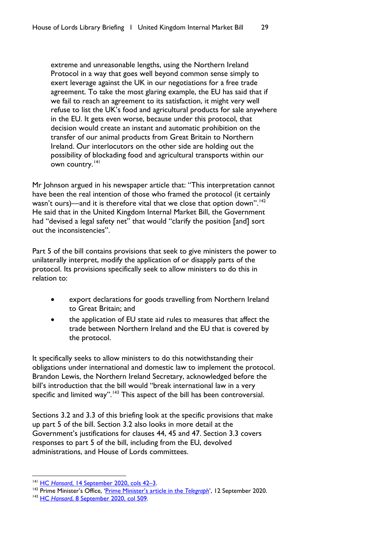extreme and unreasonable lengths, using the Northern Ireland Protocol in a way that goes well beyond common sense simply to exert leverage against the UK in our negotiations for a free trade agreement. To take the most glaring example, the EU has said that if we fail to reach an agreement to its satisfaction, it might very well refuse to list the UK's food and agricultural products for sale anywhere in the EU. It gets even worse, because under this protocol, that decision would create an instant and automatic prohibition on the transfer of our animal products from Great Britain to Northern Ireland. Our interlocutors on the other side are holding out the possibility of blockading food and agricultural transports within our own country.<sup>[141](#page-30-0)</sup>

Mr Johnson argued in his newspaper article that: "This interpretation cannot have been the real intention of those who framed the protocol (it certainly wasn't ours)—and it is therefore vital that we close that option down".<sup>[142](#page-30-1)</sup> He said that in the United Kingdom Internal Market Bill, the Government had "devised a legal safety net" that would "clarify the position [and] sort out the inconsistencies".

Part 5 of the bill contains provisions that seek to give ministers the power to unilaterally interpret, modify the application of or disapply parts of the protocol. Its provisions specifically seek to allow ministers to do this in relation to:

- export declarations for goods travelling from Northern Ireland to Great Britain; and
- the application of EU state aid rules to measures that affect the trade between Northern Ireland and the EU that is covered by the protocol.

It specifically seeks to allow ministers to do this notwithstanding their obligations under international and domestic law to implement the protocol. Brandon Lewis, the Northern Ireland Secretary, acknowledged before the bill's introduction that the bill would "break international law in a very specific and limited way".<sup>[143](#page-30-2)</sup> This aspect of the bill has been controversial.

Sections 3.2 and 3.3 of this briefing look at the specific provisions that make up part 5 of the bill. Section 3.2 also looks in more detail at the Government's justifications for clauses 44, 45 and 47. Section 3.3 covers responses to part 5 of the bill, including from the EU, devolved administrations, and House of Lords committees.

<span id="page-30-0"></span><sup>141</sup> HC *Hansard*, 14 September [2020, cols 42–3.](https://hansard.parliament.uk/commons/2020-09-14/debates/83A18A5B-75DE-4843-9C64-FAD20602C884/UnitedKingdomInternalMarketBill)

<span id="page-30-1"></span><sup>&</sup>lt;sup>142</sup> Prime Minister's Office, ['Prime Minister's article in the](https://www.gov.uk/government/speeches/prime-ministers-article-in-the-telegraph-12-september-2020) *Telegraph*', 12 September 2020.

<span id="page-30-2"></span><sup>143</sup> HC *Hansard*[, 8 September 2020, col 509.](https://hansard.parliament.uk/commons/2020-09-08/debates/2F32EBC3-6692-402C-93E6-76B4CF1BC6E3/NorthernIrelandProtocolUKLegalObligations)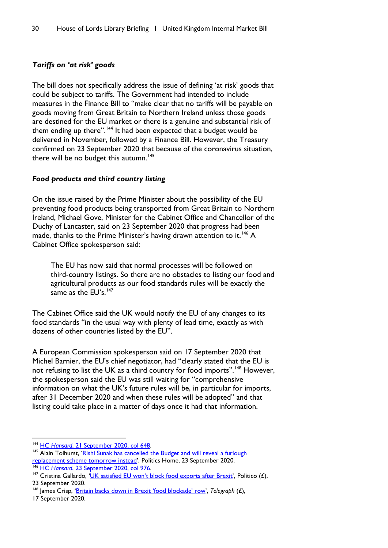# *Tariffs on 'at risk' goods*

The bill does not specifically address the issue of defining 'at risk' goods that could be subject to tariffs. The Government had intended to include measures in the Finance Bill to "make clear that no tariffs will be payable on goods moving from Great Britain to Northern Ireland unless those goods are destined for the EU market or there is a genuine and substantial risk of them ending up there".<sup>[144](#page-31-1)</sup> It had been expected that a budget would be delivered in November, followed by a Finance Bill. However, the Treasury confirmed on 23 September 2020 that because of the coronavirus situation, there will be no budget this autumn.<sup>145</sup>

#### *Food products and third country listing*

On the issue raised by the Prime Minister about the possibility of the EU preventing food products being transported from Great Britain to Northern Ireland, Michael Gove, Minister for the Cabinet Office and Chancellor of the Duchy of Lancaster, said on 23 September 2020 that progress had been made, thanks to the Prime Minister's having drawn attention to it.<sup>[146](#page-31-3)</sup> A Cabinet Office spokesperson said:

The EU has now said that normal processes will be followed on third-country listings. So there are no obstacles to listing our food and agricultural products as our food standards rules will be exactly the same as the EU's.<sup>[147](#page-31-4)</sup>

The Cabinet Office said the UK would notify the EU of any changes to its food standards "in the usual way with plenty of lead time, exactly as with dozens of other countries listed by the EU".

A European Commission spokesperson said on 17 September 2020 that Michel Barnier, the EU's chief negotiator, had "clearly stated that the EU is not refusing to list the UK as a third country for food imports".<sup>[148](#page-31-5)</sup> However, the spokesperson said the EU was still waiting for "comprehensive information on what the UK's future rules will be, in particular for imports, after 31 December 2020 and when these rules will be adopted" and that listing could take place in a matter of days once it had that information.

17 September 2020.

<span id="page-31-1"></span><span id="page-31-0"></span><sup>144</sup> HC *Hansard*[, 21 September 2020, col 648.](https://hansard.parliament.uk/commons/2020-09-21/debates/E16E72B4-04B3-4C62-8375-503BEE8799B0/UnitedKingdomInternalMarketBill)

<span id="page-31-2"></span><sup>&</sup>lt;sup>145</sup> Alain Tolhurst, 'Rishi Sunak has cancelled the Budget and will reveal a furlough [replacement scheme tomorrow instead'](https://www.politicshome.com/news/article/rishi-sunak-cancels-budget-and-will-instead-reveal-new-plan-to-protect-jobs-from-covid19-tomorrow-as-furlough-scheme-ends)[, Polit](https://hansard.parliament.uk/commons/2020-09-23/debates/6CC658D5-2C1B-4803-8CE5-3AF60D005A1F/EUExitEndOfTransitionPeriod%5d)ics Home, 23 September 2020. 146 HC *Hansard*, 23 September 2020, col 976.

<span id="page-31-3"></span>

<span id="page-31-4"></span><sup>&</sup>lt;sup>147</sup> Cristina Gallardo, ['UK satisfied EU won't block food exports after Brexit'](https://pro.politico.eu/news/uk-rules-out-brexit-row-over-third-country-listings-for-food-exports), Politico  $(f)$ , 23 September 2020.

<span id="page-31-5"></span><sup>&</sup>lt;sup>148</sup> James Crisp, ['Britain backs down in Brexit 'food blockade' row',](https://www.telegraph.co.uk/politics/2020/09/17/britain-backs-brexit-food-blockade-row/) Telegraph (£),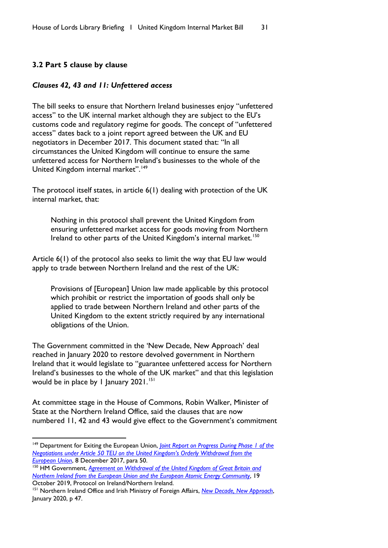# <span id="page-32-0"></span>**3.2 Part 5 clause by clause**

#### *Clauses 42, 43 and 11: Unfettered access*

The bill seeks to ensure that Northern Ireland businesses enjoy "unfettered access" to the UK internal market although they are subject to the EU's customs code and regulatory regime for goods. The concept of "unfettered access" dates back to a joint report agreed between the UK and EU negotiators in December 2017. This document stated that: "In all circumstances the United Kingdom will continue to ensure the same unfettered access for Northern Ireland's businesses to the whole of the United Kingdom internal market".<sup>[149](#page-32-1)</sup>

The protocol itself states, in article 6(1) dealing with protection of the UK internal market, that:

Nothing in this protocol shall prevent the United Kingdom from ensuring unfettered market access for goods moving from Northern Ireland to other parts of the United Kingdom's internal market.<sup>[150](#page-32-2)</sup>

Article 6(1) of the protocol also seeks to limit the way that EU law would apply to trade between Northern Ireland and the rest of the UK:

Provisions of [European] Union law made applicable by this protocol which prohibit or restrict the importation of goods shall only be applied to trade between Northern Ireland and other parts of the United Kingdom to the extent strictly required by any international obligations of the Union.

The Government committed in the 'New Decade, New Approach' deal reached in January 2020 to restore devolved government in Northern Ireland that it would legislate to "guarantee unfettered access for Northern Ireland's businesses to the whole of the UK market" and that this legislation would be in place by 1 January 2021.<sup>[151](#page-32-3)</sup>

At committee stage in the House of Commons, Robin Walker, Minister of State at the Northern Ireland Office, said the clauses that are now numbered 11, 42 and 43 would give effect to the Government's commitment

<span id="page-32-1"></span><sup>149</sup> Department for Exiting the European Union, *[Joint Report on Progress During Phase 1 of the](https://assets.publishing.service.gov.uk/government/uploads/system/uploads/attachment_data/file/665869/Joint_report_on_progress_during_phase_1_of_negotiations_under_Article_50_TEU_on_the_United_Kingdom_s_orderly_withdrawal_from_the_European_Union.pdf)  [Negotiations under Article 50 TEU on the United Kingdom's Orderly Withdrawal from the](https://assets.publishing.service.gov.uk/government/uploads/system/uploads/attachment_data/file/665869/Joint_report_on_progress_during_phase_1_of_negotiations_under_Article_50_TEU_on_the_United_Kingdom_s_orderly_withdrawal_from_the_European_Union.pdf)  [European Union](https://assets.publishing.service.gov.uk/government/uploads/system/uploads/attachment_data/file/665869/Joint_report_on_progress_during_phase_1_of_negotiations_under_Article_50_TEU_on_the_United_Kingdom_s_orderly_withdrawal_from_the_European_Union.pdf)*, 8 December 2017, para 50.

<span id="page-32-2"></span><sup>150</sup> HM Government, *[Agreement on Withdrawal of the United Kingdom of Great Britain and](https://assets.publishing.service.gov.uk/government/uploads/system/uploads/attachment_data/file/840655/Agreement_on_the_withdrawal_of_the_United_Kingdom_of_Great_Britain_and_Northern_Ireland_from_the_European_Union_and_the_European_Atomic_Energy_Community.pdf)  [Northern Ireland from the European Union and the European Atomic Energy Community](https://assets.publishing.service.gov.uk/government/uploads/system/uploads/attachment_data/file/840655/Agreement_on_the_withdrawal_of_the_United_Kingdom_of_Great_Britain_and_Northern_Ireland_from_the_European_Union_and_the_European_Atomic_Energy_Community.pdf)*, 19 October 2019, Protocol on Ireland/Northern Ireland.

<span id="page-32-3"></span><sup>151</sup> Northern Ireland Office and Irish Ministry of Foreign Affairs, *[New Decade, New Approach](https://assets.publishing.service.gov.uk/government/uploads/system/uploads/attachment_data/file/856998/2020-01-08_a_new_decade__a_new_approach.pdf)*, January 2020, p 47.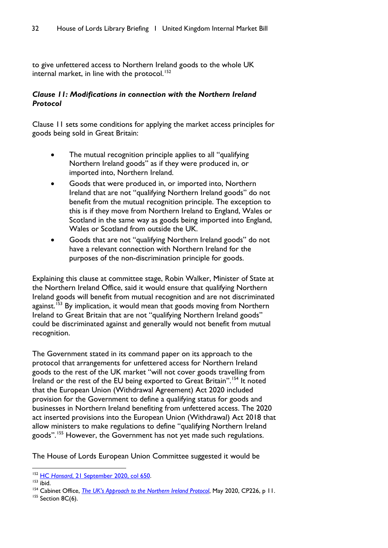to give unfettered access to Northern Ireland goods to the whole UK internal market, in line with the protocol.<sup>[152](#page-33-0)</sup>

# *Clause 11: Modifications in connection with the Northern Ireland Protocol*

Clause 11 sets some conditions for applying the market access principles for goods being sold in Great Britain:

- The mutual recognition principle applies to all "qualifying" Northern Ireland goods" as if they were produced in, or imported into, Northern Ireland.
- Goods that were produced in, or imported into, Northern Ireland that are not "qualifying Northern Ireland goods" do not benefit from the mutual recognition principle. The exception to this is if they move from Northern Ireland to England, Wales or Scotland in the same way as goods being imported into England, Wales or Scotland from outside the UK.
- Goods that are not "qualifying Northern Ireland goods" do not have a relevant connection with Northern Ireland for the purposes of the non-discrimination principle for goods.

Explaining this clause at committee stage, Robin Walker, Minister of State at the Northern Ireland Office, said it would ensure that qualifying Northern Ireland goods will benefit from mutual recognition and are not discriminated against.<sup>[153](#page-33-1)</sup> By implication, it would mean that goods moving from Northern Ireland to Great Britain that are not "qualifying Northern Ireland goods" could be discriminated against and generally would not benefit from mutual recognition.

The Government stated in its command paper on its approach to the protocol that arrangements for unfettered access for Northern Ireland goods to the rest of the UK market "will not cover goods travelling from Ireland or the rest of the EU being exported to Great Britain".[154](#page-33-2) It noted that the European Union (Withdrawal Agreement) Act 2020 included provision for the Government to define a qualifying status for goods and businesses in Northern Ireland benefiting from unfettered access. The 2020 act inserted provisions into the European Union (Withdrawal) Act 2018 that allow ministers to make regulations to define "qualifying Northern Ireland goods".<sup>[155](#page-33-3)</sup> However, the Government has not yet made such regulations.

The House of Lords European Union Committee suggested it would be

<span id="page-33-0"></span><sup>152</sup> HC *Hansard*[, 21 September 2020, col 650.](https://hansard.parliament.uk/commons/2020-09-21/debates/E16E72B4-04B3-4C62-8375-503BEE8799B0/UnitedKingdomInternalMarketBill)

<span id="page-33-1"></span> $153$  ibid.

<span id="page-33-2"></span><sup>154</sup> Cabinet Office, *[The UK's Approach to the Northern Ireland Protocol](https://assets.publishing.service.gov.uk/government/uploads/system/uploads/attachment_data/file/887532/The_UK_s_Approach_to_NI_Protocol_Web_Accessible.pdf)*, May 2020, CP226, p 11.

<span id="page-33-3"></span><sup>&</sup>lt;sup>155</sup> Section 8C(6).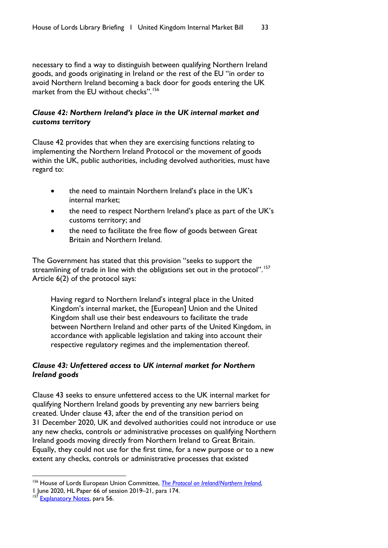necessary to find a way to distinguish between qualifying Northern Ireland goods, and goods originating in Ireland or the rest of the EU "in order to avoid Northern Ireland becoming a back door for goods entering the UK market from the EU without checks".<sup>[156](#page-34-0)</sup>

# *Clause 42: Northern Ireland's place in the UK internal market and customs territory*

Clause 42 provides that when they are exercising functions relating to implementing the Northern Ireland Protocol or the movement of goods within the UK, public authorities, including devolved authorities, must have regard to:

- the need to maintain Northern Ireland's place in the UK's internal market;
- the need to respect Northern Ireland's place as part of the UK's customs territory; and
- the need to facilitate the free flow of goods between Great Britain and Northern Ireland.

The Government has stated that this provision "seeks to support the streamlining of trade in line with the obligations set out in the protocol".<sup>[157](#page-34-1)</sup> Article 6(2) of the protocol says:

Having regard to Northern Ireland's integral place in the United Kingdom's internal market, the [European] Union and the United Kingdom shall use their best endeavours to facilitate the trade between Northern Ireland and other parts of the United Kingdom, in accordance with applicable legislation and taking into account their respective regulatory regimes and the implementation thereof.

# *Clause 43: Unfettered access to UK internal market for Northern Ireland goods*

Clause 43 seeks to ensure unfettered access to the UK internal market for qualifying Northern Ireland goods by preventing any new barriers being created. Under clause 43, after the end of the transition period on 31 December 2020, UK and devolved authorities could not introduce or use any new checks, controls or administrative processes on qualifying Northern Ireland goods moving directly from Northern Ireland to Great Britain. Equally, they could not use for the first time, for a new purpose or to a new extent any checks, controls or administrative processes that existed

<span id="page-34-0"></span><sup>&</sup>lt;sup>156</sup> House of Lords European Union Committee, *[The Protocol on Ireland/Northern Ireland](https://committees.parliament.uk/publications/1282/documents/11395/default/)*,

<sup>1</sup> June 2020, HL Paper 66 of session 2019–21, para 174.

<span id="page-34-1"></span><sup>&</sup>lt;sup>157</sup> [Explanatory Notes,](https://publications.parliament.uk/pa/bills/lbill/58-01/135/5801135en.pdf) para 56.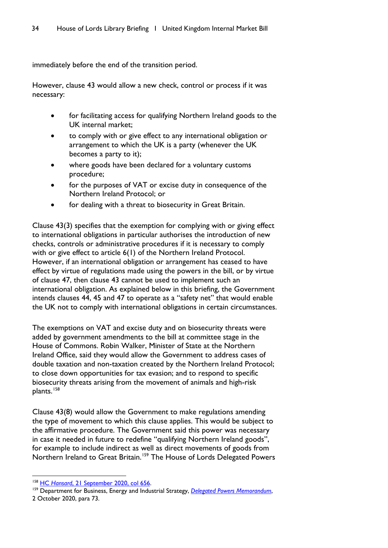immediately before the end of the transition period.

However, clause 43 would allow a new check, control or process if it was necessary:

- for facilitating access for qualifying Northern Ireland goods to the UK internal market;
- to comply with or give effect to any international obligation or arrangement to which the UK is a party (whenever the UK becomes a party to it);
- where goods have been declared for a voluntary customs procedure;
- for the purposes of VAT or excise duty in consequence of the Northern Ireland Protocol; or
- for dealing with a threat to biosecurity in Great Britain.

Clause 43(3) specifies that the exemption for complying with or giving effect to international obligations in particular authorises the introduction of new checks, controls or administrative procedures if it is necessary to comply with or give effect to article 6(1) of the Northern Ireland Protocol. However, if an international obligation or arrangement has ceased to have effect by virtue of regulations made using the powers in the bill, or by virtue of clause 47, then clause 43 cannot be used to implement such an international obligation. As explained below in this briefing, the Government intends clauses 44, 45 and 47 to operate as a "safety net" that would enable the UK not to comply with international obligations in certain circumstances.

The exemptions on VAT and excise duty and on biosecurity threats were added by government amendments to the bill at committee stage in the House of Commons. Robin Walker, Minister of State at the Northern Ireland Office, said they would allow the Government to address cases of double taxation and non-taxation created by the Northern Ireland Protocol; to close down opportunities for tax evasion; and to respond to specific biosecurity threats arising from the movement of animals and high-risk plants.<sup>[158](#page-35-0)</sup>

Clause 43(8) would allow the Government to make regulations amending the type of movement to which this clause applies. This would be subject to the affirmative procedure. The Government said this power was necessary in case it needed in future to redefine "qualifying Northern Ireland goods", for example to include indirect as well as direct movements of goods from Northern Ireland to Great Britain.<sup>[159](#page-35-1)</sup> The House of Lords Delegated Powers

<span id="page-35-0"></span><sup>158</sup> HC *Hansard*[, 21 September 2020, col 656.](https://hansard.parliament.uk/commons/2020-09-21/debates/E16E72B4-04B3-4C62-8375-503BEE8799B0/UnitedKingdomInternalMarketBill)

<span id="page-35-1"></span><sup>&</sup>lt;sup>159</sup> Department for Business, Energy and Industrial Strategy, *[Delegated Powers Memorandum](https://publications.parliament.uk/pa/bills/lbill/58-01/135/5801135-DPM.pdf)*, 2 October 2020, para 73.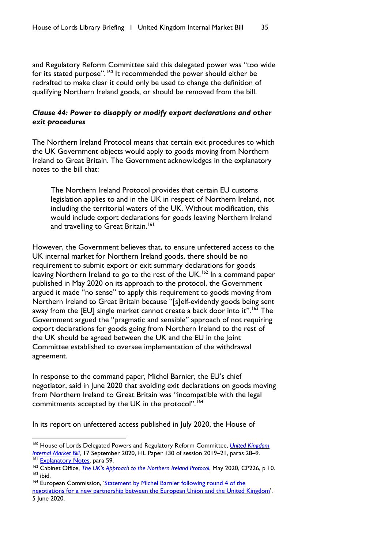and Regulatory Reform Committee said this delegated power was "too wide for its stated purpose".<sup>[160](#page-36-0)</sup> It recommended the power should either be redrafted to make clear it could only be used to change the definition of qualifying Northern Ireland goods, or should be removed from the bill.

## *Clause 44: Power to disapply or modify export declarations and other exit procedures*

The Northern Ireland Protocol means that certain exit procedures to which the UK Government objects would apply to goods moving from Northern Ireland to Great Britain. The Government acknowledges in the explanatory notes to the bill that:

The Northern Ireland Protocol provides that certain EU customs legislation applies to and in the UK in respect of Northern Ireland, not including the territorial waters of the UK. Without modification, this would include export declarations for goods leaving Northern Ireland and travelling to Great Britain.<sup>[161](#page-36-1)</sup>

However, the Government believes that, to ensure unfettered access to the UK internal market for Northern Ireland goods, there should be no requirement to submit export or exit summary declarations for goods leaving Northern Ireland to go to the rest of the UK.<sup>[162](#page-36-2)</sup> In a command paper published in May 2020 on its approach to the protocol, the Government argued it made "no sense" to apply this requirement to goods moving from Northern Ireland to Great Britain because "[s]elf-evidently goods being sent away from the [EU] single market cannot create a back door into it".<sup>[163](#page-36-3)</sup> The Government argued the "pragmatic and sensible" approach of not requiring export declarations for goods going from Northern Ireland to the rest of the UK should be agreed between the UK and the EU in the Joint Committee established to oversee implementation of the withdrawal agreement.

In response to the command paper, Michel Barnier, the EU's chief negotiator, said in June 2020 that avoiding exit declarations on goods moving from Northern Ireland to Great Britain was "incompatible with the legal commitments accepted by the UK in the protocol".<sup>[164](#page-36-4)</sup>

In its report on unfettered access published in July 2020, the House of

<span id="page-36-0"></span><sup>160</sup> House of Lords Delegated Powers and Regulatory Reform Committee, *[United Kingdom](https://committees.parliament.uk/publications/2628/documents/26219/default/)  [Internal Market Bill](https://committees.parliament.uk/publications/2628/documents/26219/default/)*, 17 September 2020, HL Paper 130 of session 2019–21, paras 28–9.

<span id="page-36-1"></span><sup>&</sup>lt;sup>161</sup> [Explanatory Notes,](https://publications.parliament.uk/pa/bills/lbill/58-01/135/5801135en.pdf) para 59.

<span id="page-36-2"></span><sup>&</sup>lt;sup>162</sup> Cabinet Office, *[The UK's Approach to the Northern Ireland Protocol](https://assets.publishing.service.gov.uk/government/uploads/system/uploads/attachment_data/file/887532/The_UK_s_Approach_to_NI_Protocol_Web_Accessible.pdf)*, May 2020, CP226, p 10.  $163$  ibid.

<span id="page-36-4"></span><span id="page-36-3"></span><sup>&</sup>lt;sup>164</sup> European Commission, 'Statement by Michel Barnier following round 4 of the

[negotiations for a new partnership between the European Union and the United Kingdom',](https://ec.europa.eu/commission/presscorner/detail/en/speech_20_1017) 5 June 2020.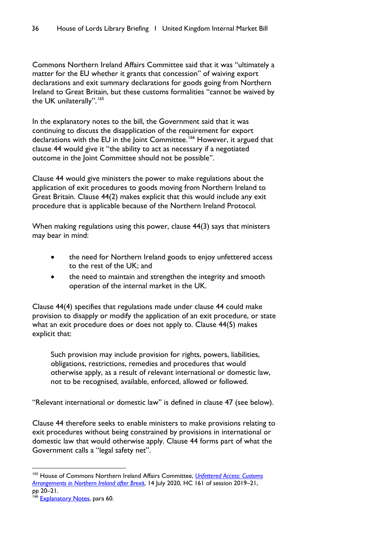Commons Northern Ireland Affairs Committee said that it was "ultimately a matter for the EU whether it grants that concession" of waiving export declarations and exit summary declarations for goods going from Northern Ireland to Great Britain, but these customs formalities "cannot be waived by the UK unilaterally".<sup>[165](#page-37-0)</sup>

In the explanatory notes to the bill, the Government said that it was continuing to discuss the disapplication of the requirement for export declarations with the EU in the Joint Committee.<sup>[166](#page-37-1)</sup> However, it argued that clause 44 would give it "the ability to act as necessary if a negotiated outcome in the Joint Committee should not be possible".

Clause 44 would give ministers the power to make regulations about the application of exit procedures to goods moving from Northern Ireland to Great Britain. Clause 44(2) makes explicit that this would include any exit procedure that is applicable because of the Northern Ireland Protocol.

When making regulations using this power, clause 44(3) says that ministers may bear in mind:

- the need for Northern Ireland goods to enjoy unfettered access to the rest of the UK; and
- the need to maintain and strengthen the integrity and smooth operation of the internal market in the UK.

Clause 44(4) specifies that regulations made under clause 44 could make provision to disapply or modify the application of an exit procedure, or state what an exit procedure does or does not apply to. Clause 44(5) makes explicit that:

Such provision may include provision for rights, powers, liabilities, obligations, restrictions, remedies and procedures that would otherwise apply, as a result of relevant international or domestic law, not to be recognised, available, enforced, allowed or followed.

"Relevant international or domestic law" is defined in clause 47 (see below).

Clause 44 therefore seeks to enable ministers to make provisions relating to exit procedures without being constrained by provisions in international or domestic law that would otherwise apply. Clause 44 forms part of what the Government calls a "legal safety net".

<span id="page-37-0"></span><sup>165</sup> House of Commons Northern Ireland Affairs Committee, *[Unfettered Access: Customs](https://committees.parliament.uk/publications/1857/documents/18478/default/)  [Arrangements in Northern Ireland after Brexit](https://committees.parliament.uk/publications/1857/documents/18478/default/)*, 14 July 2020, HC 161 of session 2019–21, pp 20–21.

<span id="page-37-1"></span><sup>&</sup>lt;sup>166</sup> [Explanatory Notes,](https://publications.parliament.uk/pa/bills/lbill/58-01/135/5801135en.pdf) para 60.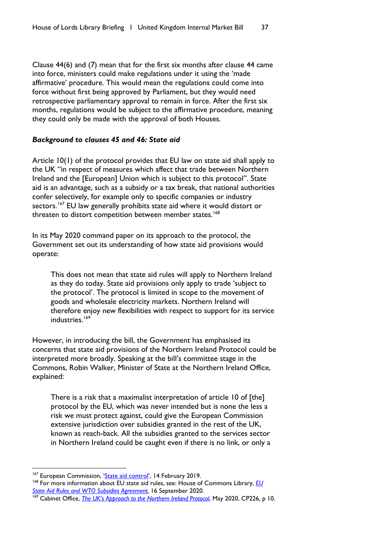Clause 44(6) and (7) mean that for the first six months after clause 44 came into force, ministers could make regulations under it using the 'made affirmative' procedure. This would mean the regulations could come into force without first being approved by Parliament, but they would need retrospective parliamentary approval to remain in force. After the first six months, regulations would be subject to the affirmative procedure, meaning they could only be made with the approval of both Houses.

#### *Background to clauses 45 and 46: State aid*

Article 10(1) of the protocol provides that EU law on state aid shall apply to the UK "in respect of measures which affect that trade between Northern Ireland and the [European] Union which is subject to this protocol". State aid is an advantage, such as a subsidy or a tax break, that national authorities confer selectively, for example only to specific companies or industry sectors.<sup>[167](#page-38-0)</sup> EU law generally prohibits state aid where it would distort or threaten to distort competition between member states.<sup>[168](#page-38-1)</sup>

In its May 2020 command paper on its approach to the protocol, the Government set out its understanding of how state aid provisions would operate:

This does not mean that state aid rules will apply to Northern Ireland as they do today. State aid provisions only apply to trade 'subject to the protocol'. The protocol is limited in scope to the movement of goods and wholesale electricity markets. Northern Ireland will therefore enjoy new flexibilities with respect to support for its service industries.<sup>[169](#page-38-2)</sup>

However, in introducing the bill, the Government has emphasised its concerns that state aid provisions of the Northern Ireland Protocol could be interpreted more broadly. Speaking at the bill's committee stage in the Commons, Robin Walker, Minister of State at the Northern Ireland Office, explained:

There is a risk that a maximalist interpretation of article 10 of [the] protocol by the EU, which was never intended but is none the less a risk we must protect against, could give the European Commission extensive jurisdiction over subsidies granted in the rest of the UK, known as reach-back. All the subsidies granted to the services sector in Northern Ireland could be caught even if there is no link, or only a

<span id="page-38-0"></span><sup>&</sup>lt;sup>167</sup> European Commission, ['State aid control',](https://ec.europa.eu/competition/state_aid/overview/index_en.html) 14 February 2019.

<span id="page-38-1"></span><sup>168</sup> For more information about EU state aid rules, see: House of Commons Library, *[EU](https://commonslibrary.parliament.uk/research-briefings/sn06775/)  [State Aid Rules and WTO Subsidies Agreement,](https://commonslibrary.parliament.uk/research-briefings/sn06775/)* 16 September 2020.

<span id="page-38-2"></span><sup>169</sup> Cabinet Office, *[The UK's Approach to the Northern Ireland Protocol](https://assets.publishing.service.gov.uk/government/uploads/system/uploads/attachment_data/file/887532/The_UK_s_Approach_to_NI_Protocol_Web_Accessible.pdf)*, May 2020, CP226, p 10.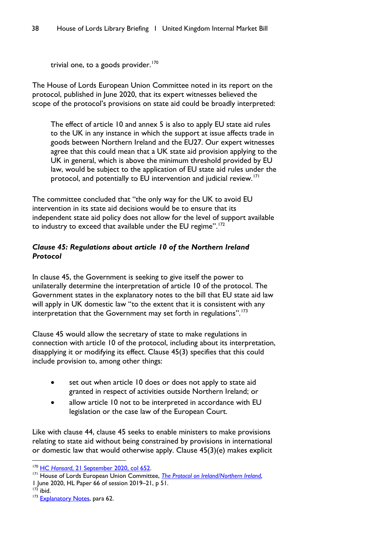```
trivial one, to a goods provider.170
```
The House of Lords European Union Committee noted in its report on the protocol, published in June 2020, that its expert witnesses believed the scope of the protocol's provisions on state aid could be broadly interpreted:

The effect of article 10 and annex 5 is also to apply EU state aid rules to the UK in any instance in which the support at issue affects trade in goods between Northern Ireland and the EU27. Our expert witnesses agree that this could mean that a UK state aid provision applying to the UK in general, which is above the minimum threshold provided by EU law, would be subject to the application of EU state aid rules under the protocol, and potentially to EU intervention and judicial review.<sup>[171](#page-39-1)</sup>

The committee concluded that "the only way for the UK to avoid EU intervention in its state aid decisions would be to ensure that its independent state aid policy does not allow for the level of support available to industry to exceed that available under the EU regime".<sup>[172](#page-39-2)</sup>

# *Clause 45: Regulations about article 10 of the Northern Ireland Protocol*

In clause 45, the Government is seeking to give itself the power to unilaterally determine the interpretation of article 10 of the protocol. The Government states in the explanatory notes to the bill that EU state aid law will apply in UK domestic law "to the extent that it is consistent with any interpretation that the Government may set forth in regulations".<sup>[173](#page-39-3)</sup>

Clause 45 would allow the secretary of state to make regulations in connection with article 10 of the protocol, including about its interpretation, disapplying it or modifying its effect. Clause 45(3) specifies that this could include provision to, among other things:

- set out when article 10 does or does not apply to state aid granted in respect of activities outside Northern Ireland; or
- allow article 10 not to be interpreted in accordance with EU legislation or the case law of the European Court.

Like with clause 44, clause 45 seeks to enable ministers to make provisions relating to state aid without being constrained by provisions in international or domestic law that would otherwise apply. Clause 45(3)(e) makes explicit

<span id="page-39-3"></span><span id="page-39-2"></span> $172$  ibid. <sup>173</sup> [Explanatory Notes,](https://publications.parliament.uk/pa/bills/lbill/58-01/135/5801135en.pdf) para 62.

<span id="page-39-0"></span><sup>&</sup>lt;sup>170</sup> HC Hansard[, 21 September 2020, col 652.](https://hansard.parliament.uk/commons/2020-09-21/debates/E16E72B4-04B3-4C62-8375-503BEE8799B0/UnitedKingdomInternalMarketBill)

<span id="page-39-1"></span><sup>&</sup>lt;sup>171</sup> House of Lords European Union Committee, *[The Protocol on Ireland/Northern Ireland](https://committees.parliament.uk/publications/1282/documents/11395/default/)*, 1 June 2020, HL Paper 66 of session 2019–21, p 51.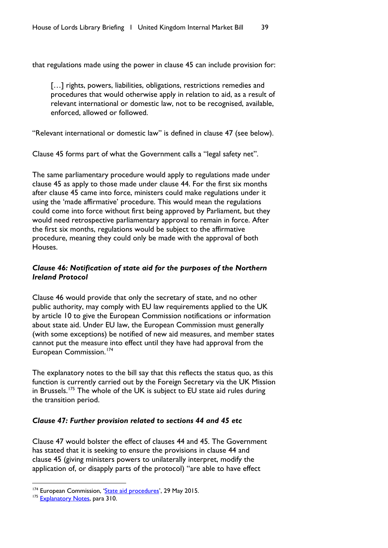that regulations made using the power in clause 45 can include provision for:

[...] rights, powers, liabilities, obligations, restrictions remedies and procedures that would otherwise apply in relation to aid, as a result of relevant international or domestic law, not to be recognised, available, enforced, allowed or followed.

"Relevant international or domestic law" is defined in clause 47 (see below).

Clause 45 forms part of what the Government calls a "legal safety net".

The same parliamentary procedure would apply to regulations made under clause 45 as apply to those made under clause 44. For the first six months after clause 45 came into force, ministers could make regulations under it using the 'made affirmative' procedure. This would mean the regulations could come into force without first being approved by Parliament, but they would need retrospective parliamentary approval to remain in force. After the first six months, regulations would be subject to the affirmative procedure, meaning they could only be made with the approval of both Houses.

# *Clause 46: Notification of state aid for the purposes of the Northern Ireland Protocol*

Clause 46 would provide that only the secretary of state, and no other public authority, may comply with EU law requirements applied to the UK by article 10 to give the European Commission notifications or information about state aid. Under EU law, the European Commission must generally (with some exceptions) be notified of new aid measures, and member states cannot put the measure into effect until they have had approval from the European Commission.<sup>[174](#page-40-0)</sup>

The explanatory notes to the bill say that this reflects the status quo, as this function is currently carried out by the Foreign Secretary via the UK Mission in Brussels.<sup>175</sup> The whole of the UK is subject to EU state aid rules during the transition period.

## *Clause 47: Further provision related to sections 44 and 45 etc*

Clause 47 would bolster the effect of clauses 44 and 45. The Government has stated that it is seeking to ensure the provisions in clause 44 and clause 45 (giving ministers powers to unilaterally interpret, modify the application of, or disapply parts of the protocol) "are able to have effect

<span id="page-40-0"></span><sup>&</sup>lt;sup>174</sup> European Commission, ['State aid procedures',](https://ec.europa.eu/competition/state_aid/overview/state_aid_procedures_en.html) 29 May 2015.

<span id="page-40-1"></span><sup>&</sup>lt;sup>175</sup> [Explanatory Notes,](https://publications.parliament.uk/pa/bills/lbill/58-01/135/5801135en.pdf) para 310.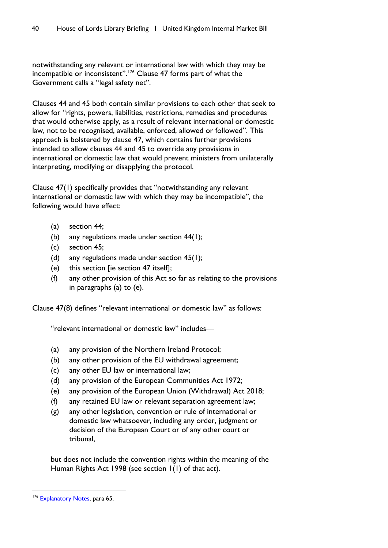notwithstanding any relevant or international law with which they may be incompatible or inconsistent".<sup>[176](#page-41-0)</sup> Clause 47 forms part of what the Government calls a "legal safety net".

Clauses 44 and 45 both contain similar provisions to each other that seek to allow for "rights, powers, liabilities, restrictions, remedies and procedures that would otherwise apply, as a result of relevant international or domestic law, not to be recognised, available, enforced, allowed or followed". This approach is bolstered by clause 47, which contains further provisions intended to allow clauses 44 and 45 to override any provisions in international or domestic law that would prevent ministers from unilaterally interpreting, modifying or disapplying the protocol.

Clause 47(1) specifically provides that "notwithstanding any relevant international or domestic law with which they may be incompatible", the following would have effect:

- (a) section 44;
- (b) any regulations made under section  $44(1)$ ;
- (c) section 45;
- (d) any regulations made under section 45(1);
- (e) this section [ie section 47 itself];
- (f) any other provision of this Act so far as relating to the provisions in paragraphs (a) to (e).

Clause 47(8) defines "relevant international or domestic law" as follows:

"relevant international or domestic law" includes—

- (a) any provision of the Northern Ireland Protocol;
- (b) any other provision of the EU withdrawal agreement;
- (c) any other EU law or international law;
- (d) any provision of the European Communities Act 1972;
- (e) any provision of the European Union (Withdrawal) Act 2018;
- (f) any retained EU law or relevant separation agreement law;
- (g) any other legislation, convention or rule of international or domestic law whatsoever, including any order, judgment or decision of the European Court or of any other court or tribunal,

but does not include the convention rights within the meaning of the Human Rights Act 1998 (see section 1(1) of that act).

<span id="page-41-0"></span><sup>&</sup>lt;sup>176</sup> [Explanatory Notes,](https://publications.parliament.uk/pa/bills/lbill/58-01/135/5801135en.pdf) para 65.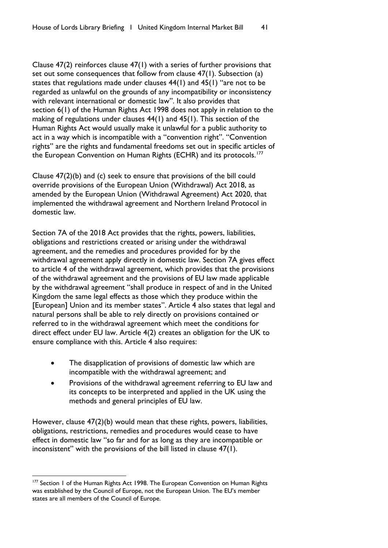Clause 47(2) reinforces clause 47(1) with a series of further provisions that set out some consequences that follow from clause 47(1). Subsection (a) states that regulations made under clauses 44(1) and 45(1) "are not to be regarded as unlawful on the grounds of any incompatibility or inconsistency with relevant international or domestic law". It also provides that section 6(1) of the Human Rights Act 1998 does not apply in relation to the making of regulations under clauses 44(1) and 45(1). This section of the Human Rights Act would usually make it unlawful for a public authority to act in a way which is incompatible with a "convention right". "Convention rights" are the rights and fundamental freedoms set out in specific articles of the European Convention on Human Rights (ECHR) and its protocols.<sup>[177](#page-42-0)</sup>

Clause 47(2)(b) and (c) seek to ensure that provisions of the bill could override provisions of the European Union (Withdrawal) Act 2018, as amended by the European Union (Withdrawal Agreement) Act 2020, that implemented the withdrawal agreement and Northern Ireland Protocol in domestic law.

Section 7A of the 2018 Act provides that the rights, powers, liabilities, obligations and restrictions created or arising under the withdrawal agreement, and the remedies and procedures provided for by the withdrawal agreement apply directly in domestic law. Section 7A gives effect to article 4 of the withdrawal agreement, which provides that the provisions of the withdrawal agreement and the provisions of EU law made applicable by the withdrawal agreement "shall produce in respect of and in the United Kingdom the same legal effects as those which they produce within the [European] Union and its member states". Article 4 also states that legal and natural persons shall be able to rely directly on provisions contained or referred to in the withdrawal agreement which meet the conditions for direct effect under EU law. Article 4(2) creates an obligation for the UK to ensure compliance with this. Article 4 also requires:

- The disapplication of provisions of domestic law which are incompatible with the withdrawal agreement; and
- Provisions of the withdrawal agreement referring to EU law and its concepts to be interpreted and applied in the UK using the methods and general principles of EU law.

However, clause 47(2)(b) would mean that these rights, powers, liabilities, obligations, restrictions, remedies and procedures would cease to have effect in domestic law "so far and for as long as they are incompatible or inconsistent" with the provisions of the bill listed in clause 47(1).

<span id="page-42-0"></span><sup>&</sup>lt;sup>177</sup> Section 1 of the Human Rights Act 1998. The European Convention on Human Rights was established by the Council of Europe, not the European Union. The EU's member states are all members of the Council of Europe.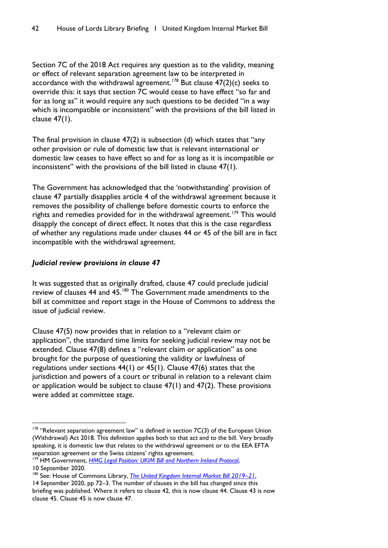Section 7C of the 2018 Act requires any question as to the validity, meaning or effect of relevant separation agreement law to be interpreted in accordance with the withdrawal agreement.<sup>[178](#page-43-0)</sup> But clause  $47(2)(c)$  seeks to override this: it says that section 7C would cease to have effect "so far and for as long as" it would require any such questions to be decided "in a way which is incompatible or inconsistent" with the provisions of the bill listed in clause 47(1).

The final provision in clause 47(2) is subsection (d) which states that "any other provision or rule of domestic law that is relevant international or domestic law ceases to have effect so and for as long as it is incompatible or inconsistent" with the provisions of the bill listed in clause 47(1).

The Government has acknowledged that the 'notwithstanding' provision of clause 47 partially disapplies article 4 of the withdrawal agreement because it removes the possibility of challenge before domestic courts to enforce the rights and remedies provided for in the withdrawal agreement.<sup>[179](#page-43-1)</sup> This would disapply the concept of direct effect. It notes that this is the case regardless of whether any regulations made under clauses 44 or 45 of the bill are in fact incompatible with the withdrawal agreement.

## *Judicial review provisions in clause 47*

It was suggested that as originally drafted, clause 47 could preclude judicial review of clauses 44 and 45.[180](#page-43-2) The Government made amendments to the bill at committee and report stage in the House of Commons to address the issue of judicial review.

Clause 47(5) now provides that in relation to a "relevant claim or application", the standard time limits for seeking judicial review may not be extended. Clause 47(8) defines a "relevant claim or application" as one brought for the purpose of questioning the validity or lawfulness of regulations under sections 44(1) or 45(1). Clause 47(6) states that the jurisdiction and powers of a court or tribunal in relation to a relevant claim or application would be subject to clause  $47(1)$  and  $47(2)$ . These provisions were added at committee stage.

<span id="page-43-0"></span> $178$  "Relevant separation agreement law" is defined in section  $7C(3)$  of the European Union (Withdrawal) Act 2018. This definition applies both to that act and to the bill. Very broadly speaking, it is domestic law that relates to the withdrawal agreement or to the EEA EFTA separation agreement or the Swiss citizens' rights agreement.

<span id="page-43-1"></span><sup>179</sup> HM Government, *[HMG Legal Position: UKIM Bill and Northern Ireland Protocol](https://assets.publishing.service.gov.uk/government/uploads/system/uploads/attachment_data/file/916702/UKIM_Legal_Statement.pdf)*, 10 September 2020.

<span id="page-43-2"></span><sup>180</sup> See: House of Commons Library, *[The United Kingdom Internal Market Bill 2019–21](https://commonslibrary.parliament.uk/research-briefings/cbp-9003/)*,

<sup>14</sup> September 2020, pp 72–3. The number of clauses in the bill has changed since this briefing was published. Where it refers to clause 42, this is now clause 44. Clause 43 is now clause 45. Clause 45 is now clause 47.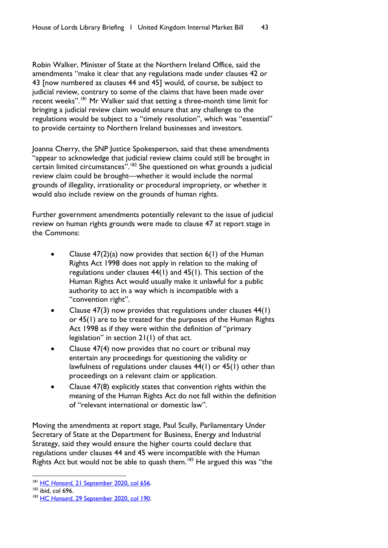Robin Walker, Minister of State at the Northern Ireland Office, said the amendments "make it clear that any regulations made under clauses 42 or 43 [now numbered as clauses 44 and 45] would, of course, be subject to judicial review, contrary to some of the claims that have been made over recent weeks".<sup>[181](#page-44-0)</sup> Mr Walker said that setting a three-month time limit for bringing a judicial review claim would ensure that any challenge to the regulations would be subject to a "timely resolution", which was "essential" to provide certainty to Northern Ireland businesses and investors.

Joanna Cherry, the SNP Justice Spokesperson, said that these amendments "appear to acknowledge that judicial review claims could still be brought in certain limited circumstances".<sup>[182](#page-44-1)</sup> She questioned on what grounds a judicial review claim could be brought—whether it would include the normal grounds of illegality, irrationality or procedural impropriety, or whether it would also include review on the grounds of human rights.

Further government amendments potentially relevant to the issue of judicial review on human rights grounds were made to clause 47 at report stage in the Commons:

- Clause 47(2)(a) now provides that section 6(1) of the Human Rights Act 1998 does not apply in relation to the making of regulations under clauses  $44(1)$  and  $45(1)$ . This section of the Human Rights Act would usually make it unlawful for a public authority to act in a way which is incompatible with a "convention right".
- Clause  $47(3)$  now provides that regulations under clauses  $44(1)$ or 45(1) are to be treated for the purposes of the Human Rights Act 1998 as if they were within the definition of "primary legislation" in section 21(1) of that act.
- Clause 47(4) now provides that no court or tribunal may entertain any proceedings for questioning the validity or lawfulness of regulations under clauses 44(1) or 45(1) other than proceedings on a relevant claim or application.
- Clause 47(8) explicitly states that convention rights within the meaning of the Human Rights Act do not fall within the definition of "relevant international or domestic law".

Moving the amendments at report stage, Paul Scully, Parliamentary Under Secretary of State at the Department for Business, Energy and Industrial Strategy, said they would ensure the higher courts could declare that regulations under clauses 44 and 45 were incompatible with the Human Rights Act but would not be able to quash them.<sup>[183](#page-44-2)</sup> He argued this was "the

<span id="page-44-0"></span><sup>181</sup> HC *Hansard*[, 21 September 2020, col 656.](https://hansard.parliament.uk/commons/2020-09-21/debates/E16E72B4-04B3-4C62-8375-503BEE8799B0/UnitedKingdomInternalMarketBill)

<span id="page-44-1"></span> $182$  ibid, col 696.

<span id="page-44-2"></span><sup>183</sup> HC *Hansard*[, 29 September 2020, col 190.](https://hansard.parliament.uk/commons/2020-09-29/debates/96A7BFAF-F6AD-409C-86EC-4799A382727D/UnitedKingdomInternalMarketBill)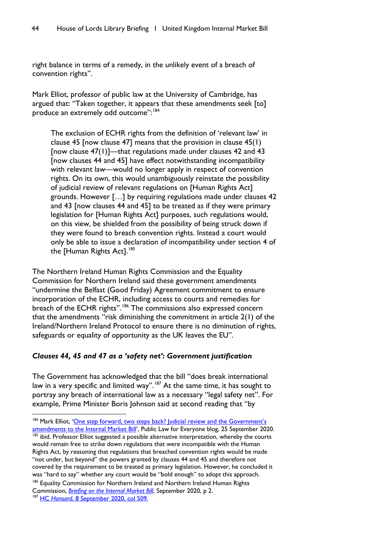right balance in terms of a remedy, in the unlikely event of a breach of convention rights".

Mark Elliot, professor of public law at the University of Cambridge, has argued that: "Taken together, it appears that these amendments seek [to] produce an extremely odd outcome": [184](#page-45-0)

The exclusion of ECHR rights from the definition of 'relevant law' in clause 45 [now clause 47] means that the provision in clause 45(1) [now clause 47(1)]—that regulations made under clauses 42 and 43 [now clauses 44 and 45] have effect notwithstanding incompatibility with relevant law—would no longer apply in respect of convention rights. On its own, this would unambiguously reinstate the possibility of judicial review of relevant regulations on [Human Rights Act] grounds. However […] by requiring regulations made under clauses 42 and 43 [now clauses 44 and 45] to be treated as if they were primary legislation for [Human Rights Act] purposes, such regulations would, on this view, be shielded from the possibility of being struck down if they were found to breach convention rights. Instead a court would only be able to issue a declaration of incompatibility under section 4 of the [Human Rights Act].<sup>[185](#page-45-1)</sup>

The Northern Ireland Human Rights Commission and the Equality Commission for Northern Ireland said these government amendments "undermine the Belfast (Good Friday) Agreement commitment to ensure incorporation of the ECHR, including access to courts and remedies for breach of the ECHR rights".<sup>[186](#page-45-2)</sup> The commissions also expressed concern that the amendments "risk diminishing the commitment in article 2(1) of the Ireland/Northern Ireland Protocol to ensure there is no diminution of rights, safeguards or equality of opportunity as the UK leaves the EU".

## *Clauses 44, 45 and 47 as a 'safety net': Government justification*

The Government has acknowledged that the bill "does break international law in a very specific and limited way".<sup>[187](#page-45-3)</sup> At the same time, it has sought to portray any breach of international law as a necessary "legal safety net". For example, Prime Minister Boris Johnson said at second reading that "by

<span id="page-45-1"></span><sup>185</sup> ibid. Professor Elliot suggested a possible alternative interpretation, whereby the courts would remain free to strike down regulations that were incompatible with the Human Rights Act, by reasoning that regulations that breached convention rights would be made "not under, but beyond" the powers granted by clauses 44 and 45 and therefore not covered by the requirement to be treated as primary legislation. However, he concluded it was "hard to say" whether any court would be "bold enough" to adopt this approach. <sup>186</sup> Equality Commission for Northern Ireland and Northern Ireland Human Rights

<span id="page-45-0"></span><sup>&</sup>lt;sup>184</sup> Mark Elliot, 'One step forward, two steps back? Judicial review and the Government's [amendments to the Internal Market Bill'](https://publiclawforeveryone.com/2020/09/25/one-step-forward-two-steps-back-judicial-review-and-the-governments-amendments-to-the-internal-market-bill/), Public Law for Everyone blog, 25 September 2020.

<span id="page-45-2"></span>Commission, *[Briefing on the Internal Market Bill](https://www.nihrc.org/uploads/publications/ECNI-NIHRC_Briefing.pdf)*, September 2020, p 2.

<span id="page-45-3"></span><sup>&</sup>lt;sup>187</sup> HC Hansard[, 8 September 2020, col 509.](https://hansard.parliament.uk/commons/2020-09-08/debates/2F32EBC3-6692-402C-93E6-76B4CF1BC6E3/NorthernIrelandProtocolUKLegalObligations)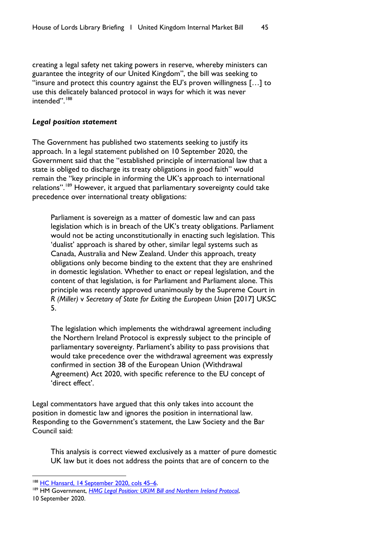creating a legal safety net taking powers in reserve, whereby ministers can guarantee the integrity of our United Kingdom", the bill was seeking to "insure and protect this country against the EU's proven willingness […] to use this delicately balanced protocol in ways for which it was never intended".<sup>[188](#page-46-0)</sup>

#### *Legal position statement*

The Government has published two statements seeking to justify its approach. In a legal statement published on 10 September 2020, the Government said that the "established principle of international law that a state is obliged to discharge its treaty obligations in good faith" would remain the "key principle in informing the UK's approach to international relations".<sup>[189](#page-46-1)</sup> However, it argued that parliamentary sovereignty could take precedence over international treaty obligations:

Parliament is sovereign as a matter of domestic law and can pass legislation which is in breach of the UK's treaty obligations. Parliament would not be acting unconstitutionally in enacting such legislation. This 'dualist' approach is shared by other, similar legal systems such as Canada, Australia and New Zealand. Under this approach, treaty obligations only become binding to the extent that they are enshrined in domestic legislation. Whether to enact or repeal legislation, and the content of that legislation, is for Parliament and Parliament alone. This principle was recently approved unanimously by the Supreme Court in *R (Miller)* v *Secretary of State for Exiting the European Union* [2017] UKSC 5.

The legislation which implements the withdrawal agreement including the Northern Ireland Protocol is expressly subject to the principle of parliamentary sovereignty. Parliament's ability to pass provisions that would take precedence over the withdrawal agreement was expressly confirmed in section 38 of the European Union (Withdrawal Agreement) Act 2020, with specific reference to the EU concept of 'direct effect'.

Legal commentators have argued that this only takes into account the position in domestic law and ignores the position in international law. Responding to the Government's statement, the Law Society and the Bar Council said:

This analysis is correct viewed exclusively as a matter of pure domestic UK law but it does not address the points that are of concern to the

<span id="page-46-0"></span><sup>&</sup>lt;sup>188</sup> HC Hansard, 14 September 2020, cols 45-6.

<span id="page-46-1"></span><sup>189</sup> HM Government, *[HMG Legal Position: UKIM Bill and Northern Ireland Protocol](https://assets.publishing.service.gov.uk/government/uploads/system/uploads/attachment_data/file/916702/UKIM_Legal_Statement.pdf)*, 10 September 2020.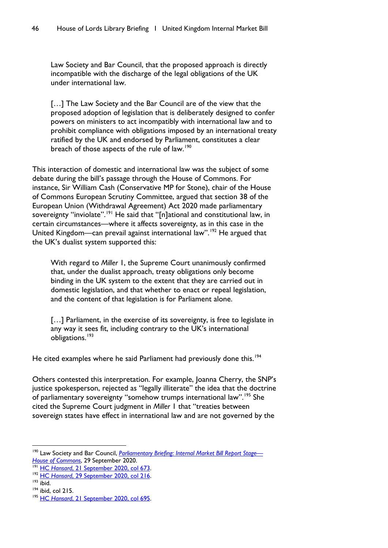Law Society and Bar Council, that the proposed approach is directly incompatible with the discharge of the legal obligations of the UK under international law.

[...] The Law Society and the Bar Council are of the view that the proposed adoption of legislation that is deliberately designed to confer powers on ministers to act incompatibly with international law and to prohibit compliance with obligations imposed by an international treaty ratified by the UK and endorsed by Parliament, constitutes a clear breach of those aspects of the rule of law.<sup>[190](#page-47-0)</sup>

This interaction of domestic and international law was the subject of some debate during the bill's passage through the House of Commons. For instance, Sir William Cash (Conservative MP for Stone), chair of the House of Commons European Scrutiny Committee, argued that section 38 of the European Union (Withdrawal Agreement) Act 2020 made parliamentary sovereignty "inviolate".<sup>[191](#page-47-1)</sup> He said that "[n]ational and constitutional law, in certain circumstances—where it affects sovereignty, as in this case in the United Kingdom—can prevail against international law".<sup>[192](#page-47-2)</sup> He argued that the UK's dualist system supported this:

With regard to *Miller* 1, the Supreme Court unanimously confirmed that, under the dualist approach, treaty obligations only become binding in the UK system to the extent that they are carried out in domestic legislation, and that whether to enact or repeal legislation, and the content of that legislation is for Parliament alone.

[...] Parliament, in the exercise of its sovereignty, is free to legislate in any way it sees fit, including contrary to the UK's international obligations.[193](#page-47-3)

He cited examples where he said Parliament had previously done this.<sup>[194](#page-47-4)</sup>

Others contested this interpretation. For example, Joanna Cherry, the SNP's justice spokesperson, rejected as "legally illiterate" the idea that the doctrine of parliamentary sovereignty "somehow trumps international law".<sup>[195](#page-47-5)</sup> She cited the Supreme Court judgment in *Miller* 1 that "treaties between sovereign states have effect in international law and are not governed by the

<span id="page-47-0"></span><sup>190</sup> Law Society and Bar Council, *[Parliamentary Briefing: Internal Market Bill Report Stage—](https://tlsprdsitecore.azureedge.net/-/media/files/topics/brexit/law-society-bar-council-joint-briefing-internal-market-bill-report-stage.pdf?rev=40ab4741fa784673b58fa20064329a87&hash=8D0B3D76F9C191F8826C2434FBE64557) [House of Commons](https://tlsprdsitecore.azureedge.net/-/media/files/topics/brexit/law-society-bar-council-joint-briefing-internal-market-bill-report-stage.pdf?rev=40ab4741fa784673b58fa20064329a87&hash=8D0B3D76F9C191F8826C2434FBE64557)*, 29 September 2020.

<span id="page-47-1"></span><sup>191</sup> HC *Hansard*[, 21 September 2020, col 673.](https://hansard.parliament.uk/commons/2020-09-21/debates/E16E72B4-04B3-4C62-8375-503BEE8799B0/UnitedKingdomInternalMarketBill)

<span id="page-47-2"></span><sup>192</sup> HC *Hansard*[, 29 September 2020, col 216.](https://hansard.parliament.uk/commons/2020-09-29/debates/96A7BFAF-F6AD-409C-86EC-4799A382727D/UnitedKingdomInternalMarketBill)

<span id="page-47-3"></span><sup>193</sup> ibid.

<span id="page-47-4"></span><sup>194</sup> ibid, col 215.

<span id="page-47-5"></span><sup>&</sup>lt;sup>195</sup> HC Hansard[, 21 September 2020, col 695.](https://hansard.parliament.uk/commons/2020-09-21/debates/E16E72B4-04B3-4C62-8375-503BEE8799B0/UnitedKingdomInternalMarketBill)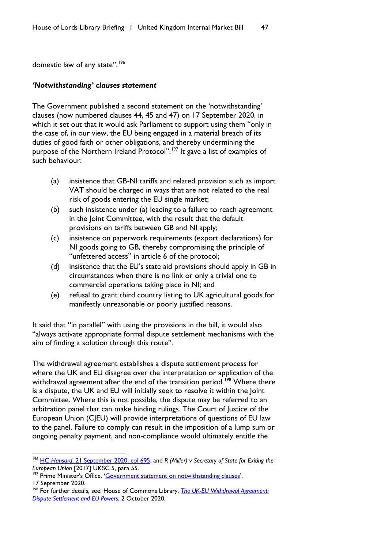domestic law of any state".<sup>[196](#page-48-0)</sup>

#### *'Notwithstanding' clauses statement*

The Government published a second statement on the 'notwithstanding' clauses (now numbered clauses 44, 45 and 47) on 17 September 2020, in which it set out that it would ask Parliament to support using them "only in the case of, in our view, the EU being engaged in a material breach of its duties of good faith or other obligations, and thereby undermining the purpose of the Northern Ireland Protocol".<sup>[197](#page-48-1)</sup> It gave a list of examples of such behaviour:

- (a) insistence that GB-NI tariffs and related provision such as import VAT should be charged in ways that are not related to the real risk of goods entering the EU single market;
- (b) such insistence under (a) leading to a failure to reach agreement in the Joint Committee, with the result that the default provisions on tariffs between GB and NI apply;
- (c) insistence on paperwork requirements (export declarations) for NI goods going to GB, thereby compromising the principle of "unfettered access" in article 6 of the protocol;
- (d) insistence that the EU's state aid provisions should apply in GB in circumstances when there is no link or only a trivial one to commercial operations taking place in NI; and
- (e) refusal to grant third country listing to UK agricultural goods for manifestly unreasonable or poorly justified reasons.

It said that "in parallel" with using the provisions in the bill, it would also "always activate appropriate formal dispute settlement mechanisms with the aim of finding a solution through this route".

The withdrawal agreement establishes a dispute settlement process for where the UK and EU disagree over the interpretation or application of the withdrawal agreement after the end of the transition period.<sup>[198](#page-48-2)</sup> Where there is a dispute, the UK and EU will initially seek to resolve it within the Joint Committee. Where this is not possible, the dispute may be referred to an arbitration panel that can make binding rulings. The Court of Justice of the European Union (CJEU) will provide interpretations of questions of EU law to the panel. Failure to comply can result in the imposition of a lump sum or ongoing penalty payment, and non-compliance would ultimately entitle the

<span id="page-48-1"></span><sup>197</sup> Prime Minister's Office, ['Government statement on notwithstanding clauses',](https://www.gov.uk/government/publications/government-statement-on-notwithstanding-clauses/government-statement-on-notwithstanding-clauses) 17 September 2020.

<span id="page-48-0"></span><sup>196</sup> HC *Hansard*[, 21 September 2020, col 695;](https://hansard.parliament.uk/commons/2020-09-21/debates/E16E72B4-04B3-4C62-8375-503BEE8799B0/UnitedKingdomInternalMarketBill) and *R (Miller)* v *Secretary of State for Exiting the European Union* [2017] UKSC 5, para 55.

<span id="page-48-2"></span><sup>198</sup> For further details, see: House of Commons Library, *[The UK-EU Withdrawal Agreement:](https://commonslibrary.parliament.uk/research-briefings/cbp-9016/)  [Dispute Settlement and EU Powers](https://commonslibrary.parliament.uk/research-briefings/cbp-9016/)*, 2 October 2020.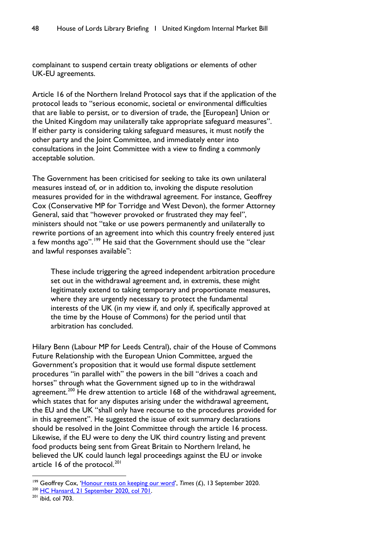complainant to suspend certain treaty obligations or elements of other UK-EU agreements.

Article 16 of the Northern Ireland Protocol says that if the application of the protocol leads to "serious economic, societal or environmental difficulties that are liable to persist, or to diversion of trade, the [European] Union or the United Kingdom may unilaterally take appropriate safeguard measures". If either party is considering taking safeguard measures, it must notify the other party and the Joint Committee, and immediately enter into consultations in the Joint Committee with a view to finding a commonly acceptable solution.

The Government has been criticised for seeking to take its own unilateral measures instead of, or in addition to, invoking the dispute resolution measures provided for in the withdrawal agreement. For instance, Geoffrey Cox (Conservative MP for Torridge and West Devon), the former Attorney General, said that "however provoked or frustrated they may feel", ministers should not "take or use powers permanently and unilaterally to rewrite portions of an agreement into which this country freely entered just a few months ago".<sup>[199](#page-49-0)</sup> He said that the Government should use the "clear and lawful responses available":

These include triggering the agreed independent arbitration procedure set out in the withdrawal agreement and, in extremis, these might legitimately extend to taking temporary and proportionate measures, where they are urgently necessary to protect the fundamental interests of the UK (in my view if, and only if, specifically approved at the time by the House of Commons) for the period until that arbitration has concluded.

Hilary Benn (Labour MP for Leeds Central), chair of the House of Commons Future Relationship with the European Union Committee, argued the Government's proposition that it would use formal dispute settlement procedures "in parallel with" the powers in the bill "drives a coach and horses" through what the Government signed up to in the withdrawal agreement.<sup>[200](#page-49-1)</sup> He drew attention to article 168 of the withdrawal agreement, which states that for any disputes arising under the withdrawal agreement, the EU and the UK "shall only have recourse to the procedures provided for in this agreement". He suggested the issue of exit summary declarations should be resolved in the Joint Committee through the article 16 process. Likewise, if the EU were to deny the UK third country listing and prevent food products being sent from Great Britain to Northern Ireland, he believed the UK could launch legal proceedings against the EU or invoke article 16 of the protocol. $^{201}$  $^{201}$  $^{201}$ 

<sup>200</sup> [HC Hansard, 21 September 2020, col 701.](https://hansard.parliament.uk/commons/2020-09-21/debates/E16E72B4-04B3-4C62-8375-503BEE8799B0/UnitedKingdomInternalMarketBill)

<span id="page-49-0"></span><sup>&</sup>lt;sup>199</sup> Geoffrey Cox, ['Honour rests on keeping our word',](https://www.thetimes.co.uk/edition/news/geoffrey-cox-honour-rests-on-keeping-our-word-qx36n6hwk) *Times* (£), 13 September 2020.

<span id="page-49-2"></span><span id="page-49-1"></span> $201$  ibid, col 703.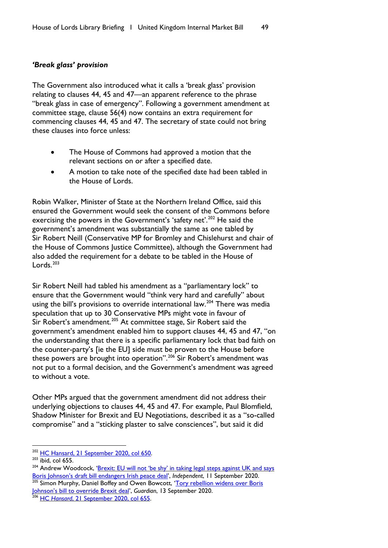### *'Break glass' provision*

The Government also introduced what it calls a 'break glass' provision relating to clauses 44, 45 and 47—an apparent reference to the phrase "break glass in case of emergency". Following a government amendment at committee stage, clause 56(4) now contains an extra requirement for commencing clauses 44, 45 and 47. The secretary of state could not bring these clauses into force unless:

- The House of Commons had approved a motion that the relevant sections on or after a specified date.
- A motion to take note of the specified date had been tabled in the House of Lords.

Robin Walker, Minister of State at the Northern Ireland Office, said this ensured the Government would seek the consent of the Commons before exercising the powers in the Government's 'safety net'.<sup>[202](#page-50-0)</sup> He said the government's amendment was substantially the same as one tabled by Sir Robert Neill (Conservative MP for Bromley and Chislehurst and chair of the House of Commons Justice Committee), although the Government had also added the requirement for a debate to be tabled in the House of Lords. $203$ 

Sir Robert Neill had tabled his amendment as a "parliamentary lock" to ensure that the Government would "think very hard and carefully" about using the bill's provisions to override international law.<sup>[204](#page-50-2)</sup> There was media speculation that up to 30 Conservative MPs might vote in favour of Sir Robert's amendment.<sup>[205](#page-50-3)</sup> At committee stage, Sir Robert said the government's amendment enabled him to support clauses 44, 45 and 47, "on the understanding that there is a specific parliamentary lock that bad faith on the counter-party's [ie the EU] side must be proven to the House before these powers are brought into operation".<sup>[206](#page-50-4)</sup> Sir Robert's amendment was not put to a formal decision, and the Government's amendment was agreed to without a vote.

Other MPs argued that the government amendment did not address their underlying objections to clauses 44, 45 and 47. For example, Paul Blomfield, Shadow Minister for Brexit and EU Negotiations, described it as a "so-called compromise" and a "sticking plaster to salve consciences", but said it did

<span id="page-50-0"></span><sup>&</sup>lt;sup>202</sup> [HC Hansard, 21 September 2020, col 650.](https://hansard.parliament.uk/commons/2020-09-21/debates/E16E72B4-04B3-4C62-8375-503BEE8799B0/UnitedKingdomInternalMarketBill)

<span id="page-50-1"></span> $203$  ibid, col 655.

<span id="page-50-2"></span><sup>&</sup>lt;sup>204</sup> Andrew Woodcock, 'Brexit: EU will not 'be shy' in taking legal steps against UK and says [Boris Johnson's draft bill endangers Irish peace deal',](https://www.independent.co.uk/news/uk/politics/brexit-eu-boris-johnson-withdrawal-agreement-ireland-draft-bill-b421581.html) *Independent*, 11 September 2020. Simon Murphy, Daniel Boffey and Owen Bowcott, 'Tory rebellion widens over Boris

<span id="page-50-3"></span>[Johnson's bill to override Brexit deal',](https://www.theguardian.com/politics/2020/sep/13/tory-rebellion-widens-boris-johnson-bill-override-brexit-deal) *Guardian*, 13 September 2020.

<span id="page-50-4"></span><sup>&</sup>lt;sup>206</sup> HC Hansard[, 21 September 2020, col 655.](https://hansard.parliament.uk/commons/2020-09-21/debates/E16E72B4-04B3-4C62-8375-503BEE8799B0/UnitedKingdomInternalMarketBill)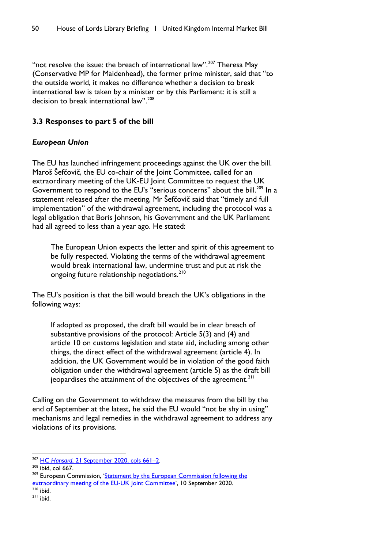"not resolve the issue: the breach of international law".<sup>[207](#page-51-0)</sup> Theresa May (Conservative MP for Maidenhead), the former prime minister, said that "to the outside world, it makes no difference whether a decision to break international law is taken by a minister or by this Parliament: it is still a decision to break international law".<sup>[208](#page-51-1)</sup>

## **3.3 Responses to part 5 of the bill**

## *European Union*

The EU has launched infringement proceedings against the UK over the bill. Maroš Šefčovič, the EU co-chair of the Joint Committee, called for an extraordinary meeting of the UK-EU Joint Committee to request the UK Government to respond to the EU's "serious concerns" about the bill.<sup>[209](#page-51-2)</sup> In a statement released after the meeting, Mr Šefčovič said that "timely and full implementation" of the withdrawal agreement, including the protocol was a legal obligation that Boris Johnson, his Government and the UK Parliament had all agreed to less than a year ago. He stated:

The European Union expects the letter and spirit of this agreement to be fully respected. Violating the terms of the withdrawal agreement would break international law, undermine trust and put at risk the ongoing future relationship negotiations.<sup>[210](#page-51-3)</sup>

The EU's position is that the bill would breach the UK's obligations in the following ways:

If adopted as proposed, the draft bill would be in clear breach of substantive provisions of the protocol: Article 5(3) and (4) and article 10 on customs legislation and state aid, including among other things, the direct effect of the withdrawal agreement (article 4). In addition, the UK Government would be in violation of the good faith obligation under the withdrawal agreement (article 5) as the draft bill jeopardises the attainment of the objectives of the agreement.<sup>[211](#page-51-4)</sup>

Calling on the Government to withdraw the measures from the bill by the end of September at the latest, he said the EU would "not be shy in using" mechanisms and legal remedies in the withdrawal agreement to address any violations of its provisions.

<span id="page-51-3"></span> $210$  ibid.

<span id="page-51-0"></span><sup>207</sup> HC *Hansard*[, 21 September 2020, cols](https://hansard.parliament.uk/commons/2020-09-21/debates/E16E72B4-04B3-4C62-8375-503BEE8799B0/UnitedKingdomInternalMarketBill) 661–2.

<span id="page-51-1"></span> $208$  ibid, col 667.

<span id="page-51-2"></span><sup>&</sup>lt;sup>209</sup> European Commission, 'Statement by the European Commission following the [extraordinary meeting of the EU-UK Joint Committee'](https://ec.europa.eu/commission/presscorner/detail/en/STATEMENT_20_1607), 10 September 2020.

<span id="page-51-4"></span> $211$  ibid.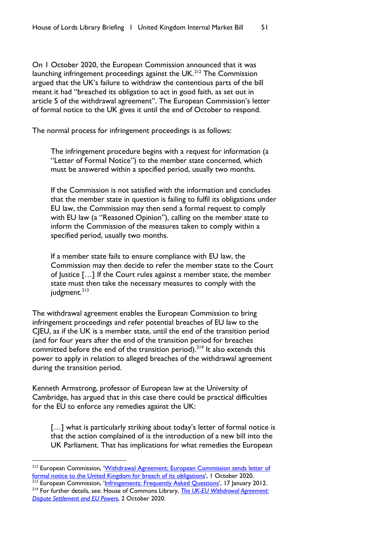On 1 October 2020, the European Commission announced that it was launching infringement proceedings against the  $UK<sup>212</sup>$  $UK<sup>212</sup>$  $UK<sup>212</sup>$  The Commission argued that the UK's failure to withdraw the contentious parts of the bill meant it had "breached its obligation to act in good faith, as set out in article 5 of the withdrawal agreement". The European Commission's letter of formal notice to the UK gives it until the end of October to respond.

The normal process for infringement proceedings is as follows:

The infringement procedure begins with a request for information (a "Letter of Formal Notice") to the member state concerned, which must be answered within a specified period, usually two months.

If the Commission is not satisfied with the information and concludes that the member state in question is failing to fulfil its obligations under EU law, the Commission may then send a formal request to comply with EU law (a "Reasoned Opinion"), calling on the member state to inform the Commission of the measures taken to comply within a specified period, usually two months.

If a member state fails to ensure compliance with EU law, the Commission may then decide to refer the member state to the Court of Justice […] If the Court rules against a member state, the member state must then take the necessary measures to comply with the judgment.<sup>[213](#page-52-1)</sup>

The withdrawal agreement enables the European Commission to bring infringement proceedings and refer potential breaches of EU law to the CJEU, as if the UK is a member state, until the end of the transition period (and for four years after the end of the transition period for breaches committed before the end of the transition period).<sup>[214](#page-52-2)</sup> It also extends this power to apply in relation to alleged breaches of the withdrawal agreement during the transition period.

Kenneth Armstrong, professor of European law at the University of Cambridge, has argued that in this case there could be practical difficulties for the EU to enforce any remedies against the UK:

[...] what is particularly striking about today's letter of formal notice is that the action complained of is the introduction of a new bill into the UK Parliament. That has implications for what remedies the European

<span id="page-52-0"></span><sup>&</sup>lt;sup>212</sup> European Commission, 'Withdrawal Agreement: European Commission sends letter of [formal notice to the United Kingdom for breach of its obligations',](https://ec.europa.eu/commission/presscorner/detail/en/IP_20_1798) 1 October 2020.

<span id="page-52-2"></span><span id="page-52-1"></span><sup>&</sup>lt;sup>213</sup> European Commission, ['Infringements: Frequently Asked Questions'](https://ec.europa.eu/commission/presscorner/detail/en/MEMO_12_12), 17 January 2012. <sup>214</sup> For further details, see: House of Commons Library, *[The UK-EU Withdrawal Agreement:](https://commonslibrary.parliament.uk/research-briefings/cbp-9016/)* 

*[Dispute Settlement and EU Powers](https://commonslibrary.parliament.uk/research-briefings/cbp-9016/)*, 2 October 2020.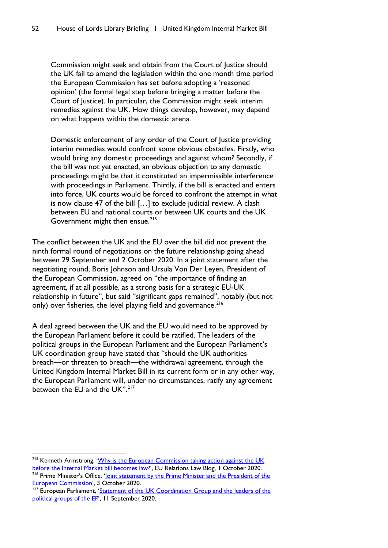Commission might seek and obtain from the Court of Justice should the UK fail to amend the legislation within the one month time period the European Commission has set before adopting a 'reasoned opinion' (the formal legal step before bringing a matter before the Court of Justice). In particular, the Commission might seek interim remedies against the UK. How things develop, however, may depend on what happens within the domestic arena.

Domestic enforcement of any order of the Court of Justice providing interim remedies would confront some obvious obstacles. Firstly, who would bring any domestic proceedings and against whom? Secondly, if the bill was not yet enacted, an obvious objection to any domestic proceedings might be that it constituted an impermissible interference with proceedings in Parliament. Thirdly, if the bill is enacted and enters into force, UK courts would be forced to confront the attempt in what is now clause 47 of the bill […] to exclude judicial review. A clash between EU and national courts or between UK courts and the UK Government might then ensue.<sup>[215](#page-53-0)</sup>

The conflict between the UK and the EU over the bill did not prevent the ninth formal round of negotiations on the future relationship going ahead between 29 September and 2 October 2020. In a joint statement after the negotiating round, Boris Johnson and Ursula Von Der Leyen, President of the European Commission, agreed on "the importance of finding an agreement, if at all possible, as a strong basis for a strategic EU-UK relationship in future", but said "significant gaps remained", notably (but not only) over fisheries, the level playing field and governance.<sup>[216](#page-53-1)</sup>

A deal agreed between the UK and the EU would need to be approved by the European Parliament before it could be ratified. The leaders of the political groups in the European Parliament and the European Parliament's UK coordination group have stated that "should the UK authorities breach—or threaten to breach—the withdrawal agreement, through the United Kingdom Internal Market Bill in its current form or in any other way, the European Parliament will, under no circumstances, ratify any agreement between the EU and the UK".<sup>[217](#page-53-2)</sup>

<span id="page-53-0"></span><sup>&</sup>lt;sup>215</sup> Kenneth Armstrong, 'Why is the European Commission taking action against the UK [before the Internal Market bill becomes law?',](http://eurelationslaw.com/blog/why-is-the-european-commission-taking-action-against-the-uk-before-the-internal-market-bill-becomes-law) EU Relations Law Blog, 1 October 2020.

<span id="page-53-1"></span><sup>&</sup>lt;sup>216</sup> Prime Minister's Office, '*Joint statement by the Prime Minister and the President of the European Commission'*, 3 October 2020.

<span id="page-53-2"></span><sup>&</sup>lt;sup>217</sup> European Parliament, 'Statement of the UK Coordination Group and the leaders of the [political groups of the EP'](https://www.europarl.europa.eu/news/en/press-room/20200907IPR86513/statement-of-the-uk-coordination-group-and-ep-political-group-leaders), 11 September 2020.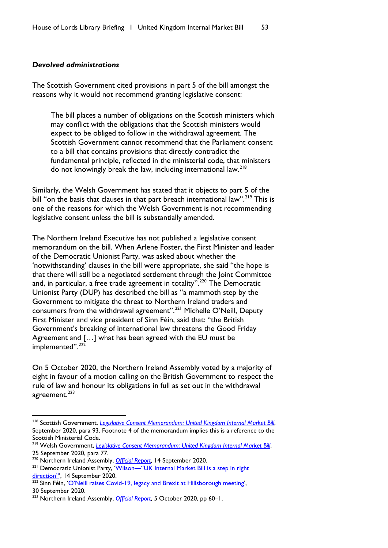#### *Devolved administrations*

The Scottish Government cited provisions in part 5 of the bill amongst the reasons why it would not recommend granting legislative consent:

The bill places a number of obligations on the Scottish ministers which may conflict with the obligations that the Scottish ministers would expect to be obliged to follow in the withdrawal agreement. The Scottish Government cannot recommend that the Parliament consent to a bill that contains provisions that directly contradict the fundamental principle, reflected in the ministerial code, that ministers do not knowingly break the law, including international law.<sup>[218](#page-54-0)</sup>

Similarly, the Welsh Government has stated that it objects to part 5 of the bill "on the basis that clauses in that part breach international law".<sup>[219](#page-54-1)</sup> This is one of the reasons for which the Welsh Government is not recommending legislative consent unless the bill is substantially amended.

The Northern Ireland Executive has not published a legislative consent memorandum on the bill. When Arlene Foster, the First Minister and leader of the Democratic Unionist Party, was asked about whether the 'notwithstanding' clauses in the bill were appropriate, she said "the hope is that there will still be a negotiated settlement through the Joint Committee and, in particular, a free trade agreement in totality".<sup>[220](#page-54-2)</sup> The Democratic Unionist Party (DUP) has described the bill as "a mammoth step by the Government to mitigate the threat to Northern Ireland traders and consumers from the withdrawal agreement".[221](#page-54-3) Michelle O'Neill, Deputy First Minister and vice president of Sinn Féin, said that: "the British Government's breaking of international law threatens the Good Friday Agreement and […] what has been agreed with the EU must be implemented".<sup>[222](#page-54-4)</sup>

On 5 October 2020, the Northern Ireland Assembly voted by a majority of eight in favour of a motion calling on the British Government to respect the rule of law and honour its obligations in full as set out in the withdrawal agreement.<sup>[223](#page-54-5)</sup>

<span id="page-54-0"></span><sup>218</sup> Scottish Government, *[Legislative Consent Memorandum: United Kingdom Internal Market Bill](https://www.parliament.scot/S5_Finance/General%20Documents/SPLCM-S05-47.pdf)*, September 2020, para 93. Footnote 4 of the memorandum implies this is a reference to the Scottish Ministerial Code.

<span id="page-54-1"></span><sup>219</sup> Welsh Government, *[Legislative Consent Memorandum: United Kingdom Internal Market Bill](https://senedd.wales/laid%20documents/lcm-ld13513/lcm-ld13513-e.pdf)*, 25 September 2020, para 77.

<span id="page-54-2"></span><sup>220</sup> Northern Ireland Assembly, *[Official Report](http://aims.niassembly.gov.uk/officialreport/report.aspx?&eveDate=2020/09/14&docID=307004)*, 14 September 2020.

<span id="page-54-3"></span><sup>&</sup>lt;sup>221</sup> Democratic Unionist Party, 'Wilson—"UK Internal Market Bill is a step in right direction", 14 September 2020.

<span id="page-54-4"></span><sup>&</sup>lt;sup>222</sup> Sinn Féin, ['O'Neill raises Covid-19, legacy and Brexit at Hillsborough meeting',](https://www.sinnfein.ie/contents/58321) 30 September 2020.

<span id="page-54-5"></span><sup>223</sup> Northern Ireland Assembly, *[Official Report](http://data.niassembly.gov.uk/HansardXml/plenary-05-10-2020.pdf)*, 5 October 2020, pp 60–1.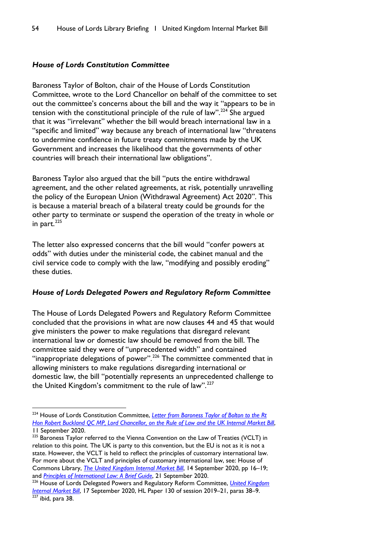## *House of Lords Constitution Committee*

Baroness Taylor of Bolton, chair of the House of Lords Constitution Committee, wrote to the Lord Chancellor on behalf of the committee to set out the committee's concerns about the bill and the way it "appears to be in tension with the constitutional principle of the rule of law".<sup>[224](#page-55-0)</sup> She argued that it was "irrelevant" whether the bill would breach international law in a "specific and limited" way because any breach of international law "threatens to undermine confidence in future treaty commitments made by the UK Government and increases the likelihood that the governments of other countries will breach their international law obligations".

Baroness Taylor also argued that the bill "puts the entire withdrawal agreement, and the other related agreements, at risk, potentially unravelling the policy of the European Union (Withdrawal Agreement) Act 2020". This is because a material breach of a bilateral treaty could be grounds for the other party to terminate or suspend the operation of the treaty in whole or in part. $^{225}$  $^{225}$  $^{225}$ 

The letter also expressed concerns that the bill would "confer powers at odds" with duties under the ministerial code, the cabinet manual and the civil service code to comply with the law, "modifying and possibly eroding" these duties.

## *House of Lords Delegated Powers and Regulatory Reform Committee*

The House of Lords Delegated Powers and Regulatory Reform Committee concluded that the provisions in what are now clauses 44 and 45 that would give ministers the power to make regulations that disregard relevant international law or domestic law should be removed from the bill. The committee said they were of "unprecedented width" and contained "inappropriate delegations of power".<sup>[226](#page-55-2)</sup> The committee commented that in allowing ministers to make regulations disregarding international or domestic law, the bill "potentially represents an unprecedented challenge to the United Kingdom's commitment to the rule of law".<sup>[227](#page-55-3)</sup>

<span id="page-55-0"></span><sup>&</sup>lt;sup>224</sup> House of Lords Constitution Committee, *Letter from Baroness Taylor of Bolton to the Rt [Hon Robert Buckland QC MP, Lord Chancellor, on the Rule of Law and the UK Internal Market Bill](https://committees.parliament.uk/publications/2514/documents/24959/default/)*, 11 September 2020.

<span id="page-55-1"></span><sup>&</sup>lt;sup>225</sup> Baroness Taylor referred to the Vienna Convention on the Law of Treaties (VCLT) in relation to this point. The UK is party to this convention, but the EU is not as it is not a state. However, the VCLT is held to reflect the principles of customary international law. For more about the VCLT and principles of customary international law, see: House of Commons Library, *[The United Kingdom Internal Market Bill](https://commonslibrary.parliament.uk/research-briefings/cbp-9003/)*, 14 September 2020, pp 16–19; and *[Principles of International Law: A Brief Guide](https://commonslibrary.parliament.uk/research-briefings/cbp-9010/)*, 21 September 2020.

<span id="page-55-3"></span><span id="page-55-2"></span><sup>226</sup> House of Lords Delegated Powers and Regulatory Reform Committee, *[United Kingdom](https://committees.parliament.uk/publications/2628/documents/26219/default/)  [Internal Market Bill](https://committees.parliament.uk/publications/2628/documents/26219/default/)*, 17 September 2020, HL Paper 130 of session 2019–21, paras 38–9.  $227$  ibid, para 38.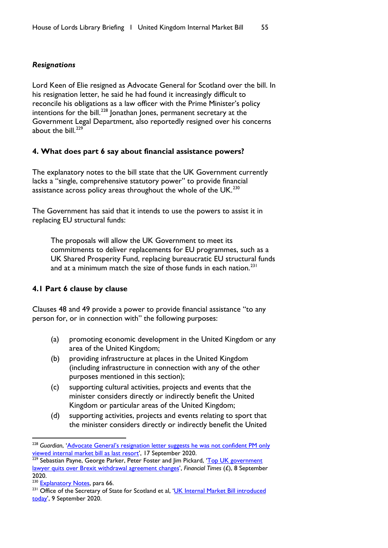## *Resignations*

Lord Keen of Elie resigned as Advocate General for Scotland over the bill. In his resignation letter, he said he had found it increasingly difficult to reconcile his obligations as a law officer with the Prime Minister's policy intentions for the bill.<sup>[228](#page-56-0)</sup> Jonathan Jones, permanent secretary at the Government Legal Department, also reportedly resigned over his concerns about the bill. $^{229}$  $^{229}$  $^{229}$ 

## **4. What does part 6 say about financial assistance powers?**

The explanatory notes to the bill state that the UK Government currently lacks a "single, comprehensive statutory power" to provide financial assistance across policy areas throughout the whole of the UK.<sup>[230](#page-56-2)</sup>

The Government has said that it intends to use the powers to assist it in replacing EU structural funds:

The proposals will allow the UK Government to meet its commitments to deliver replacements for EU programmes, such as a UK Shared Prosperity Fund, replacing bureaucratic EU structural funds and at a minimum match the size of those funds in each nation.<sup>[231](#page-56-3)</sup>

## **4.1 Part 6 clause by clause**

Clauses 48 and 49 provide a power to provide financial assistance "to any person for, or in connection with" the following purposes:

- (a) promoting economic development in the United Kingdom or any area of the United Kingdom;
- (b) providing infrastructure at places in the United Kingdom (including infrastructure in connection with any of the other purposes mentioned in this section);
- (c) supporting cultural activities, projects and events that the minister considers directly or indirectly benefit the United Kingdom or particular areas of the United Kingdom;
- (d) supporting activities, projects and events relating to sport that the minister considers directly or indirectly benefit the United

<span id="page-56-0"></span><sup>228</sup> *Guardian*, ['Advocate General's resignation letter suggests he was not confident PM only](https://www.theguardian.com/politics/live/2020/sep/17/uk-coronavirus-news-latest-minister-dismisses-report-pm-preparing-for-new-two-week-national-lockdown?page=with:block-5f6324038f083ce59ed4e47a#block-5f6324038f083ce59ed4e47a)  [viewed internal market bill as last resort'](https://www.theguardian.com/politics/live/2020/sep/17/uk-coronavirus-news-latest-minister-dismisses-report-pm-preparing-for-new-two-week-national-lockdown?page=with:block-5f6324038f083ce59ed4e47a#block-5f6324038f083ce59ed4e47a), 17 September 2020.

<span id="page-56-1"></span><sup>&</sup>lt;sup>229</sup> Sebastian Payne, George Parker, Peter Foster and Jim Pickard, 'Top UK government [lawyer quits over Brexit withdrawal agreement changes'](https://www.ft.com/content/6186bf1c-055b-4de6-a643-4eea763e1b94), *Financial Times* (£), 8 September 2020.

<span id="page-56-2"></span><sup>&</sup>lt;sup>230</sup> [Explanatory Notes,](https://publications.parliament.uk/pa/bills/lbill/58-01/135/5801135en.pdf) para 66.

<span id="page-56-3"></span><sup>&</sup>lt;sup>231</sup> Office of the Secretary of State for Scotland et al, 'UK Internal Market Bill introduced [today'](https://www.gov.uk/government/news/uk-internal-market-bill-introduced-today), 9 September 2020.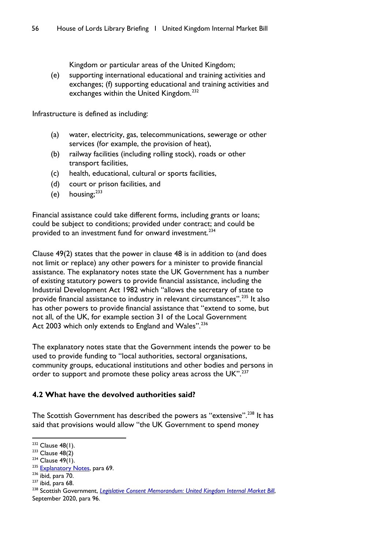Kingdom or particular areas of the United Kingdom;

(e) supporting international educational and training activities and exchanges; (f) supporting educational and training activities and exchanges within the United Kingdom.<sup>[232](#page-57-0)</sup>

Infrastructure is defined as including:

- (a) water, electricity, gas, telecommunications, sewerage or other services (for example, the provision of heat),
- (b) railway facilities (including rolling stock), roads or other transport facilities,
- (c) health, educational, cultural or sports facilities,
- (d) court or prison facilities, and
- (e) housing; $^{233}$  $^{233}$  $^{233}$

Financial assistance could take different forms, including grants or loans; could be subject to conditions; provided under contract; and could be provided to an investment fund for onward investment.<sup>[234](#page-57-2)</sup>

Clause 49(2) states that the power in clause 48 is in addition to (and does not limit or replace) any other powers for a minister to provide financial assistance. The explanatory notes state the UK Government has a number of existing statutory powers to provide financial assistance, including the Industrial Development Act 1982 which "allows the secretary of state to provide financial assistance to industry in relevant circumstances".[235](#page-57-3) It also has other powers to provide financial assistance that "extend to some, but not all, of the UK, for example section 31 of the Local Government Act 2003 which only extends to England and Wales".<sup>[236](#page-57-4)</sup>

The explanatory notes state that the Government intends the power to be used to provide funding to "local authorities, sectoral organisations, community groups, educational institutions and other bodies and persons in order to support and promote these policy areas across the UK".<sup>[237](#page-57-5)</sup>

# **4.2 What have the devolved authorities said?**

The Scottish Government has described the powers as "extensive".<sup>[238](#page-57-6)</sup> It has said that provisions would allow "the UK Government to spend money

<span id="page-57-0"></span> $232$  Clause 48(1).

<span id="page-57-1"></span> $233$  Clause 48(2)

<span id="page-57-2"></span> $234$  Clause 49(1).

<span id="page-57-3"></span><sup>&</sup>lt;sup>235</sup> [Explanatory Notes,](https://publications.parliament.uk/pa/bills/lbill/58-01/135/5801135en.pdf) para 69.<br><sup>236</sup> ibid, para 70.

<span id="page-57-5"></span><span id="page-57-4"></span> $237$  ibid, para 68.

<span id="page-57-6"></span><sup>&</sup>lt;sup>238</sup> Scottish Government, *[Legislative Consent Memorandum: United Kingdom Internal Market Bill](https://www.parliament.scot/S5_Finance/General%20Documents/SPLCM-S05-47.pdf)*, September 2020, para 96.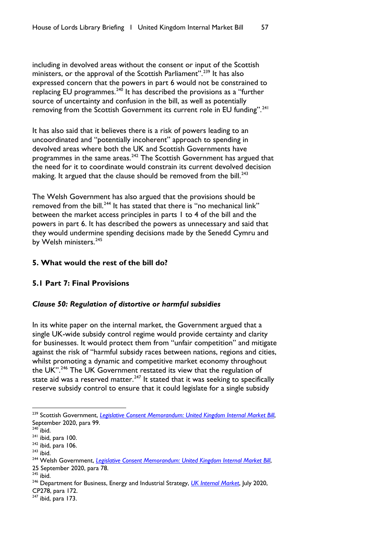including in devolved areas without the consent or input of the Scottish ministers, or the approval of the Scottish Parliament".<sup>[239](#page-58-0)</sup> It has also expressed concern that the powers in part 6 would not be constrained to replacing EU programmes. $240$  It has described the provisions as a "further source of uncertainty and confusion in the bill, as well as potentially removing from the Scottish Government its current role in EU funding".<sup>[241](#page-58-2)</sup>

It has also said that it believes there is a risk of powers leading to an uncoordinated and "potentially incoherent" approach to spending in devolved areas where both the UK and Scottish Governments have programmes in the same areas. $242$  The Scottish Government has argued that the need for it to coordinate would constrain its current devolved decision making. It argued that the clause should be removed from the bill.<sup>243</sup>

The Welsh Government has also argued that the provisions should be removed from the bill.<sup>[244](#page-58-5)</sup> It has stated that there is "no mechanical link" between the market access principles in parts 1 to 4 of the bill and the powers in part 6. It has described the powers as unnecessary and said that they would undermine spending decisions made by the Senedd Cymru and by Welsh ministers.<sup>[245](#page-58-6)</sup>

### **5. What would the rest of the bill do?**

### **5.1 Part 7: Final Provisions**

### *Clause 50: Regulation of distortive or harmful subsidies*

In its white paper on the internal market, the Government argued that a single UK-wide subsidy control regime would provide certainty and clarity for businesses. It would protect them from "unfair competition" and mitigate against the risk of "harmful subsidy races between nations, regions and cities, whilst promoting a dynamic and competitive market economy throughout the UK".<sup>[246](#page-58-7)</sup> The UK Government restated its view that the regulation of state aid was a reserved matter.<sup>[247](#page-58-8)</sup> It stated that it was seeking to specifically reserve subsidy control to ensure that it could legislate for a single subsidy

<span id="page-58-6"></span> $245$  ibid.

<span id="page-58-0"></span><sup>&</sup>lt;sup>239</sup> Scottish Government, *[Legislative Consent Memorandum: United Kingdom Internal Market Bill](https://www.parliament.scot/S5_Finance/General%20Documents/SPLCM-S05-47.pdf)*, September 2020, para 99.

<span id="page-58-1"></span> $240$  ibid.

<span id="page-58-2"></span> $241$  ibid, para 100.

<span id="page-58-3"></span> $242$  ibid, para 106.

<span id="page-58-4"></span> $243$  ibid.

<span id="page-58-5"></span><sup>244</sup> Welsh Government, *[Legislative Consent Memorandum: United Kingdom Internal Market Bill](https://senedd.wales/laid%20documents/lcm-ld13513/lcm-ld13513-e.pdf)*, 25 September 2020, para 78.

<span id="page-58-7"></span><sup>246</sup> Department for Business, Energy and Industrial Strategy, *[UK Internal Market](https://assets.publishing.service.gov.uk/government/uploads/system/uploads/attachment_data/file/901225/uk-internal-market-white-paper.pdf)*, July 2020,

CP278, para 172.

<span id="page-58-8"></span> $247$  ibid, para 173.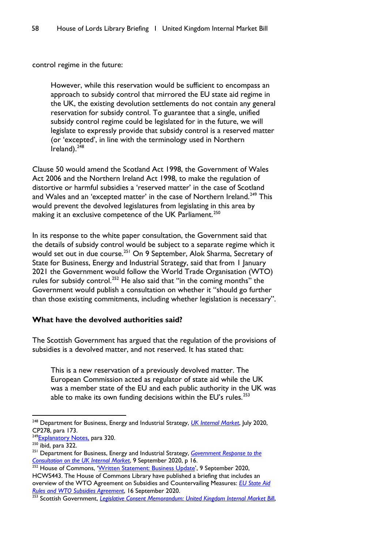control regime in the future:

However, while this reservation would be sufficient to encompass an approach to subsidy control that mirrored the EU state aid regime in the UK, the existing devolution settlements do not contain any general reservation for subsidy control. To guarantee that a single, unified subsidy control regime could be legislated for in the future, we will legislate to expressly provide that subsidy control is a reserved matter (or 'excepted', in line with the terminology used in Northern Ireland). $248$ 

Clause 50 would amend the Scotland Act 1998, the Government of Wales Act 2006 and the Northern Ireland Act 1998, to make the regulation of distortive or harmful subsidies a 'reserved matter' in the case of Scotland and Wales and an 'excepted matter' in the case of Northern Ireland.<sup>[249](#page-59-1)</sup> This would prevent the devolved legislatures from legislating in this area by making it an exclusive competence of the UK Parliament.<sup>[250](#page-59-2)</sup>

In its response to the white paper consultation, the Government said that the details of subsidy control would be subject to a separate regime which it would set out in due course.<sup>[251](#page-59-3)</sup> On 9 September, Alok Sharma, Secretary of State for Business, Energy and Industrial Strategy, said that from 1 January 2021 the Government would follow the World Trade Organisation (WTO) rules for subsidy control.<sup>[252](#page-59-4)</sup> He also said that "in the coming months" the Government would publish a consultation on whether it "should go further than those existing commitments, including whether legislation is necessary".

### **What have the devolved authorities said?**

The Scottish Government has argued that the regulation of the provisions of subsidies is a devolved matter, and not reserved. It has stated that:

This is a new reservation of a previously devolved matter. The European Commission acted as regulator of state aid while the UK was a member state of the EU and each public authority in the UK was able to make its own funding decisions within the EU's rules. $253$ 

<span id="page-59-0"></span><sup>248</sup> Department for Business, Energy and Industrial Strategy, *[UK Internal Market](https://assets.publishing.service.gov.uk/government/uploads/system/uploads/attachment_data/file/901225/uk-internal-market-white-paper.pdf)*, July 2020, CP278, para 173.

<span id="page-59-1"></span><sup>&</sup>lt;sup>249</sup>Explanatory Notes, para 320.

<span id="page-59-2"></span> $250$  ibid, para 322.

<span id="page-59-3"></span><sup>251</sup> Department for Business, Energy and Industrial Strategy, *[Government Response](https://assets.publishing.service.gov.uk/government/uploads/system/uploads/attachment_data/file/916154/ukim-consultation-government-response.pdf) to the Consultation [on the UK Internal Market](https://assets.publishing.service.gov.uk/government/uploads/system/uploads/attachment_data/file/916154/ukim-consultation-government-response.pdf)*, 9 September 2020, p 16.

<span id="page-59-4"></span><sup>252</sup> House of Commons, '<u>Written Statement: Business Update</u>', 9 September 2020, HCWS443. The House of Commons Library have published a briefing that includes an overview of the WTO Agreement on Subsidies and Countervailing Measures: *[EU State Aid](https://commonslibrary.parliament.uk/research-briefings/sn06775/)  [Rules and WTO Subsidies Agreement](https://commonslibrary.parliament.uk/research-briefings/sn06775/)*, 16 September 2020.

<span id="page-59-5"></span><sup>253</sup> Scottish Government, *[Legislative Consent Memorandum: United Kingdom Internal Market Bil](https://www.parliament.scot/S5_Finance/General%20Documents/SPLCM-S05-47.pdf)*l,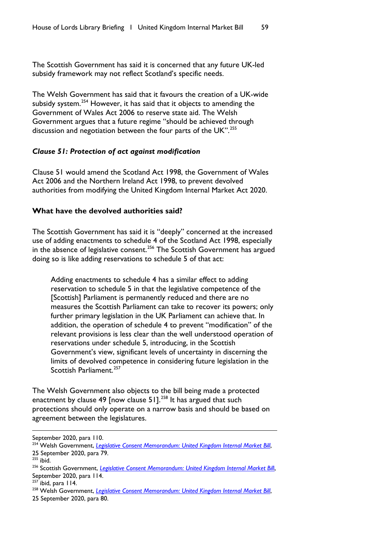The Scottish Government has said it is concerned that any future UK-led subsidy framework may not reflect Scotland's specific needs.

The Welsh Government has said that it favours the creation of a UK-wide subsidy system.<sup>[254](#page-60-0)</sup> However, it has said that it objects to amending the Government of Wales Act 2006 to reserve state aid. The Welsh Government argues that a future regime "should be achieved through discussion and negotiation between the four parts of the UK".<sup>[255](#page-60-1)</sup>

#### *Clause 51: Protection of act against modification*

Clause 51 would amend the Scotland Act 1998, the Government of Wales Act 2006 and the Northern Ireland Act 1998, to prevent devolved authorities from modifying the United Kingdom Internal Market Act 2020.

### **What have the devolved authorities said?**

The Scottish Government has said it is "deeply" concerned at the increased use of adding enactments to schedule 4 of the Scotland Act 1998, especially in the absence of legislative consent.<sup>[256](#page-60-2)</sup> The Scottish Government has argued doing so is like adding reservations to schedule 5 of that act:

Adding enactments to schedule 4 has a similar effect to adding reservation to schedule 5 in that the legislative competence of the [Scottish] Parliament is permanently reduced and there are no measures the Scottish Parliament can take to recover its powers; only further primary legislation in the UK Parliament can achieve that. In addition, the operation of schedule 4 to prevent "modification" of the relevant provisions is less clear than the well understood operation of reservations under schedule 5, introducing, in the Scottish Government's view, significant levels of uncertainty in discerning the limits of devolved competence in considering future legislation in the Scottish Parliament.<sup>[257](#page-60-3)</sup>

The Welsh Government also objects to the bill being made a protected enactment by clause 49 [now clause 51].<sup>[258](#page-60-4)</sup> It has argued that such protections should only operate on a narrow basis and should be based on agreement between the legislatures.

<span id="page-60-3"></span> $257$  ibid, para 114.

September 2020, para 110.

<span id="page-60-0"></span><sup>&</sup>lt;sup>254</sup> Welsh Government, *[Legislative Consent Memorandum: United Kingdom Internal Market Bill](https://senedd.wales/laid%20documents/lcm-ld13513/lcm-ld13513-e.pdf)*, 25 September 2020, para 79.

<span id="page-60-1"></span> $255$  ibid.

<span id="page-60-2"></span><sup>256</sup> Scottish Government, *[Legislative Consent Memorandum: United Kingdom Internal Market Bil](https://www.parliament.scot/S5_Finance/General%20Documents/SPLCM-S05-47.pdf)*l, September 2020, para 114.

<span id="page-60-4"></span><sup>&</sup>lt;sup>258</sup> Welsh Government, *[Legislative Consent Memorandum: United Kingdom Internal Market Bill](https://senedd.wales/laid%20documents/lcm-ld13513/lcm-ld13513-e.pdf)*,

<sup>25</sup> September 2020, para 80.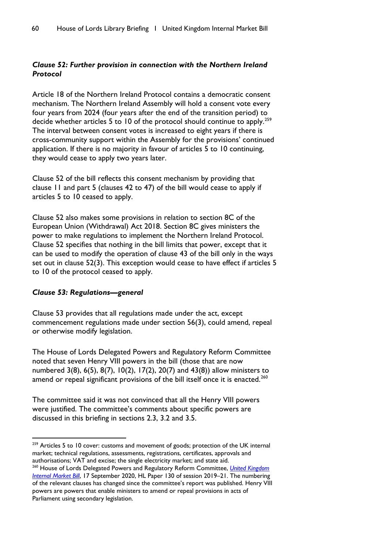# *Clause 52: Further provision in connection with the Northern Ireland Protocol*

Article 18 of the Northern Ireland Protocol contains a democratic consent mechanism. The Northern Ireland Assembly will hold a consent vote every four years from 2024 (four years after the end of the transition period) to decide whether articles 5 to 10 of the protocol should continue to apply.<sup>[259](#page-61-0)</sup> The interval between consent votes is increased to eight years if there is cross-community support within the Assembly for the provisions' continued application. If there is no majority in favour of articles 5 to 10 continuing, they would cease to apply two years later.

Clause 52 of the bill reflects this consent mechanism by providing that clause 11 and part 5 (clauses 42 to 47) of the bill would cease to apply if articles 5 to 10 ceased to apply.

Clause 52 also makes some provisions in relation to section 8C of the European Union (Withdrawal) Act 2018. Section 8C gives ministers the power to make regulations to implement the Northern Ireland Protocol. Clause 52 specifies that nothing in the bill limits that power, except that it can be used to modify the operation of clause 43 of the bill only in the ways set out in clause 52(3). This exception would cease to have effect if articles 5 to 10 of the protocol ceased to apply.

## *Clause 53: Regulations—general*

Clause 53 provides that all regulations made under the act, except commencement regulations made under section 56(3), could amend, repeal or otherwise modify legislation.

The House of Lords Delegated Powers and Regulatory Reform Committee noted that seven Henry VIII powers in the bill (those that are now numbered 3(8), 6(5), 8(7), 10(2), 17(2), 20(7) and 43(8)) allow ministers to amend or repeal significant provisions of the bill itself once it is enacted.<sup>[260](#page-61-1)</sup>

The committee said it was not convinced that all the Henry VIII powers were justified. The committee's comments about specific powers are discussed in this briefing in sections 2.3, 3.2 and 3.5.

<span id="page-61-0"></span><sup>&</sup>lt;sup>259</sup> Articles 5 to 10 cover: customs and movement of goods; protection of the UK internal market; technical regulations, assessments, registrations, certificates, approvals and authorisations; VAT and excise; the single electricity market; and state aid.

<span id="page-61-1"></span><sup>260</sup> House of Lords Delegated Powers and Regulatory Reform Committee, *[United Kingdom](https://committees.parliament.uk/publications/2628/documents/26219/default/)  [Internal Market Bill](https://committees.parliament.uk/publications/2628/documents/26219/default/)*, 17 September 2020, HL Paper 130 of session 2019–21. The numbering of the relevant clauses has changed since the committee's report was published. Henry VIII powers are powers that enable ministers to amend or repeal provisions in acts of Parliament using secondary legislation.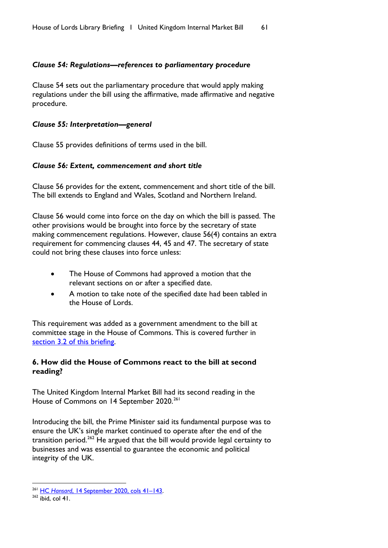## *Clause 54: Regulations—references to parliamentary procedure*

Clause 54 sets out the parliamentary procedure that would apply making regulations under the bill using the affirmative, made affirmative and negative procedure.

## *Clause 55: Interpretation—general*

Clause 55 provides definitions of terms used in the bill.

## *Clause 56: Extent, commencement and short title*

Clause 56 provides for the extent, commencement and short title of the bill. The bill extends to England and Wales, Scotland and Northern Ireland.

Clause 56 would come into force on the day on which the bill is passed. The other provisions would be brought into force by the secretary of state making commencement regulations. However, clause 56(4) contains an extra requirement for commencing clauses 44, 45 and 47. The secretary of state could not bring these clauses into force unless:

- The House of Commons had approved a motion that the relevant sections on or after a specified date.
- A motion to take note of the specified date had been tabled in the House of Lords.

This requirement was added as a government amendment to the bill at committee stage in the House of Commons. This is covered further in [section 3.2 of this briefing.](#page-31-0)

## **6. How did the House of Commons react to the bill at second reading?**

The United Kingdom Internal Market Bill had its second reading in the House of Commons on 14 September 2020.<sup>[261](#page-62-0)</sup>

Introducing the bill, the Prime Minister said its fundamental purpose was to ensure the UK's single market continued to operate after the end of the transition period.<sup>[262](#page-62-1)</sup> He argued that the bill would provide legal certainty to businesses and was essential to guarantee the economic and political integrity of the UK.

<span id="page-62-0"></span><sup>261</sup> HC *Hansard*[, 14 September 2020, cols 41–143.](https://hansard.parliament.uk/commons/2020-09-14/debates/83A18A5B-75DE-4843-9C64-FAD20602C884/UnitedKingdomInternalMarketBill)

<span id="page-62-1"></span> $262$  ibid, col 41.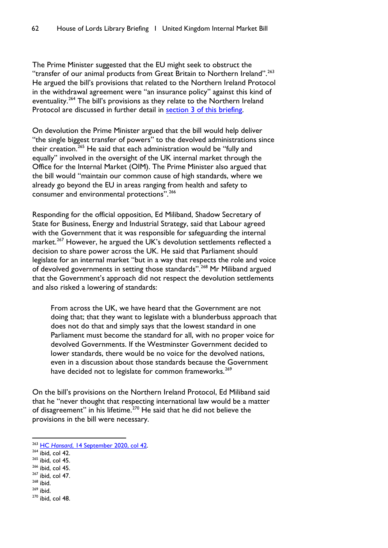The Prime Minister suggested that the EU might seek to obstruct the "transfer of our animal products from Great Britain to Northern Ireland".<sup>[263](#page-63-0)</sup> He argued the bill's provisions that related to the Northern Ireland Protocol in the withdrawal agreement were "an insurance policy" against this kind of eventuality.<sup>[264](#page-63-1)</sup> The bill's provisions as they relate to the Northern Ireland Protocol are discussed in further detail in [section 3 of this briefing.](#page-28-0)

On devolution the Prime Minister argued that the bill would help deliver "the single biggest transfer of powers" to the devolved administrations since their creation.<sup>[265](#page-63-2)</sup> He said that each administration would be "fully and equally" involved in the oversight of the UK internal market through the Office for the Internal Market (OIM). The Prime Minister also argued that the bill would "maintain our common cause of high standards, where we already go beyond the EU in areas ranging from health and safety to consumer and environmental protections".<sup>[266](#page-63-3)</sup>

Responding for the official opposition, Ed Miliband, Shadow Secretary of State for Business, Energy and Industrial Strategy, said that Labour agreed with the Government that it was responsible for safeguarding the internal market.<sup>[267](#page-63-4)</sup> However, he argued the UK's devolution settlements reflected a decision to share power across the UK. He said that Parliament should legislate for an internal market "but in a way that respects the role and voice of devolved governments in setting those standards".<sup>[268](#page-63-5)</sup> Mr Miliband argued that the Government's approach did not respect the devolution settlements and also risked a lowering of standards:

From across the UK, we have heard that the Government are not doing that; that they want to legislate with a blunderbuss approach that does not do that and simply says that the lowest standard in one Parliament must become the standard for all, with no proper voice for devolved Governments. If the Westminster Government decided to lower standards, there would be no voice for the devolved nations, even in a discussion about those standards because the Government have decided not to legislate for common frameworks.<sup>[269](#page-63-6)</sup>

On the bill's provisions on the Northern Ireland Protocol, Ed Miliband said that he "never thought that respecting international law would be a matter of disagreement" in his lifetime.<sup>[270](#page-63-7)</sup> He said that he did not believe the provisions in the bill were necessary.

- <span id="page-63-2"></span> $265$  ibid, col 45.
- <span id="page-63-3"></span><sup>266</sup> ibid, col 45.
- <span id="page-63-4"></span> $267$  ibid, col 47. <sup>268</sup> ibid.
- <span id="page-63-5"></span><sup>269</sup> ibid.
- <span id="page-63-7"></span><span id="page-63-6"></span> $270$  ibid, col 48.

<span id="page-63-0"></span><sup>263</sup> HC *Hansard*[, 14 September 2020, col 42.](https://hansard.parliament.uk/commons/2020-09-14/debates/83A18A5B-75DE-4843-9C64-FAD20602C884/UnitedKingdomInternalMarketBill)

<span id="page-63-1"></span> $264$  ibid, col 42.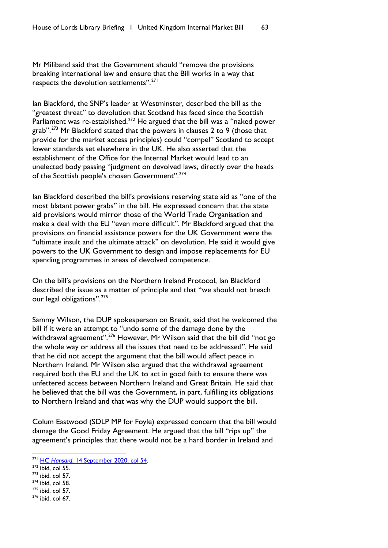Mr Miliband said that the Government should "remove the provisions breaking international law and ensure that the Bill works in a way that respects the devolution settlements".[271](#page-64-0)

Ian Blackford, the SNP's leader at Westminster, described the bill as the "greatest threat" to devolution that Scotland has faced since the Scottish Parliament was re-established.<sup>[272](#page-64-1)</sup> He argued that the bill was a "naked power grab".<sup>[273](#page-64-2)</sup> Mr Blackford stated that the powers in clauses 2 to 9 (those that provide for the market access principles) could "compel" Scotland to accept lower standards set elsewhere in the UK. He also asserted that the establishment of the Office for the Internal Market would lead to an unelected body passing "judgment on devolved laws, directly over the heads of the Scottish people's chosen Government".<sup>[274](#page-64-3)</sup>

Ian Blackford described the bill's provisions reserving state aid as "one of the most blatant power grabs" in the bill. He expressed concern that the state aid provisions would mirror those of the World Trade Organisation and make a deal with the EU "even more difficult". Mr Blackford argued that the provisions on financial assistance powers for the UK Government were the "ultimate insult and the ultimate attack" on devolution. He said it would give powers to the UK Government to design and impose replacements for EU spending programmes in areas of devolved competence.

On the bill's provisions on the Northern Ireland Protocol, Ian Blackford described the issue as a matter of principle and that "we should not breach our legal obligations".<sup>[275](#page-64-4)</sup>

Sammy Wilson, the DUP spokesperson on Brexit, said that he welcomed the bill if it were an attempt to "undo some of the damage done by the withdrawal agreement".<sup>[276](#page-64-5)</sup> However, Mr Wilson said that the bill did "not go the whole way or address all the issues that need to be addressed". He said that he did not accept the argument that the bill would affect peace in Northern Ireland. Mr Wilson also argued that the withdrawal agreement required both the EU and the UK to act in good faith to ensure there was unfettered access between Northern Ireland and Great Britain. He said that he believed that the bill was the Government, in part, fulfilling its obligations to Northern Ireland and that was why the DUP would support the bill.

Colum Eastwood (SDLP MP for Foyle) expressed concern that the bill would damage the Good Friday Agreement. He argued that the bill "rips up" the agreement's principles that there would not be a hard border in Ireland and

- <span id="page-64-4"></span> $275$  ibid, col 57.
- <span id="page-64-5"></span><sup>276</sup> ibid, col 67.

<span id="page-64-0"></span><sup>271</sup> HC *Hansard*[, 14 September 2020, col 54.](https://hansard.parliament.uk/commons/2020-09-14/debates/83A18A5B-75DE-4843-9C64-FAD20602C884/UnitedKingdomInternalMarketBill)

<span id="page-64-1"></span> $272$  ibid, col 55.

<span id="page-64-2"></span> $273$  ibid, col 57.

<span id="page-64-3"></span> $274$  ibid, col 58.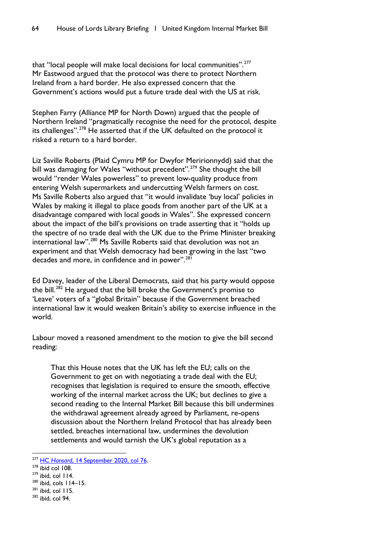that "local people will make local decisions for local communities".<sup>[277](#page-65-0)</sup> Mr Eastwood argued that the protocol was there to protect Northern Ireland from a hard border. He also expressed concern that the Government's actions would put a future trade deal with the US at risk.

Stephen Farry (Alliance MP for North Down) argued that the people of Northern Ireland "pragmatically recognise the need for the protocol, despite its challenges".[278](#page-65-1) He asserted that if the UK defaulted on the protocol it risked a return to a hard border.

Liz Saville Roberts (Plaid Cymru MP for Dwyfor Meririonnydd) said that the bill was damaging for Wales "without precedent".<sup>[279](#page-65-2)</sup> She thought the bill would "render Wales powerless" to prevent low-quality produce from entering Welsh supermarkets and undercutting Welsh farmers on cost. Ms Saville Roberts also argued that "it would invalidate 'buy local' policies in Wales by making it illegal to place goods from another part of the UK at a disadvantage compared with local goods in Wales". She expressed concern about the impact of the bill's provisions on trade asserting that it "holds up the spectre of no trade deal with the UK due to the Prime Minister breaking international law".<sup>[280](#page-65-3)</sup> Ms Saville Roberts said that devolution was not an experiment and that Welsh democracy had been growing in the last "two decades and more, in confidence and in power".<sup>[281](#page-65-4)</sup>

Ed Davey, leader of the Liberal Democrats, said that his party would oppose the bill.<sup>[282](#page-65-5)</sup> He argued that the bill broke the Government's promise to 'Leave' voters of a "global Britain" because if the Government breached international law it would weaken Britain's ability to exercise influence in the world.

Labour moved a reasoned amendment to the motion to give the bill second reading:

That this House notes that the UK has left the EU; calls on the Government to get on with negotiating a trade deal with the EU; recognises that legislation is required to ensure the smooth, effective working of the internal market across the UK; but declines to give a second reading to the Internal Market Bill because this bill undermines the withdrawal agreement already agreed by Parliament, re-opens discussion about the Northern Ireland Protocol that has already been settled, breaches international law, undermines the devolution settlements and would tarnish the UK's global reputation as a

<span id="page-65-0"></span><sup>277</sup> HC *Hansard*[, 14 September 2020, col](https://hansard.parliament.uk/commons/2020-09-14/debates/83A18A5B-75DE-4843-9C64-FAD20602C884/UnitedKingdomInternalMarketBill) 76.

<span id="page-65-1"></span> $278$  ibid col 108.

<span id="page-65-2"></span> $279$  ibid, col 114.

<span id="page-65-3"></span><sup>280</sup> ibid, cols 114–15.

<span id="page-65-4"></span> $281$  ibid, col 115.

<span id="page-65-5"></span><sup>282</sup> ibid, col 94.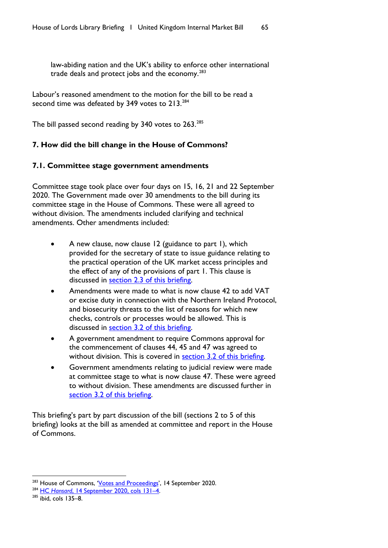law-abiding nation and the UK's ability to enforce other international trade deals and protect jobs and the economy.<sup>[283](#page-66-0)</sup>

Labour's reasoned amendment to the motion for the bill to be read a second time was defeated by 349 votes to  $213^{284}$  $213^{284}$  $213^{284}$ 

The bill passed second reading by 340 votes to 263.<sup>[285](#page-66-2)</sup>

# **7. How did the bill change in the House of Commons?**

## **7.1. Committee stage government amendments**

Committee stage took place over four days on 15, 16, 21 and 22 September 2020. The Government made over 30 amendments to the bill during its committee stage in the House of Commons. These were all agreed to without division. The amendments included clarifying and technical amendments. Other amendments included:

- A new clause, now clause 12 (guidance to part 1), which provided for the secretary of state to issue guidance relating to the practical operation of the UK market access principles and the effect of any of the provisions of part 1. This clause is discussed in [section 2.3 of this briefing.](#page-4-0)
- Amendments were made to what is now clause 42 to add VAT or excise duty in connection with the Northern Ireland Protocol, and biosecurity threats to the list of reasons for which new checks, controls or processes would be allowed. This is discussed in [section 3.2 of this briefing.](#page-31-0)
- A government amendment to require Commons approval for the commencement of clauses 44, 45 and 47 was agreed to without division. This is covered in **section 3.2 of this briefing**.
- Government amendments relating to judicial review were made at committee stage to what is now clause 47. These were agreed to without division. These amendments are discussed further in [section 3.2 of this briefing.](#page-31-0)

This briefing's part by part discussion of the bill (sections 2 to 5 of this briefing) looks at the bill as amended at committee and report in the House of Commons.

<span id="page-66-0"></span><sup>&</sup>lt;sup>283</sup> House of Commons, '<u>Votes and Proceedings</u>', 14 September 2020.<br><sup>284</sup> HC *Hansard*[, 14 September 2020, cols 131–4.](https://hansard.parliament.uk/commons/2020-09-14/debates/83A18A5B-75DE-4843-9C64-FAD20602C884/UnitedKingdomInternalMarketBill)

<span id="page-66-2"></span><span id="page-66-1"></span> $285$  ibid, cols 135–8.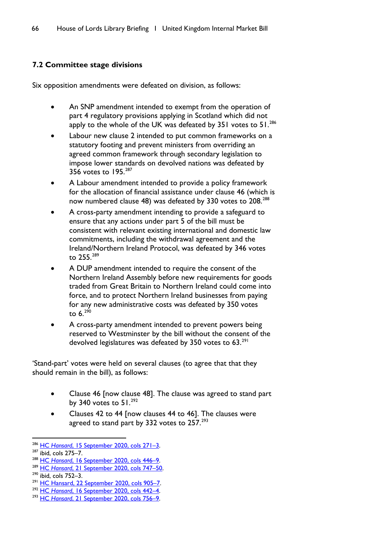# **7.2 Committee stage divisions**

Six opposition amendments were defeated on division, as follows:

- An SNP amendment intended to exempt from the operation of part 4 regulatory provisions applying in Scotland which did not apply to the whole of the UK was defeated by 351 votes to 51.<sup>[286](#page-67-0)</sup>
- Labour new clause 2 intended to put common frameworks on a statutory footing and prevent ministers from overriding an agreed common framework through secondary legislation to impose lower standards on devolved nations was defeated by 356 votes to 195.[287](#page-67-1)
- A Labour amendment intended to provide a policy framework for the allocation of financial assistance under clause 46 (which is now numbered clause 48) was defeated by 330 votes to 208.<sup>[288](#page-67-2)</sup>
- A cross-party amendment intending to provide a safeguard to ensure that any actions under part 5 of the bill must be consistent with relevant existing international and domestic law commitments, including the withdrawal agreement and the Ireland/Northern Ireland Protocol, was defeated by 346 votes to 255.[289](#page-67-3)
- A DUP amendment intended to require the consent of the Northern Ireland Assembly before new requirements for goods traded from Great Britain to Northern Ireland could come into force, and to protect Northern Ireland businesses from paying for any new administrative costs was defeated by 350 votes to  $6.290$  $6.290$
- A cross-party amendment intended to prevent powers being reserved to Westminster by the bill without the consent of the devolved legislatures was defeated by 350 votes to 63.<sup>[291](#page-67-5)</sup>

'Stand-part' votes were held on several clauses (to agree that that they should remain in the bill), as follows:

- Clause 46 [now clause 48]. The clause was agreed to stand part by 340 votes to  $51.^{292}$  $51.^{292}$  $51.^{292}$
- Clauses 42 to 44 [now clauses 44 to 46]. The clauses were agreed to stand part by 332 votes to 257.<sup>[293](#page-67-7)</sup>

<span id="page-67-0"></span><sup>286</sup> HC *Hansard*[, 15 September 2020, cols 271–3.](https://hansard.parliament.uk/commons/2020-09-15/debates/D4DE4FBD-B877-4687-B81F-6FDF07E4C923/UnitedKingdomInternalMarketBill)

<span id="page-67-1"></span><sup>287</sup> ibid, cols 275–7.

<span id="page-67-2"></span><sup>288</sup> HC *Hansard*[, 16 September 2020, cols 446–9.](https://hansard.parliament.uk/commons/2020-09-16/debates/FA8E8617-F27D-44F5-9449-84EBA5E7EBEA/UnitedKingdomInternalMarketBill)

<span id="page-67-3"></span><sup>289</sup> HC *Hansard*[, 21 September 2020, cols 747–50.](https://hansard.parliament.uk/commons/2020-09-21/debates/E16E72B4-04B3-4C62-8375-503BEE8799B0/UnitedKingdomInternalMarketBill)

<span id="page-67-4"></span><sup>290</sup> ibid, cols 752–3.

<span id="page-67-5"></span><sup>&</sup>lt;sup>291</sup> HC Hansard, 22 September 2020, cols 905-7.

<span id="page-67-6"></span><sup>292</sup> HC *Hansard*[, 16 September 2020, cols 442–4.](https://hansard.parliament.uk/commons/2020-09-16/debates/FA8E8617-F27D-44F5-9449-84EBA5E7EBEA/UnitedKingdomInternalMarketBill)

<span id="page-67-7"></span><sup>293</sup> HC *Hansard*[, 21 September 2020, cols 756–9.](https://hansard.parliament.uk/commons/2020-09-21/debates/E16E72B4-04B3-4C62-8375-503BEE8799B0/UnitedKingdomInternalMarketBill)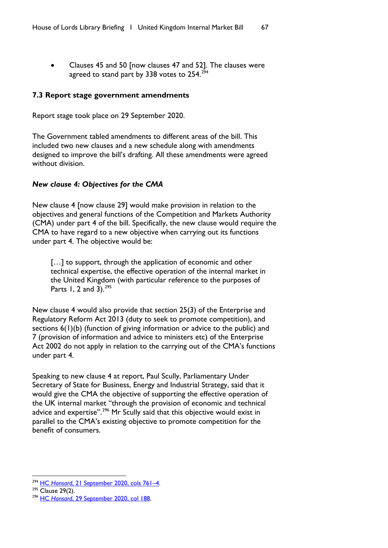• Clauses 45 and 50 [now clauses 47 and 52]. The clauses were agreed to stand part by 338 votes to 254.<sup>[294](#page-68-0)</sup>

# **7.3 Report stage government amendments**

Report stage took place on 29 September 2020.

The Government tabled amendments to different areas of the bill. This included two new clauses and a new schedule along with amendments designed to improve the bill's drafting. All these amendments were agreed without division.

## *New clause 4: Objectives for the CMA*

New clause 4 [now clause 29] would make provision in relation to the objectives and general functions of the Competition and Markets Authority (CMA) under part 4 of the bill. Specifically, the new clause would require the CMA to have regard to a new objective when carrying out its functions under part 4. The objective would be:

[...] to support, through the application of economic and other technical expertise, the effective operation of the internal market in the United Kingdom (with particular reference to the purposes of Parts 1, 2 and 3).<sup>[295](#page-68-1)</sup>

New clause 4 would also provide that section 25(3) of the Enterprise and Regulatory Reform Act 2013 (duty to seek to promote competition), and sections 6(1)(b) (function of giving information or advice to the public) and 7 (provision of information and advice to ministers etc) of the Enterprise Act 2002 do not apply in relation to the carrying out of the CMA's functions under part 4.

Speaking to new clause 4 at report, Paul Scully, Parliamentary Under Secretary of State for Business, Energy and Industrial Strategy, said that it would give the CMA the objective of supporting the effective operation of the UK internal market "through the provision of economic and technical advice and expertise".<sup>[296](#page-68-2)</sup> Mr Scully said that this objective would exist in parallel to the CMA's existing objective to promote competition for the benefit of consumers.

<span id="page-68-0"></span><sup>294</sup> HC *Hansard*[, 21 September 2020, cols 761–4.](https://hansard.parliament.uk/commons/2020-09-21/debates/E16E72B4-04B3-4C62-8375-503BEE8799B0/UnitedKingdomInternalMarketBill)

<span id="page-68-1"></span> $295$  Clause 29(2).

<span id="page-68-2"></span><sup>296</sup> HC *Hansard*[, 29 September 2020, col 188.](https://hansard.parliament.uk/commons/2020-09-29/debates/96A7BFAF-F6AD-409C-86EC-4799A382727D/UnitedKingdomInternalMarketBill)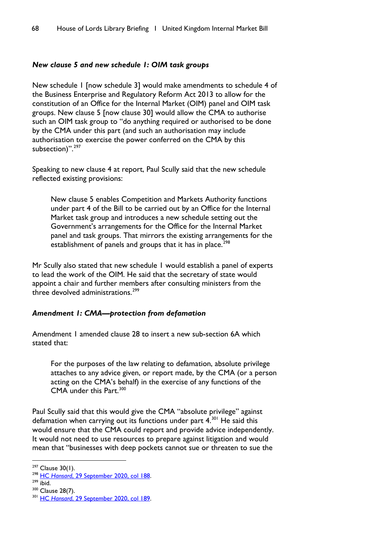## *New clause 5 and new schedule 1: OIM task groups*

New schedule 1 [now schedule 3] would make amendments to schedule 4 of the Business Enterprise and Regulatory Reform Act 2013 to allow for the constitution of an Office for the Internal Market (OIM) panel and OIM task groups. New clause 5 [now clause 30] would allow the CMA to authorise such an OIM task group to "do anything required or authorised to be done by the CMA under this part (and such an authorisation may include authorisation to exercise the power conferred on the CMA by this subsection)".<sup>[297](#page-69-0)</sup>

Speaking to new clause 4 at report, Paul Scully said that the new schedule reflected existing provisions:

New clause 5 enables Competition and Markets Authority functions under part 4 of the Bill to be carried out by an Office for the Internal Market task group and introduces a new schedule setting out the Government's arrangements for the Office for the Internal Market panel and task groups. That mirrors the existing arrangements for the establishment of panels and groups that it has in place.<sup>[298](#page-69-1)</sup>

Mr Scully also stated that new schedule 1 would establish a panel of experts to lead the work of the OIM. He said that the secretary of state would appoint a chair and further members after consulting ministers from the three devolved administrations.<sup>[299](#page-69-2)</sup>

### *Amendment 1: CMA—protection from defamation*

Amendment 1 amended clause 28 to insert a new sub-section 6A which stated that:

For the purposes of the law relating to defamation, absolute privilege attaches to any advice given, or report made, by the CMA (or a person acting on the CMA's behalf) in the exercise of any functions of the CMA under this Part.<sup>[300](#page-69-3)</sup>

Paul Scully said that this would give the CMA "absolute privilege" against defamation when carrying out its functions under part  $4.301$  $4.301$  He said this would ensure that the CMA could report and provide advice independently. It would not need to use resources to prepare against litigation and would mean that "businesses with deep pockets cannot sue or threaten to sue the

<span id="page-69-0"></span> $297$  Clause 30(1).

<span id="page-69-1"></span><sup>298</sup> HC *Hansard*[, 29 September 2020, col 188.](https://hansard.parliament.uk/commons/2020-09-29/debates/96A7BFAF-F6AD-409C-86EC-4799A382727D/UnitedKingdomInternalMarketBill)

<span id="page-69-2"></span> $299$  ibid.

<span id="page-69-3"></span><sup>&</sup>lt;sup>300</sup> Clause 28(7).

<span id="page-69-4"></span><sup>301</sup> HC *Hansard*[, 29 September 2020, col 189.](https://hansard.parliament.uk/commons/2020-09-29/debates/96A7BFAF-F6AD-409C-86EC-4799A382727D/UnitedKingdomInternalMarketBill)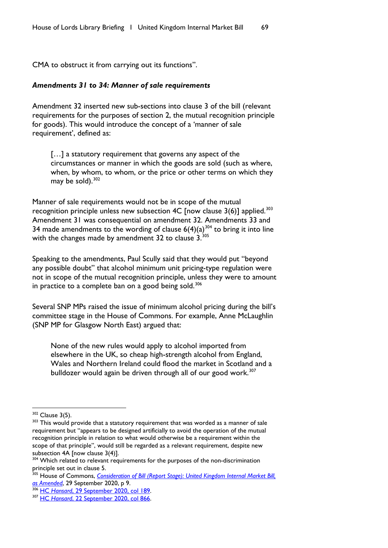CMA to obstruct it from carrying out its functions".

#### *Amendments 31 to 34: Manner of sale requirements*

Amendment 32 inserted new sub-sections into clause 3 of the bill (relevant requirements for the purposes of section 2, the mutual recognition principle for goods). This would introduce the concept of a 'manner of sale requirement', defined as:

[...] a statutory requirement that governs any aspect of the circumstances or manner in which the goods are sold (such as where, when, by whom, to whom, or the price or other terms on which they may be sold). $302$ 

Manner of sale requirements would not be in scope of the mutual recognition principle unless new subsection 4C [now clause  $3(6)$ ] applied.<sup>[303](#page-70-1)</sup> Amendment 31 was consequential on amendment 32. Amendments 33 and 34 made amendments to the wording of clause  $6(4)(a)^{304}$  $6(4)(a)^{304}$  $6(4)(a)^{304}$  to bring it into line with the changes made by amendment 32 to clause  $3^{305}$  $3^{305}$  $3^{305}$ 

Speaking to the amendments, Paul Scully said that they would put "beyond any possible doubt" that alcohol minimum unit pricing-type regulation were not in scope of the mutual recognition principle, unless they were to amount in practice to a complete ban on a good being sold.<sup>[306](#page-70-4)</sup>

Several SNP MPs raised the issue of minimum alcohol pricing during the bill's committee stage in the House of Commons. For example, Anne McLaughlin (SNP MP for Glasgow North East) argued that:

None of the new rules would apply to alcohol imported from elsewhere in the UK, so cheap high-strength alcohol from England, Wales and Northern Ireland could flood the market in Scotland and a bulldozer would again be driven through all of our good work.<sup>[307](#page-70-5)</sup>

<span id="page-70-1"></span><span id="page-70-0"></span> $302$  Clause 3(5).<br> $303$  This would provide that a statutory requirement that was worded as a manner of sale requirement but "appears to be designed artificially to avoid the operation of the mutual recognition principle in relation to what would otherwise be a requirement within the scope of that principle", would still be regarded as a relevant requirement, despite new subsection 4A [now clause 3(4)].

<span id="page-70-2"></span><sup>&</sup>lt;sup>304</sup> Which related to relevant requirements for the purposes of the non-discrimination principle set out in clause 5.

<span id="page-70-3"></span><sup>&</sup>lt;sup>305</sup> House of Commons, *Consideration of Bill (Report Stage): United Kingdom Internal Market Bill, [as Amended](https://publications.parliament.uk/pa/bills/cbill/58-01/0185/amend/ukim_daily_rep_0928.pdf)*, 29 September 2020, p 9.

<span id="page-70-4"></span><sup>306</sup> HC *Hansard*[, 29 September 2020, col 189.](https://hansard.parliament.uk/commons/2020-09-29/debates/96A7BFAF-F6AD-409C-86EC-4799A382727D/UnitedKingdomInternalMarketBill)

<span id="page-70-5"></span><sup>307</sup> HC *Hansard*[, 22 September 2020, col 866.](https://hansard.parliament.uk/commons/2020-09-22/debates/0AA112D9-F297-424A-8646-B291BC401248/UnitedKingdomInternalMarketBill)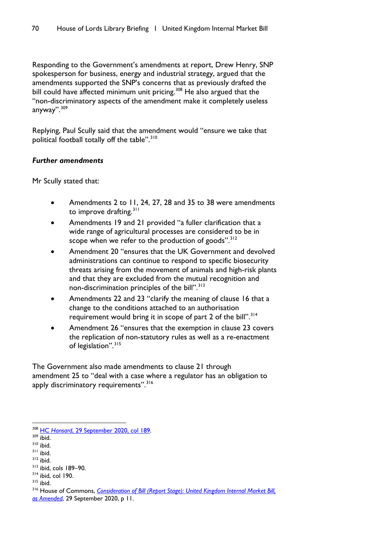Responding to the Government's amendments at report, Drew Henry, SNP spokesperson for business, energy and industrial strategy, argued that the amendments supported the SNP's concerns that as previously drafted the bill could have affected minimum unit pricing.<sup>[308](#page-71-0)</sup> He also argued that the "non-discriminatory aspects of the amendment make it completely useless anyway".[309](#page-71-1)

Replying, Paul Scully said that the amendment would "ensure we take that political football totally off the table".<sup>[310](#page-71-2)</sup>

## *Further amendments*

Mr Scully stated that:

- Amendments 2 to 11, 24, 27, 28 and 35 to 38 were amendments to improve drafting.<sup>[311](#page-71-3)</sup>
- Amendments 19 and 21 provided "a fuller clarification that a wide range of agricultural processes are considered to be in scope when we refer to the production of goods".<sup>[312](#page-71-4)</sup>
- Amendment 20 "ensures that the UK Government and devolved administrations can continue to respond to specific biosecurity threats arising from the movement of animals and high-risk plants and that they are excluded from the mutual recognition and non-discrimination principles of the bill".<sup>[313](#page-71-5)</sup>
- Amendments 22 and 23 "clarify the meaning of clause 16 that a change to the conditions attached to an authorisation requirement would bring it in scope of part 2 of the bill".<sup>[314](#page-71-6)</sup>
- Amendment 26 "ensures that the exemption in clause 23 covers the replication of non-statutory rules as well as a re-enactment of legislation".<sup>[315](#page-71-7)</sup>

The Government also made amendments to clause 21 through amendment 25 to "deal with a case where a regulator has an obligation to apply discriminatory requirements".<sup>[316](#page-71-8)</sup>

<span id="page-71-0"></span><sup>308</sup> HC *Hansard*[, 29 September 2020, col 189.](https://hansard.parliament.uk/commons/2020-09-29/debates/96A7BFAF-F6AD-409C-86EC-4799A382727D/UnitedKingdomInternalMarketBill)

<span id="page-71-1"></span> $309$  ibid.

<span id="page-71-2"></span><sup>310</sup> ibid.

<span id="page-71-3"></span><sup>311</sup> ibid.

<span id="page-71-4"></span> $312$  ibid.

<span id="page-71-5"></span><sup>313</sup> ibid, cols 189–90.

<span id="page-71-6"></span> $314$  ibid, col 190.

<span id="page-71-7"></span><sup>315</sup> ibid.

<span id="page-71-8"></span><sup>316</sup> House of Commons, *[Consideration of Bill \(Report Stage\): United Kingdom Internal Market Bill,](https://publications.parliament.uk/pa/bills/cbill/58-01/0185/amend/ukim_daily_rep_0928.pdf)  [as Amended](https://publications.parliament.uk/pa/bills/cbill/58-01/0185/amend/ukim_daily_rep_0928.pdf)*, 29 September 2020, p 11.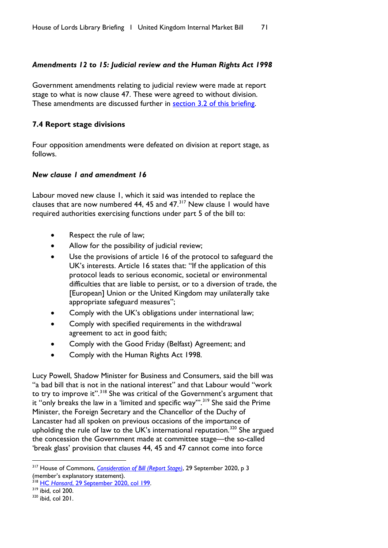## *Amendments 12 to 15: Judicial review and the Human Rights Act 1998*

Government amendments relating to judicial review were made at report stage to what is now clause 47. These were agreed to without division. These amendments are discussed further in [section 3.2 of this briefing.](#page-31-0)

## **7.4 Report stage divisions**

Four opposition amendments were defeated on division at report stage, as follows.

#### *New clause 1 and amendment 16*

Labour moved new clause 1, which it said was intended to replace the clauses that are now numbered 44, 45 and  $47<sup>317</sup>$  $47<sup>317</sup>$  $47<sup>317</sup>$  New clause 1 would have required authorities exercising functions under part 5 of the bill to:

- Respect the rule of law;
- Allow for the possibility of judicial review;
- Use the provisions of article 16 of the protocol to safeguard the UK's interests. Article 16 states that: "If the application of this protocol leads to serious economic, societal or environmental difficulties that are liable to persist, or to a diversion of trade, the [European] Union or the United Kingdom may unilaterally take appropriate safeguard measures";
- Comply with the UK's obligations under international law;
- Comply with specified requirements in the withdrawal agreement to act in good faith;
- Comply with the Good Friday (Belfast) Agreement; and
- Comply with the Human Rights Act 1998.

Lucy Powell, Shadow Minister for Business and Consumers, said the bill was "a bad bill that is not in the national interest" and that Labour would "work to try to improve it".<sup>[318](#page-72-1)</sup> She was critical of the Government's argument that it "only breaks the law in a 'limited and specific way".<sup>[319](#page-72-2)</sup> She said the Prime Minister, the Foreign Secretary and the Chancellor of the Duchy of Lancaster had all spoken on previous occasions of the importance of upholding the rule of law to the UK's international reputation.<sup>[320](#page-72-3)</sup> She argued the concession the Government made at committee stage—the so-called 'break glass' provision that clauses 44, 45 and 47 cannot come into force

<span id="page-72-0"></span><sup>317</sup> House of Commons, *[Consideration of Bill \(Report Stage\)](https://publications.parliament.uk/pa/bills/cbill/58-01/0185/amend/ukim_daily_rep_0928.pdf)*, 29 September 2020, p 3 (member's explanatory statement).

<sup>&</sup>lt;sup>318</sup> HC Hansard[, 29 September 2020, col 199.](https://hansard.parliament.uk/Commons/2020-09-29/debates/96A7BFAF-F6AD-409C-86EC-4799A382727D/details)

<span id="page-72-2"></span><span id="page-72-1"></span> $319$  ibid, col 200.

<span id="page-72-3"></span><sup>320</sup> ibid, col 201.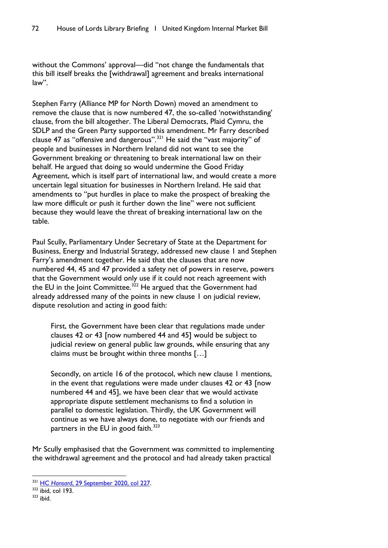without the Commons' approval—did "not change the fundamentals that this bill itself breaks the [withdrawal] agreement and breaks international law".

Stephen Farry (Alliance MP for North Down) moved an amendment to remove the clause that is now numbered 47, the so-called 'notwithstanding' clause, from the bill altogether. The Liberal Democrats, Plaid Cymru, the SDLP and the Green Party supported this amendment. Mr Farry described clause 47 as "offensive and dangerous".[321](#page-73-0) He said the "vast majority" of people and businesses in Northern Ireland did not want to see the Government breaking or threatening to break international law on their behalf. He argued that doing so would undermine the Good Friday Agreement, which is itself part of international law, and would create a more uncertain legal situation for businesses in Northern Ireland. He said that amendments to "put hurdles in place to make the prospect of breaking the law more difficult or push it further down the line" were not sufficient because they would leave the threat of breaking international law on the table.

Paul Scully, Parliamentary Under Secretary of State at the Department for Business, Energy and Industrial Strategy, addressed new clause 1 and Stephen Farry's amendment together. He said that the clauses that are now numbered 44, 45 and 47 provided a safety net of powers in reserve, powers that the Government would only use if it could not reach agreement with the EU in the Joint Committee.<sup>[322](#page-73-1)</sup> He argued that the Government had already addressed many of the points in new clause 1 on judicial review, dispute resolution and acting in good faith:

First, the Government have been clear that regulations made under clauses 42 or 43 [now numbered 44 and 45] would be subject to judicial review on general public law grounds, while ensuring that any claims must be brought within three months […]

Secondly, on article 16 of the protocol, which new clause 1 mentions, in the event that regulations were made under clauses 42 or 43 [now numbered 44 and 45], we have been clear that we would activate appropriate dispute settlement mechanisms to find a solution in parallel to domestic legislation. Thirdly, the UK Government will continue as we have always done, to negotiate with our friends and partners in the EU in good faith. $323$ 

Mr Scully emphasised that the Government was committed to implementing the withdrawal agreement and the protocol and had already taken practical

<span id="page-73-0"></span><sup>321</sup> HC *Hansard*[, 29 September 2020, col 227.](https://hansard.parliament.uk/Commons/2020-09-29/debates/96A7BFAF-F6AD-409C-86EC-4799A382727D/details)

<span id="page-73-1"></span> $322$  ibid, col 193.

<span id="page-73-2"></span> $323$  ibid.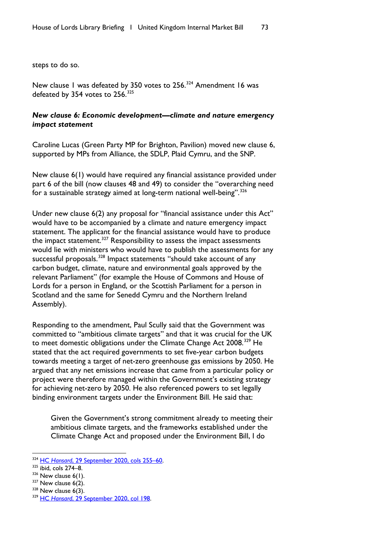steps to do so.

New clause 1 was defeated by 350 votes to 256.<sup>[324](#page-74-0)</sup> Amendment 16 was defeated by 354 votes to  $256$ .  $325$ 

## *New clause 6: Economic development—climate and nature emergency impact statement*

Caroline Lucas (Green Party MP for Brighton, Pavilion) moved new clause 6, supported by MPs from Alliance, the SDLP, Plaid Cymru, and the SNP.

New clause 6(1) would have required any financial assistance provided under part 6 of the bill (now clauses 48 and 49) to consider the "overarching need for a sustainable strategy aimed at long-term national well-being".[326](#page-74-2)

Under new clause 6(2) any proposal for "financial assistance under this Act" would have to be accompanied by a climate and nature emergency impact statement. The applicant for the financial assistance would have to produce the impact statement.[327](#page-74-3) Responsibility to assess the impact assessments would lie with ministers who would have to publish the assessments for any successful proposals.<sup>[328](#page-74-4)</sup> Impact statements "should take account of any carbon budget, climate, nature and environmental goals approved by the relevant Parliament" (for example the House of Commons and House of Lords for a person in England, or the Scottish Parliament for a person in Scotland and the same for Senedd Cymru and the Northern Ireland Assembly).

Responding to the amendment, Paul Scully said that the Government was committed to "ambitious climate targets" and that it was crucial for the UK to meet domestic obligations under the Climate Change Act 2008.<sup>[329](#page-74-5)</sup> He stated that the act required governments to set five-year carbon budgets towards meeting a target of net-zero greenhouse gas emissions by 2050. He argued that any net emissions increase that came from a particular policy or project were therefore managed within the Government's existing strategy for achieving net-zero by 2050. He also referenced powers to set legally binding environment targets under the Environment Bill. He said that:

Given the Government's strong commitment already to meeting their ambitious climate targets, and the frameworks established under the Climate Change Act and proposed under the Environment Bill, I do

<span id="page-74-0"></span><sup>324</sup> HC *Hansard*[, 29 September 2020, cols 255–60.](https://hansard.parliament.uk/Commons/2020-09-29/debates/96A7BFAF-F6AD-409C-86EC-4799A382727D/details)

<span id="page-74-1"></span> $325$  ibid, cols 274–8.

<span id="page-74-2"></span> $326$  New clause 6(1).

<span id="page-74-3"></span> $327$  New clause 6(2).

<span id="page-74-4"></span> $328$  New clause  $6(3)$ .

<span id="page-74-5"></span><sup>329</sup> HC *Hansard*[, 29 September 2020, col 198.](https://hansard.parliament.uk/commons/2020-09-29/debates/96A7BFAF-F6AD-409C-86EC-4799A382727D/UnitedKingdomInternalMarketBill)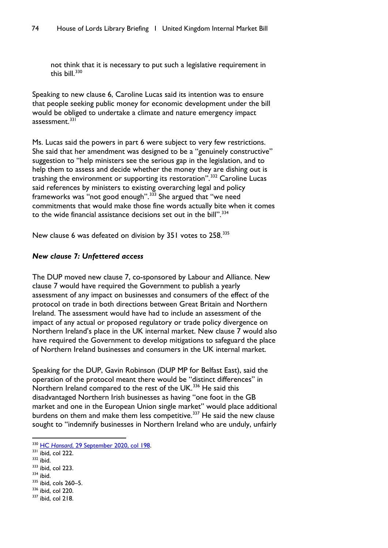not think that it is necessary to put such a legislative requirement in this bill. $330$ 

Speaking to new clause 6, Caroline Lucas said its intention was to ensure that people seeking public money for economic development under the bill would be obliged to undertake a climate and nature emergency impact  $ascesment<sup>331</sup>$  $ascesment<sup>331</sup>$  $ascesment<sup>331</sup>$ 

Ms. Lucas said the powers in part 6 were subject to very few restrictions. She said that her amendment was designed to be a "genuinely constructive" suggestion to "help ministers see the serious gap in the legislation, and to help them to assess and decide whether the money they are dishing out is trashing the environment or supporting its restoration".<sup>[332](#page-75-2)</sup> Caroline Lucas said references by ministers to existing overarching legal and policy frameworks was "not good enough".[333](#page-75-3) She argued that "we need commitments that would make those fine words actually bite when it comes to the wide financial assistance decisions set out in the bill". $334$ 

New clause 6 was defeated on division by 351 votes to 258.<sup>[335](#page-75-5)</sup>

# *New clause 7: Unfettered access*

The DUP moved new clause 7, co-sponsored by Labour and Alliance. New clause 7 would have required the Government to publish a yearly assessment of any impact on businesses and consumers of the effect of the protocol on trade in both directions between Great Britain and Northern Ireland. The assessment would have had to include an assessment of the impact of any actual or proposed regulatory or trade policy divergence on Northern Ireland's place in the UK internal market. New clause 7 would also have required the Government to develop mitigations to safeguard the place of Northern Ireland businesses and consumers in the UK internal market.

Speaking for the DUP, Gavin Robinson (DUP MP for Belfast East), said the operation of the protocol meant there would be "distinct differences" in Northern Ireland compared to the rest of the UK.<sup>[336](#page-75-6)</sup> He said this disadvantaged Northern Irish businesses as having "one foot in the GB market and one in the European Union single market" would place additional burdens on them and make them less competitive.<sup>[337](#page-75-7)</sup> He said the new clause sought to "indemnify businesses in Northern Ireland who are unduly, unfairly

<span id="page-75-7"></span> $337$  ibid, col 218.

<span id="page-75-0"></span><sup>330</sup> HC *Hansard*[, 29 September 2020, col 198.](https://hansard.parliament.uk/commons/2020-09-29/debates/96A7BFAF-F6AD-409C-86EC-4799A382727D/UnitedKingdomInternalMarketBill)

<span id="page-75-1"></span> $331$  ibid, col 222.

<span id="page-75-2"></span> $332$  ibid.

<span id="page-75-3"></span><sup>333</sup> ibid, col 223.

<span id="page-75-4"></span> $334$  ibid.

<span id="page-75-5"></span><sup>335</sup> ibid, cols 260-5.

<span id="page-75-6"></span><sup>336</sup> ibid, col 220.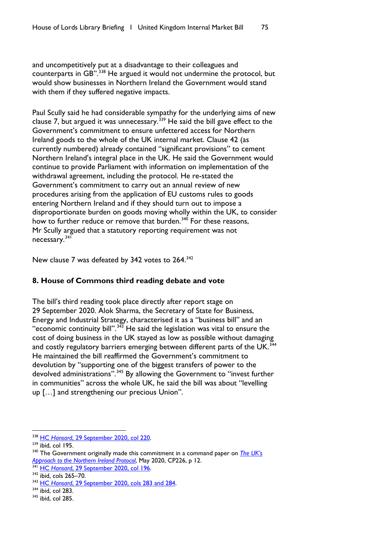and uncompetitively put at a disadvantage to their colleagues and counterparts in GB".<sup>[338](#page-76-0)</sup> He argued it would not undermine the protocol, but would show businesses in Northern Ireland the Government would stand with them if they suffered negative impacts.

Paul Scully said he had considerable sympathy for the underlying aims of new clause 7, but argued it was unnecessary.<sup>[339](#page-76-1)</sup> He said the bill gave effect to the Government's commitment to ensure unfettered access for Northern Ireland goods to the whole of the UK internal market. Clause 42 (as currently numbered) already contained "significant provisions" to cement Northern Ireland's integral place in the UK. He said the Government would continue to provide Parliament with information on implementation of the withdrawal agreement, including the protocol. He re-stated the Government's commitment to carry out an annual review of new procedures arising from the application of EU customs rules to goods entering Northern Ireland and if they should turn out to impose a disproportionate burden on goods moving wholly within the UK, to consider how to further reduce or remove that burden.<sup>[340](#page-76-2)</sup> For these reasons, Mr Scully argued that a statutory reporting requirement was not necessary.[341](#page-76-3)

New clause 7 was defeated by [342](#page-76-4) votes to 264.<sup>342</sup>

# **8. House of Commons third reading debate and vote**

The bill's third reading took place directly after report stage on 29 September 2020. Alok Sharma, the Secretary of State for Business, Energy and Industrial Strategy, characterised it as a "business bill" and an "economic continuity bill".<sup>[343](#page-76-5)</sup> He said the legislation was vital to ensure the cost of doing business in the UK stayed as low as possible without damaging and costly regulatory barriers emerging between different parts of the UK.<sup>[344](#page-76-6)</sup> He maintained the bill reaffirmed the Government's commitment to devolution by "supporting one of the biggest transfers of power to the devolved administrations".<sup>[345](#page-76-7)</sup> By allowing the Government to "invest further in communities" across the whole UK, he said the bill was about "levelling up […] and strengthening our precious Union".

<span id="page-76-0"></span><sup>338</sup> HC *Hansard*[, 29 September 2020, col 220.](https://hansard.parliament.uk/commons/2020-09-29/debates/96A7BFAF-F6AD-409C-86EC-4799A382727D/UnitedKingdomInternalMarketBill)

<span id="page-76-1"></span> $339$  ibid, col 195.

<span id="page-76-2"></span><sup>340</sup> The Government originally made this commitment in a command paper on *[The UK's](https://assets.publishing.service.gov.uk/government/uploads/system/uploads/attachment_data/file/887532/The_UK_s_Approach_to_NI_Protocol_Web_Accessible.pdf)  [Approach to the Northern Ireland Protocol](https://assets.publishing.service.gov.uk/government/uploads/system/uploads/attachment_data/file/887532/The_UK_s_Approach_to_NI_Protocol_Web_Accessible.pdf)*, May 2020, CP226, p 12.

<span id="page-76-3"></span><sup>341</sup> HC *Hansard*[, 29 September 2020, col 196.](https://hansard.parliament.uk/Commons/2020-09-29/debates/96A7BFAF-F6AD-409C-86EC-4799A382727D/details)

<span id="page-76-4"></span><sup>342</sup> ibid, cols 265–70.

<span id="page-76-5"></span><sup>343</sup> HC *Hansard*[, 29 September 2020, cols 283 and 284.](https://hansard.parliament.uk/Commons/2020-09-29/debates/96A7BFAF-F6AD-409C-86EC-4799A382727D/details)

<span id="page-76-6"></span><sup>&</sup>lt;sup>344</sup> ibid, col 283.

<span id="page-76-7"></span><sup>345</sup> ibid, col 285.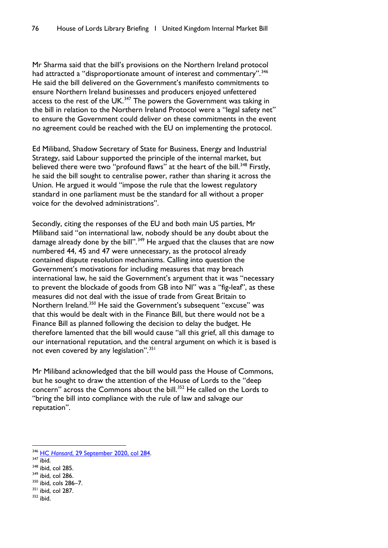Mr Sharma said that the bill's provisions on the Northern Ireland protocol had attracted a "disproportionate amount of interest and commentary".<sup>[346](#page-77-0)</sup> He said the bill delivered on the Government's manifesto commitments to ensure Northern Ireland businesses and producers enjoyed unfettered access to the rest of the UK.<sup>[347](#page-77-1)</sup> The powers the Government was taking in the bill in relation to the Northern Ireland Protocol were a "legal safety net" to ensure the Government could deliver on these commitments in the event no agreement could be reached with the EU on implementing the protocol.

Ed Miliband, Shadow Secretary of State for Business, Energy and Industrial Strategy, said Labour supported the principle of the internal market, but believed there were two "profound flaws" at the heart of the bill.<sup>[348](#page-77-2)</sup> Firstly, he said the bill sought to centralise power, rather than sharing it across the Union. He argued it would "impose the rule that the lowest regulatory standard in one parliament must be the standard for all without a proper voice for the devolved administrations".

Secondly, citing the responses of the EU and both main US parties, Mr Miliband said "on international law, nobody should be any doubt about the damage already done by the bill".<sup>[349](#page-77-3)</sup> He argued that the clauses that are now numbered 44, 45 and 47 were unnecessary, as the protocol already contained dispute resolution mechanisms. Calling into question the Government's motivations for including measures that may breach international law, he said the Government's argument that it was "necessary to prevent the blockade of goods from GB into NI" was a "fig-leaf", as these measures did not deal with the issue of trade from Great Britain to Northern Ireland.<sup>[350](#page-77-4)</sup> He said the Government's subsequent "excuse" was that this would be dealt with in the Finance Bill, but there would not be a Finance Bill as planned following the decision to delay the budget. He therefore lamented that the bill would cause "all this grief, all this damage to our international reputation, and the central argument on which it is based is not even covered by any legislation".<sup>[351](#page-77-5)</sup>

Mr Miliband acknowledged that the bill would pass the House of Commons, but he sought to draw the attention of the House of Lords to the "deep concern" across the Commons about the bill.<sup>[352](#page-77-6)</sup> He called on the Lords to "bring the bill into compliance with the rule of law and salvage our reputation".

- <span id="page-77-3"></span><sup>349</sup> ibid, col 286.
- <span id="page-77-4"></span><sup>350</sup> ibid, cols 286–7.
- <span id="page-77-5"></span>351 ibid, col 287.
- <span id="page-77-6"></span><sup>352</sup> ibid.

<span id="page-77-0"></span><sup>346</sup> HC *Hansard*[, 29 September 2020, col 284.](https://hansard.parliament.uk/Commons/2020-09-29/debates/96A7BFAF-F6AD-409C-86EC-4799A382727D/details)

<span id="page-77-1"></span> $347$  ibid.

<span id="page-77-2"></span><sup>&</sup>lt;sup>348</sup> ibid, col 285.